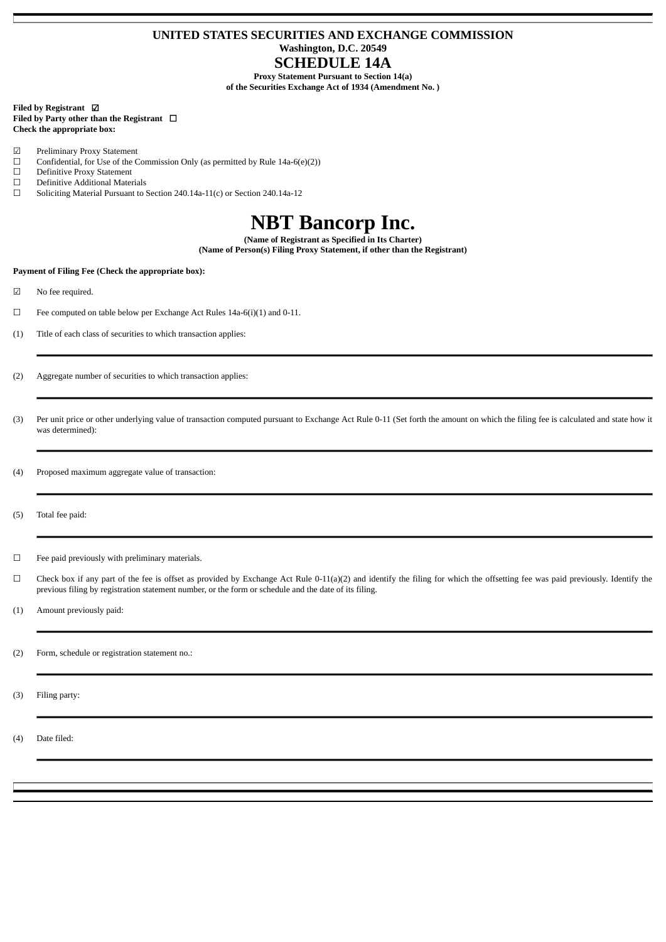# **UNITED STATES SECURITIES AND EXCHANGE COMMISSION Washington, D.C. 20549 SCHEDULE 14A**

**Proxy Statement Pursuant to Section 14(a)**

**of the Securities Exchange Act of 1934 (Amendment No. )**

# **Filed by Registrant** ☑ **Filed by Party other than the Registrant** ☐ **Check the appropriate box:**

- ☑ Preliminary Proxy Statement
- $\Box$  Confidential, for Use of the Commission Only (as permitted by Rule 14a-6(e)(2))  $\Box$  Definitive Proxy Statement
- □ Definitive Proxy Statement<br>□ Definitive Additional Mater
- $\Box$  Definitive Additional Materials<br> $\Box$  Soliciting Material Pursuant to !
- Soliciting Material Pursuant to Section 240.14a-11(c) or Section 240.14a-12

# **NBT Bancorp Inc.**

**(Name of Registrant as Specified in Its Charter)**

**(Name of Person(s) Filing Proxy Statement, if other than the Registrant)**

# **Payment of Filing Fee (Check the appropriate box):**

☑ No fee required.

- ☐ Fee computed on table below per Exchange Act Rules 14a-6(i)(1) and 0-11.
- (1) Title of each class of securities to which transaction applies:
- (2) Aggregate number of securities to which transaction applies:
- (3) Per unit price or other underlying value of transaction computed pursuant to Exchange Act Rule 0-11 (Set forth the amount on which the filing fee is calculated and state how it was determined):
- (4) Proposed maximum aggregate value of transaction:
- (5) Total fee paid:
- ☐ Fee paid previously with preliminary materials.
- ☐ Check box if any part of the fee is offset as provided by Exchange Act Rule 0-11(a)(2) and identify the filing for which the offsetting fee was paid previously. Identify the previous filing by registration statement number, or the form or schedule and the date of its filing.

(1) Amount previously paid:

(2) Form, schedule or registration statement no.:

(3) Filing party:

(4) Date filed: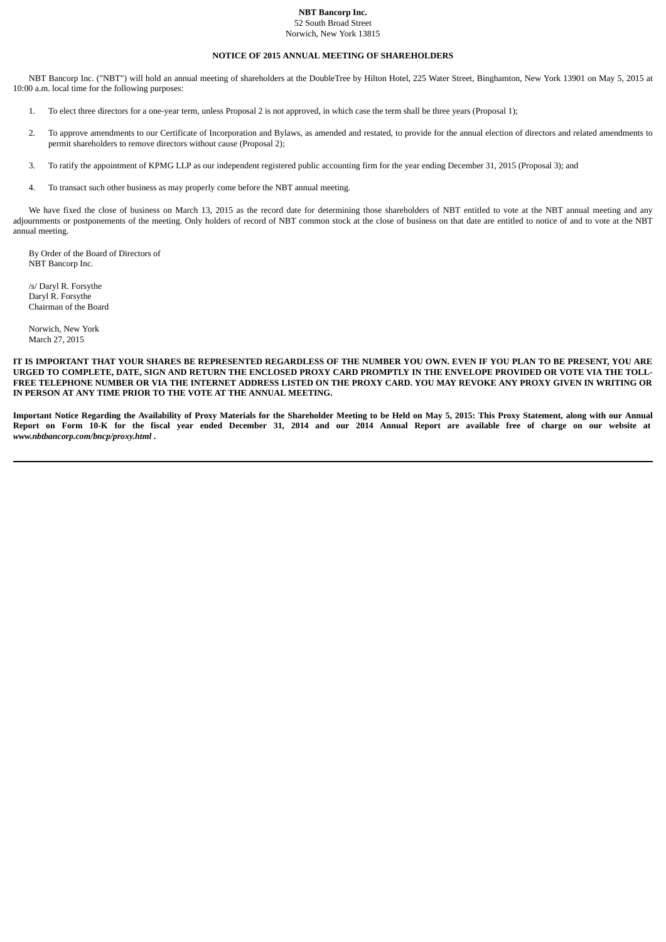#### **NBT Bancorp Inc.** 52 South Broad Street

Norwich, New York 13815

# **NOTICE OF 2015 ANNUAL MEETING OF SHAREHOLDERS**

NBT Bancorp Inc. ("NBT") will hold an annual meeting of shareholders at the DoubleTree by Hilton Hotel, 225 Water Street, Binghamton, New York 13901 on May 5, 2015 at 10:00 a.m. local time for the following purposes:

- 1. To elect three directors for a one-year term, unless Proposal 2 is not approved, in which case the term shall be three years (Proposal 1);
- 2. To approve amendments to our Certificate of Incorporation and Bylaws, as amended and restated, to provide for the annual election of directors and related amendments to permit shareholders to remove directors without cause (Proposal 2);
- 3. To ratify the appointment of KPMG LLP as our independent registered public accounting firm for the year ending December 31, 2015 (Proposal 3); and
- 4. To transact such other business as may properly come before the NBT annual meeting.

We have fixed the close of business on March 13, 2015 as the record date for determining those shareholders of NBT entitled to vote at the NBT annual meeting and any adjournments or postponements of the meeting. Only holders of record of NBT common stock at the close of business on that date are entitled to notice of and to vote at the NBT annual meeting.

By Order of the Board of Directors of NBT Bancorp Inc.

/s/ Daryl R. Forsythe Daryl R. Forsythe Chairman of the Board

Norwich, New York March 27, 2015

IT IS IMPORTANT THAT YOUR SHARES BE REPRESENTED REGARDLESS OF THE NUMBER YOU OWN. EVEN IF YOU PLAN TO BE PRESENT, YOU ARE URGED TO COMPLETE, DATE, SIGN AND RETURN THE ENCLOSED PROXY CARD PROMPTLY IN THE ENVELOPE PROVIDED OR VOTE VIA THE TOLL-FREE TELEPHONE NUMBER OR VIA THE INTERNET ADDRESS LISTED ON THE PROXY CARD. YOU MAY REVOKE ANY PROXY GIVEN IN WRITING OR **IN PERSON AT ANY TIME PRIOR TO THE VOTE AT THE ANNUAL MEETING.**

Important Notice Regarding the Availability of Proxy Materials for the Shareholder Meeting to be Held on May 5, 2015: This Proxy Statement, along with our Annual Report on Form 10-K for the fiscal year ended December 31, 2014 and our 2014 Annual Report are available free of charge on our website at *www.nbtbancorp.com/bncp/proxy.html* **.**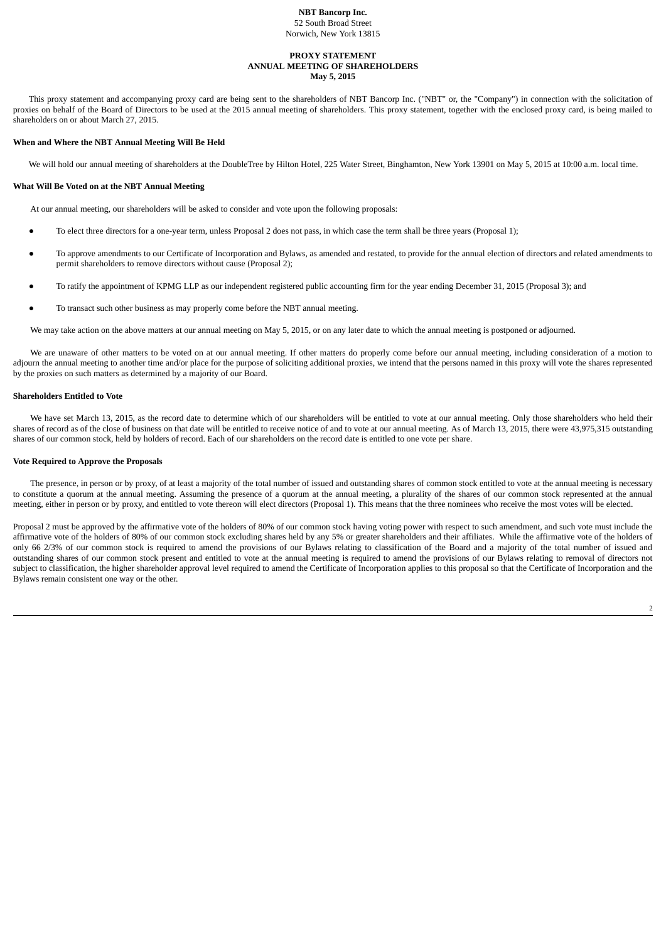#### **NBT Bancorp Inc.** 52 South Broad Street Norwich, New York 13815

#### **PROXY STATEMENT ANNUAL MEETING OF SHAREHOLDERS May 5, 2015**

This proxy statement and accompanying proxy card are being sent to the shareholders of NBT Bancorp Inc. ("NBT" or, the "Company") in connection with the solicitation of proxies on behalf of the Board of Directors to be used at the 2015 annual meeting of shareholders. This proxy statement, together with the enclosed proxy card, is being mailed to shareholders on or about March 27, 2015.

# **When and Where the NBT Annual Meeting Will Be Held**

We will hold our annual meeting of shareholders at the DoubleTree by Hilton Hotel, 225 Water Street, Binghamton, New York 13901 on May 5, 2015 at 10:00 a.m. local time.

## **What Will Be Voted on at the NBT Annual Meeting**

At our annual meeting, our shareholders will be asked to consider and vote upon the following proposals:

- To elect three directors for a one-year term, unless Proposal 2 does not pass, in which case the term shall be three years (Proposal 1);
- To approve amendments to our Certificate of Incorporation and Bylaws, as amended and restated, to provide for the annual election of directors and related amendments to permit shareholders to remove directors without cause (Proposal 2);
- To ratify the appointment of KPMG LLP as our independent registered public accounting firm for the year ending December 31, 2015 (Proposal 3); and
- To transact such other business as may properly come before the NBT annual meeting.

We may take action on the above matters at our annual meeting on May 5, 2015, or on any later date to which the annual meeting is postponed or adjourned.

We are unaware of other matters to be voted on at our annual meeting. If other matters do properly come before our annual meeting, including consideration of a motion to adjourn the annual meeting to another time and/or place for the purpose of soliciting additional proxies, we intend that the persons named in this proxy will vote the shares represented by the proxies on such matters as determined by a majority of our Board.

# **Shareholders Entitled to Vote**

We have set March 13, 2015, as the record date to determine which of our shareholders will be entitled to vote at our annual meeting. Only those shareholders who held their shares of record as of the close of business on that date will be entitled to receive notice of and to vote at our annual meeting. As of March 13, 2015, there were 43,975,315 outstanding shares of our common stock, held by holders of record. Each of our shareholders on the record date is entitled to one vote per share.

# **Vote Required to Approve the Proposals**

The presence, in person or by proxy, of at least a majority of the total number of issued and outstanding shares of common stock entitled to vote at the annual meeting is necessary to constitute a quorum at the annual meeting. Assuming the presence of a quorum at the annual meeting, a plurality of the shares of our common stock represented at the annual meeting, either in person or by proxy, and entitled to vote thereon will elect directors (Proposal 1). This means that the three nominees who receive the most votes will be elected.

Proposal 2 must be approved by the affirmative vote of the holders of 80% of our common stock having voting power with respect to such amendment, and such vote must include the affirmative vote of the holders of 80% of our common stock excluding shares held by any 5% or greater shareholders and their affiliates. While the affirmative vote of the holders of only 66 2/3% of our common stock is required to amend the provisions of our Bylaws relating to classification of the Board and a majority of the total number of issued and outstanding shares of our common stock present and entitled to vote at the annual meeting is required to amend the provisions of our Bylaws relating to removal of directors not subject to classification, the higher shareholder approval level required to amend the Certificate of Incorporation applies to this proposal so that the Certificate of Incorporation and the Bylaws remain consistent one way or the other.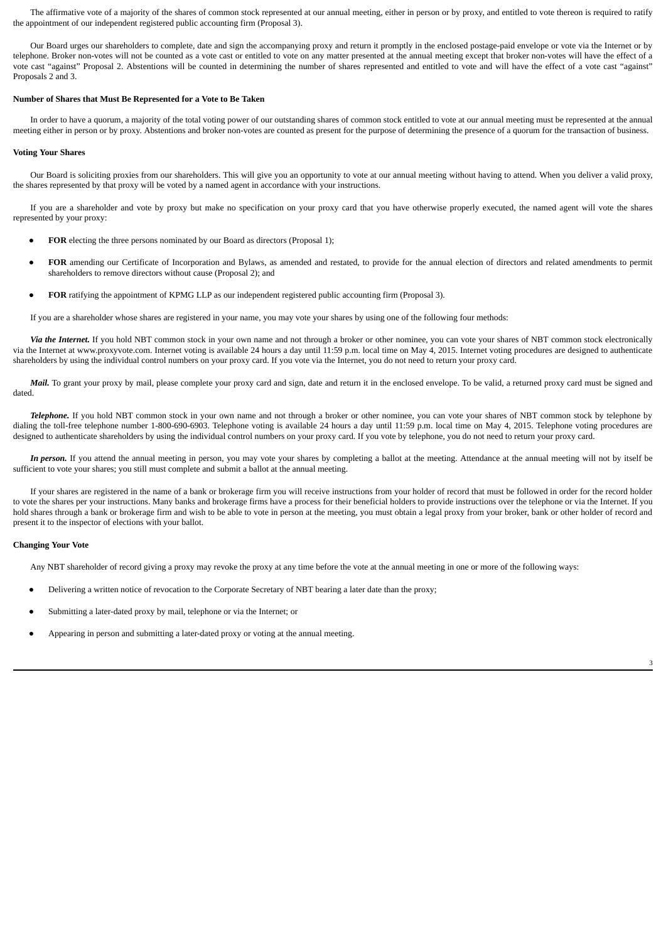The affirmative vote of a majority of the shares of common stock represented at our annual meeting, either in person or by proxy, and entitled to vote thereon is required to ratify the appointment of our independent registered public accounting firm (Proposal 3).

Our Board urges our shareholders to complete, date and sign the accompanying proxy and return it promptly in the enclosed postage-paid envelope or vote via the Internet or by telephone. Broker non-votes will not be counted as a vote cast or entitled to vote on any matter presented at the annual meeting except that broker non-votes will have the effect of a vote cast "against" Proposal 2. Abstentions will be counted in determining the number of shares represented and entitled to vote and will have the effect of a vote cast "against" Proposals 2 and 3.

#### **Number of Shares that Must Be Represented for a Vote to Be Taken**

In order to have a quorum, a majority of the total voting power of our outstanding shares of common stock entitled to vote at our annual meeting must be represented at the annual meeting either in person or by proxy. Abstentions and broker non-votes are counted as present for the purpose of determining the presence of a quorum for the transaction of business.

#### **Voting Your Shares**

Our Board is soliciting proxies from our shareholders. This will give you an opportunity to vote at our annual meeting without having to attend. When you deliver a valid proxy, the shares represented by that proxy will be voted by a named agent in accordance with your instructions.

If you are a shareholder and vote by proxy but make no specification on your proxy card that you have otherwise properly executed, the named agent will vote the shares represented by your proxy:

- **FOR** electing the three persons nominated by our Board as directors (Proposal 1);
- FOR amending our Certificate of Incorporation and Bylaws, as amended and restated, to provide for the annual election of directors and related amendments to permit shareholders to remove directors without cause (Proposal 2); and
- **FOR** ratifying the appointment of KPMG LLP as our independent registered public accounting firm (Proposal 3).

If you are a shareholder whose shares are registered in your name, you may vote your shares by using one of the following four methods:

*Via the Internet.* If you hold NBT common stock in your own name and not through a broker or other nominee, you can vote your shares of NBT common stock electronically via the Internet at www.proxyvote.com. Internet voting is available 24 hours a day until 11:59 p.m. local time on May 4, 2015. Internet voting procedures are designed to authenticate shareholders by using the individual control numbers on your proxy card. If you vote via the Internet, you do not need to return your proxy card.

Mail. To grant your proxy by mail, please complete your proxy card and sign, date and return it in the enclosed envelope. To be valid, a returned proxy card must be signed and dated.

*Telephone.* If you hold NBT common stock in your own name and not through a broker or other nominee, you can vote your shares of NBT common stock by telephone by dialing the toll-free telephone number 1-800-690-6903. Telephone voting is available 24 hours a day until 11:59 p.m. local time on May 4, 2015. Telephone voting procedures are designed to authenticate shareholders by using the individual control numbers on your proxy card. If you vote by telephone, you do not need to return your proxy card.

In *person*. If you attend the annual meeting in person, you may vote your shares by completing a ballot at the meeting. Attendance at the annual meeting will not by itself be sufficient to vote your shares; you still must complete and submit a ballot at the annual meeting.

If your shares are registered in the name of a bank or brokerage firm you will receive instructions from your holder of record that must be followed in order for the record holder to vote the shares per your instructions. Many banks and brokerage firms have a process for their beneficial holders to provide instructions over the telephone or via the Internet. If you hold shares through a bank or brokerage firm and wish to be able to vote in person at the meeting, you must obtain a legal proxy from your broker, bank or other holder of record and present it to the inspector of elections with your ballot.

# **Changing Your Vote**

Any NBT shareholder of record giving a proxy may revoke the proxy at any time before the vote at the annual meeting in one or more of the following ways:

- Delivering a written notice of revocation to the Corporate Secretary of NBT bearing a later date than the proxy;
- Submitting a later-dated proxy by mail, telephone or via the Internet; or
- Appearing in person and submitting a later-dated proxy or voting at the annual meeting.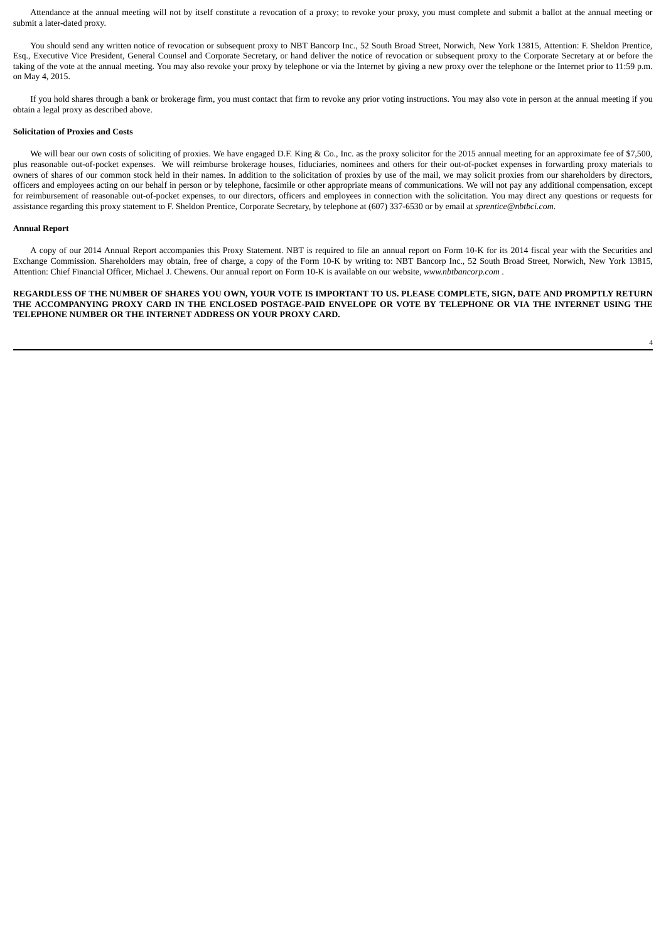Attendance at the annual meeting will not by itself constitute a revocation of a proxy; to revoke your proxy, you must complete and submit a ballot at the annual meeting or submit a later-dated proxy.

You should send any written notice of revocation or subsequent proxy to NBT Bancorp Inc., 52 South Broad Street, Norwich, New York 13815, Attention: F. Sheldon Prentice, Esq., Executive Vice President, General Counsel and Corporate Secretary, or hand deliver the notice of revocation or subsequent proxy to the Corporate Secretary at or before the taking of the vote at the annual meeting. You may also revoke your proxy by telephone or via the Internet by giving a new proxy over the telephone or the Internet prior to 11:59 p.m. on May 4, 2015.

If you hold shares through a bank or brokerage firm, you must contact that firm to revoke any prior voting instructions. You may also vote in person at the annual meeting if you obtain a legal proxy as described above.

# **Solicitation of Proxies and Costs**

We will bear our own costs of soliciting of proxies. We have engaged D.F. King & Co., Inc. as the proxy solicitor for the 2015 annual meeting for an approximate fee of \$7,500, plus reasonable out-of-pocket expenses. We will reimburse brokerage houses, fiduciaries, nominees and others for their out-of-pocket expenses in forwarding proxy materials to owners of shares of our common stock held in their names. In addition to the solicitation of proxies by use of the mail, we may solicit proxies from our shareholders by directors, officers and employees acting on our behalf in person or by telephone, facsimile or other appropriate means of communications. We will not pay any additional compensation, except for reimbursement of reasonable out-of-pocket expenses, to our directors, officers and employees in connection with the solicitation. You may direct any questions or requests for assistance regarding this proxy statement to F. Sheldon Prentice, Corporate Secretary, by telephone at (607) 337-6530 or by email at *sprentice@nbtbci.com*.

# **Annual Report**

A copy of our 2014 Annual Report accompanies this Proxy Statement. NBT is required to file an annual report on Form 10-K for its 2014 fiscal year with the Securities and Exchange Commission. Shareholders may obtain, free of charge, a copy of the Form 10-K by writing to: NBT Bancorp Inc., 52 South Broad Street, Norwich, New York 13815, Attention: Chief Financial Officer, Michael J. Chewens. Our annual report on Form 10-K is available on our website, *www.nbtbancorp.com* .

REGARDLESS OF THE NUMBER OF SHARES YOU OWN, YOUR VOTE IS IMPORTANT TO US. PLEASE COMPLETE, SIGN, DATE AND PROMPTLY RETURN THE ACCOMPANYING PROXY CARD IN THE ENCLOSED POSTAGE-PAID ENVELOPE OR VOTE BY TELEPHONE OR VIA THE INTERNET USING THE **TELEPHONE NUMBER OR THE INTERNET ADDRESS ON YOUR PROXY CARD.**

4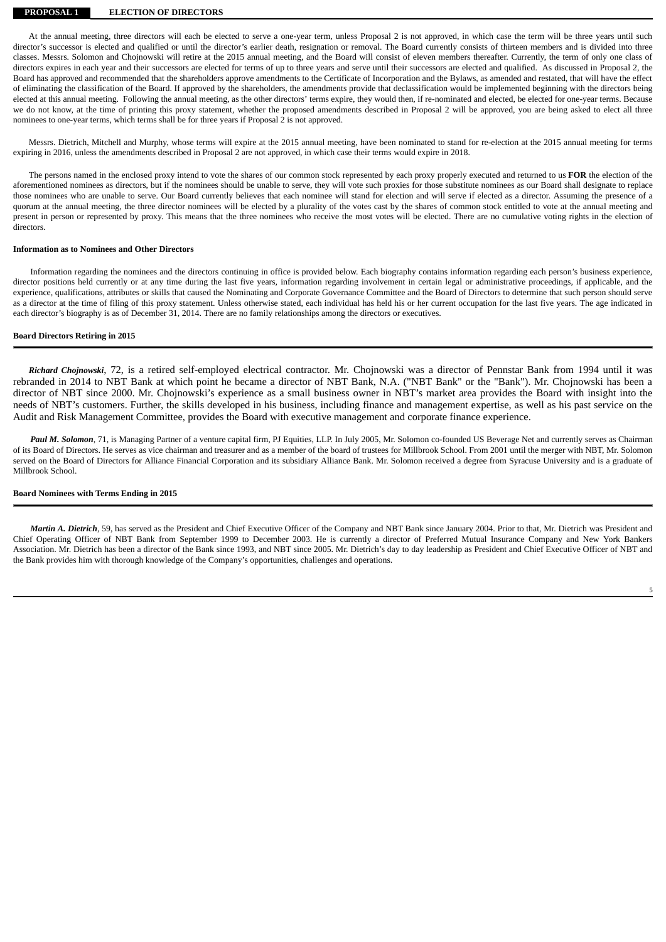## **PROPOSAL 1 ELECTION OF DIRECTORS**

At the annual meeting, three directors will each be elected to serve a one-year term, unless Proposal 2 is not approved, in which case the term will be three years until such director's successor is elected and qualified or until the director's earlier death, resignation or removal. The Board currently consists of thirteen members and is divided into three classes. Messrs. Solomon and Chojnowski will retire at the 2015 annual meeting, and the Board will consist of eleven members thereafter. Currently, the term of only one class of directors expires in each year and their successors are elected for terms of up to three years and serve until their successors are elected and qualified. As discussed in Proposal 2, the Board has approved and recommended that the shareholders approve amendments to the Certificate of Incorporation and the Bylaws, as amended and restated, that will have the effect of eliminating the classification of the Board. If approved by the shareholders, the amendments provide that declassification would be implemented beginning with the directors being elected at this annual meeting. Following the annual meeting, as the other directors' terms expire, they would then, if re-nominated and elected, be elected for one-year terms. Because we do not know, at the time of printing this proxy statement, whether the proposed amendments described in Proposal 2 will be approved, you are being asked to elect all three nominees to one-year terms, which terms shall be for three years if Proposal 2 is not approved.

Messrs. Dietrich, Mitchell and Murphy, whose terms will expire at the 2015 annual meeting, have been nominated to stand for re-election at the 2015 annual meeting for terms expiring in 2016, unless the amendments described in Proposal 2 are not approved, in which case their terms would expire in 2018.

The persons named in the enclosed proxy intend to vote the shares of our common stock represented by each proxy properly executed and returned to us **FOR** the election of the aforementioned nominees as directors, but if the nominees should be unable to serve, they will vote such proxies for those substitute nominees as our Board shall designate to replace those nominees who are unable to serve. Our Board currently believes that each nominee will stand for election and will serve if elected as a director. Assuming the presence of a quorum at the annual meeting, the three director nominees will be elected by a plurality of the votes cast by the shares of common stock entitled to vote at the annual meeting and present in person or represented by proxy. This means that the three nominees who receive the most votes will be elected. There are no cumulative voting rights in the election of directors.

#### **Information as to Nominees and Other Directors**

Information regarding the nominees and the directors continuing in office is provided below. Each biography contains information regarding each person's business experience, director positions held currently or at any time during the last five years, information regarding involvement in certain legal or administrative proceedings, if applicable, and the experience, qualifications, attributes or skills that caused the Nominating and Corporate Governance Committee and the Board of Directors to determine that such person should serve as a director at the time of filing of this proxy statement. Unless otherwise stated, each individual has held his or her current occupation for the last five years. The age indicated in each director's biography is as of December 31, 2014. There are no family relationships among the directors or executives.

# **Board Directors Retiring in 2015**

*Richard Chojnowski*, 72, is a retired self-employed electrical contractor. Mr. Chojnowski was a director of Pennstar Bank from 1994 until it was rebranded in 2014 to NBT Bank at which point he became a director of NBT Bank, N.A. ("NBT Bank" or the "Bank"). Mr. Chojnowski has been a director of NBT since 2000. Mr. Chojnowski's experience as a small business owner in NBT's market area provides the Board with insight into the needs of NBT's customers. Further, the skills developed in his business, including finance and management expertise, as well as his past service on the Audit and Risk Management Committee, provides the Board with executive management and corporate finance experience.

Paul *M. Solomon*, 71, is Managing Partner of a venture capital firm, PJ Equities, LLP. In July 2005, Mr. Solomon co-founded US Beverage Net and currently serves as Chairman of its Board of Directors. He serves as vice chairman and treasurer and as a member of the board of trustees for Millbrook School. From 2001 until the merger with NBT, Mr. Solomon served on the Board of Directors for Alliance Financial Corporation and its subsidiary Alliance Bank. Mr. Solomon received a degree from Syracuse University and is a graduate of Millbrook School.

# **Board Nominees with Terms Ending in 2015**

*Martin A. Dietrich*, 59, has served as the President and Chief Executive Officer of the Company and NBT Bank since January 2004. Prior to that, Mr. Dietrich was President and Chief Operating Officer of NBT Bank from September 1999 to December 2003. He is currently a director of Preferred Mutual Insurance Company and New York Bankers Association. Mr. Dietrich has been a director of the Bank since 1993, and NBT since 2005. Mr. Dietrich's day to day leadership as President and Chief Executive Officer of NBT and the Bank provides him with thorough knowledge of the Company's opportunities, challenges and operations.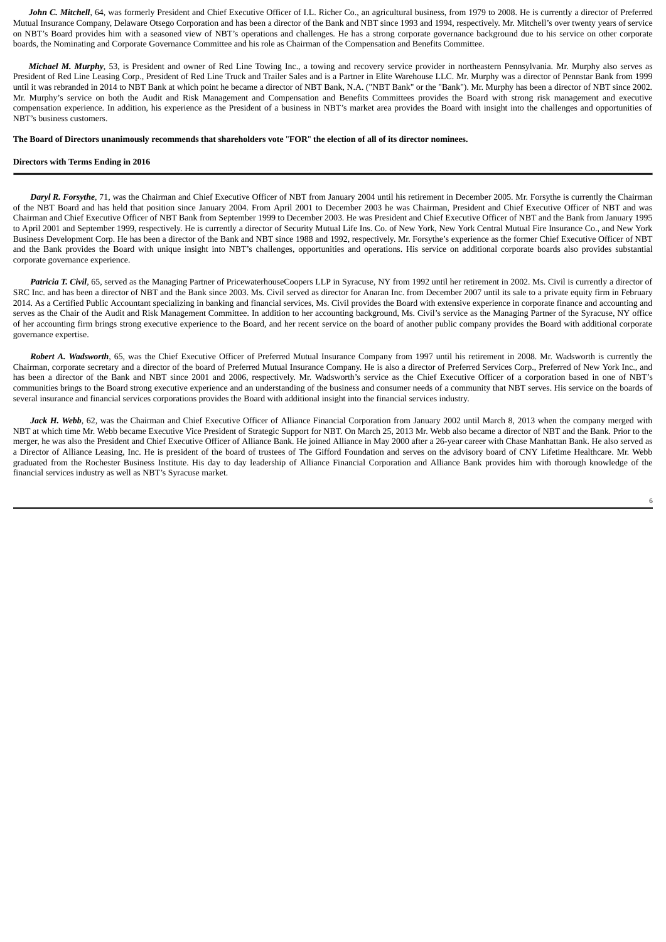John C. Mitchell, 64, was formerly President and Chief Executive Officer of I.L. Richer Co., an agricultural business, from 1979 to 2008. He is currently a director of Preferred Mutual Insurance Company, Delaware Otsego Corporation and has been a director of the Bank and NBT since 1993 and 1994, respectively. Mr. Mitchell's over twenty years of service on NBT's Board provides him with a seasoned view of NBT's operations and challenges. He has a strong corporate governance background due to his service on other corporate boards, the Nominating and Corporate Governance Committee and his role as Chairman of the Compensation and Benefits Committee.

*Michael M. Murphy*, 53, is President and owner of Red Line Towing Inc., a towing and recovery service provider in northeastern Pennsylvania. Mr. Murphy also serves as President of Red Line Leasing Corp., President of Red Line Truck and Trailer Sales and is a Partner in Elite Warehouse LLC. Mr. Murphy was a director of Pennstar Bank from 1999 until it was rebranded in 2014 to NBT Bank at which point he became a director of NBT Bank, N.A. ("NBT Bank" or the "Bank"). Mr. Murphy has been a director of NBT since 2002. Mr. Murphy's service on both the Audit and Risk Management and Compensation and Benefits Committees provides the Board with strong risk management and executive compensation experience. In addition, his experience as the President of a business in NBT's market area provides the Board with insight into the challenges and opportunities of NBT's business customers.

The Board of Directors unanimously recommends that shareholders vote "FOR" the election of all of its director nominees.

#### **Directors with Terms Ending in 2016**

*Daryl R. Forsythe*, 71, was the Chairman and Chief Executive Officer of NBT from January 2004 until his retirement in December 2005. Mr. Forsythe is currently the Chairman of the NBT Board and has held that position since January 2004. From April 2001 to December 2003 he was Chairman, President and Chief Executive Officer of NBT and was Chairman and Chief Executive Officer of NBT Bank from September 1999 to December 2003. He was President and Chief Executive Officer of NBT and the Bank from January 1995 to April 2001 and September 1999, respectively. He is currently a director of Security Mutual Life Ins. Co. of New York, New York Central Mutual Fire Insurance Co., and New York Business Development Corp. He has been a director of the Bank and NBT since 1988 and 1992, respectively. Mr. Forsythe's experience as the former Chief Executive Officer of NBT and the Bank provides the Board with unique insight into NBT's challenges, opportunities and operations. His service on additional corporate boards also provides substantial corporate governance experience.

Patricia T. Civil, 65, served as the Managing Partner of PricewaterhouseCoopers LLP in Syracuse, NY from 1992 until her retirement in 2002. Ms. Civil is currently a director of SRC Inc. and has been a director of NBT and the Bank since 2003. Ms. Civil served as director for Anaran Inc. from December 2007 until its sale to a private equity firm in February 2014. As a Certified Public Accountant specializing in banking and financial services, Ms. Civil provides the Board with extensive experience in corporate finance and accounting and serves as the Chair of the Audit and Risk Management Committee. In addition to her accounting background, Ms. Civil's service as the Managing Partner of the Syracuse, NY office of her accounting firm brings strong executive experience to the Board, and her recent service on the board of another public company provides the Board with additional corporate governance expertise.

*Robert A. Wadsworth*, 65, was the Chief Executive Officer of Preferred Mutual Insurance Company from 1997 until his retirement in 2008. Mr. Wadsworth is currently the Chairman, corporate secretary and a director of the board of Preferred Mutual Insurance Company. He is also a director of Preferred Services Corp., Preferred of New York Inc., and has been a director of the Bank and NBT since 2001 and 2006, respectively. Mr. Wadsworth's service as the Chief Executive Officer of a corporation based in one of NBT's communities brings to the Board strong executive experience and an understanding of the business and consumer needs of a community that NBT serves. His service on the boards of several insurance and financial services corporations provides the Board with additional insight into the financial services industry.

Jack H. Webb, 62, was the Chairman and Chief Executive Officer of Alliance Financial Corporation from January 2002 until March 8, 2013 when the company merged with NBT at which time Mr. Webb became Executive Vice President of Strategic Support for NBT. On March 25, 2013 Mr. Webb also became a director of NBT and the Bank. Prior to the merger, he was also the President and Chief Executive Officer of Alliance Bank. He joined Alliance in May 2000 after a 26-year career with Chase Manhattan Bank. He also served as a Director of Alliance Leasing, Inc. He is president of the board of trustees of The Gifford Foundation and serves on the advisory board of CNY Lifetime Healthcare. Mr. Webb graduated from the Rochester Business Institute. His day to day leadership of Alliance Financial Corporation and Alliance Bank provides him with thorough knowledge of the financial services industry as well as NBT's Syracuse market.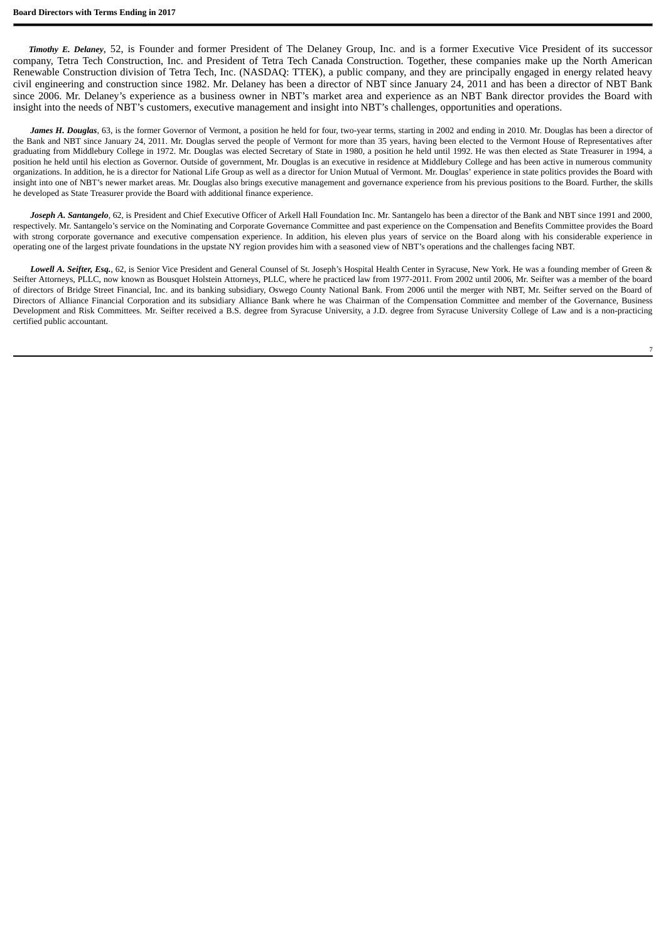*Timothy E. Delaney*, 52, is Founder and former President of The Delaney Group, Inc. and is a former Executive Vice President of its successor company, Tetra Tech Construction, Inc. and President of Tetra Tech Canada Construction. Together, these companies make up the North American Renewable Construction division of Tetra Tech, Inc. (NASDAQ: TTEK), a public company, and they are principally engaged in energy related heavy civil engineering and construction since 1982. Mr. Delaney has been a director of NBT since January 24, 2011 and has been a director of NBT Bank since 2006. Mr. Delaney's experience as a business owner in NBT's market area and experience as an NBT Bank director provides the Board with insight into the needs of NBT's customers, executive management and insight into NBT's challenges, opportunities and operations.

James H. Douglas, 63, is the former Governor of Vermont, a position he held for four, two-year terms, starting in 2002 and ending in 2010. Mr. Douglas has been a director of the Bank and NBT since January 24, 2011. Mr. Douglas served the people of Vermont for more than 35 years, having been elected to the Vermont House of Representatives after graduating from Middlebury College in 1972. Mr. Douglas was elected Secretary of State in 1980, a position he held until 1992. He was then elected as State Treasurer in 1994, a position he held until his election as Governor. Outside of government, Mr. Douglas is an executive in residence at Middlebury College and has been active in numerous community organizations. In addition, he is a director for National Life Group as well as a director for Union Mutual of Vermont. Mr. Douglas' experience in state politics provides the Board with insight into one of NBT's newer market areas. Mr. Douglas also brings executive management and governance experience from his previous positions to the Board. Further, the skills he developed as State Treasurer provide the Board with additional finance experience.

*Joseph A. Santangelo*, 62, is President and Chief Executive Officer of Arkell Hall Foundation Inc. Mr. Santangelo has been a director of the Bank and NBT since 1991 and 2000, respectively. Mr. Santangelo's service on the Nominating and Corporate Governance Committee and past experience on the Compensation and Benefits Committee provides the Board with strong corporate governance and executive compensation experience. In addition, his eleven plus years of service on the Board along with his considerable experience in operating one of the largest private foundations in the upstate NY region provides him with a seasoned view of NBT's operations and the challenges facing NBT.

*Lowell A. Seifter, Esq.*, 62, is Senior Vice President and General Counsel of St. Joseph's Hospital Health Center in Syracuse, New York. He was a founding member of Green & Seifter Attorneys, PLLC, now known as Bousquet Holstein Attorneys, PLLC, where he practiced law from 1977-2011. From 2002 until 2006, Mr. Seifter was a member of the board of directors of Bridge Street Financial, Inc. and its banking subsidiary, Oswego County National Bank. From 2006 until the merger with NBT, Mr. Seifter served on the Board of Directors of Alliance Financial Corporation and its subsidiary Alliance Bank where he was Chairman of the Compensation Committee and member of the Governance, Business Development and Risk Committees. Mr. Seifter received a B.S. degree from Syracuse University, a J.D. degree from Syracuse University College of Law and is a non-practicing certified public accountant.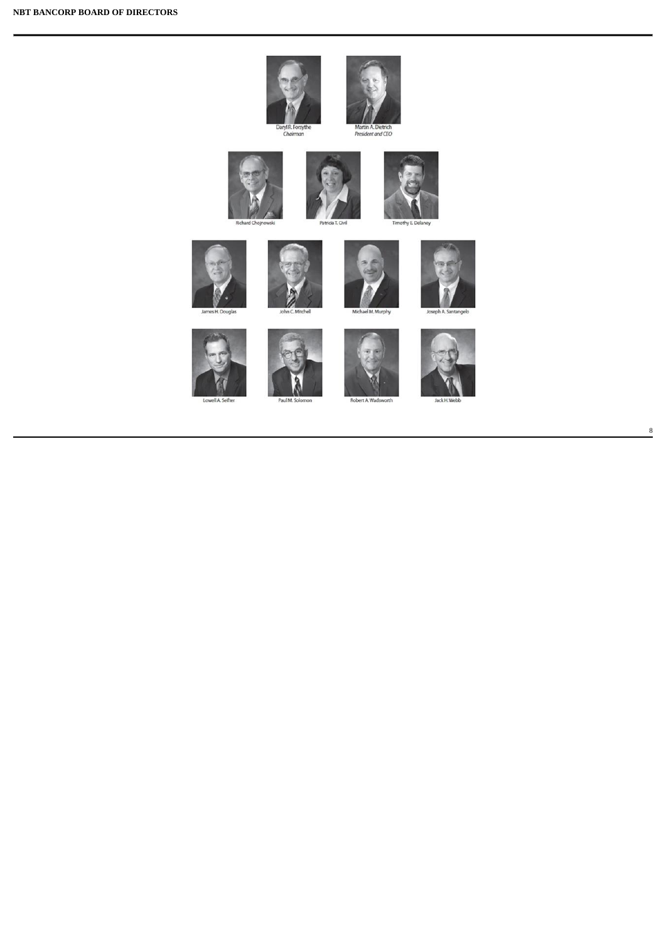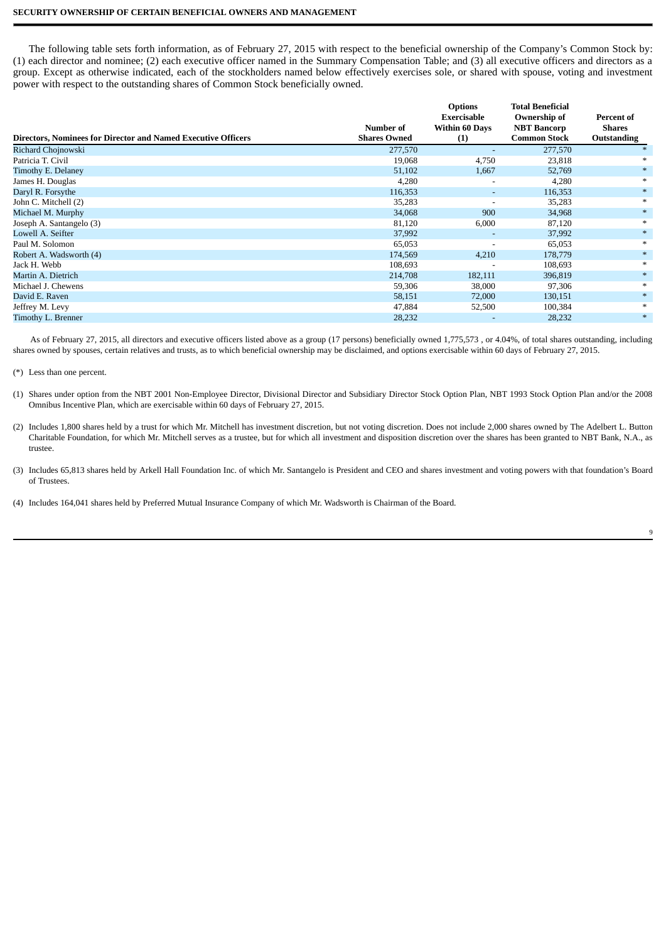# **SECURITY OWNERSHIP OF CERTAIN BENEFICIAL OWNERS AND MANAGEMENT**

The following table sets forth information, as of February 27, 2015 with respect to the beneficial ownership of the Company's Common Stock by: (1) each director and nominee; (2) each executive officer named in the Summary Compensation Table; and (3) all executive officers and directors as a group. Except as otherwise indicated, each of the stockholders named below effectively exercises sole, or shared with spouse, voting and investment power with respect to the outstanding shares of Common Stock beneficially owned.

|                                                               |                     | <b>Options</b><br>Exercisable | <b>Total Beneficial</b><br>Ownership of | Percent of  |
|---------------------------------------------------------------|---------------------|-------------------------------|-----------------------------------------|-------------|
|                                                               | Number of           | <b>Within 60 Days</b>         | <b>NBT Bancorp</b>                      | Shares      |
| Directors, Nominees for Director and Named Executive Officers | <b>Shares Owned</b> | (1)                           | <b>Common Stock</b>                     | Outstanding |
| Richard Chojnowski                                            | 277,570             |                               | 277,570                                 |             |
| Patricia T. Civil                                             | 19,068              | 4,750                         | 23,818                                  |             |
| Timothy E. Delaney                                            | 51,102              | 1,667                         | 52,769                                  | $*$         |
| James H. Douglas                                              | 4,280               | $\overline{\phantom{a}}$      | 4,280                                   |             |
| Daryl R. Forsythe                                             | 116,353             | $\sim$                        | 116,353                                 |             |
| John C. Mitchell (2)                                          | 35,283              |                               | 35,283                                  | $*$         |
| Michael M. Murphy                                             | 34,068              | 900                           | 34,968                                  | $*$         |
| Joseph A. Santangelo (3)                                      | 81,120              | 6,000                         | 87,120                                  | $*$         |
| Lowell A. Seifter                                             | 37,992              | $\overline{\phantom{a}}$      | 37,992                                  | $*$         |
| Paul M. Solomon                                               | 65,053              | $\overline{\phantom{a}}$      | 65,053                                  | $*$         |
| Robert A. Wadsworth (4)                                       | 174,569             | 4,210                         | 178,779                                 | $*$         |
| Jack H. Webb                                                  | 108,693             |                               | 108,693                                 | $*$         |
| Martin A. Dietrich                                            | 214,708             | 182,111                       | 396,819                                 | $*$         |
| Michael J. Chewens                                            | 59,306              | 38,000                        | 97,306                                  | *           |
| David E. Raven                                                | 58,151              | 72,000                        | 130,151                                 | $*$         |
| Jeffrey M. Levy                                               | 47,884              | 52,500                        | 100,384                                 | *           |
| Timothy L. Brenner                                            | 28,232              |                               | 28,232                                  | $*$         |

As of February 27, 2015, all directors and executive officers listed above as a group (17 persons) beneficially owned 1,775,573 , or 4.04%, of total shares outstanding, including shares owned by spouses, certain relatives and trusts, as to which beneficial ownership may be disclaimed, and options exercisable within 60 days of February 27, 2015.

(\*) Less than one percent.

- (1) Shares under option from the NBT 2001 Non-Employee Director, Divisional Director and Subsidiary Director Stock Option Plan, NBT 1993 Stock Option Plan and/or the 2008 Omnibus Incentive Plan, which are exercisable within 60 days of February 27, 2015.
- (2) Includes 1,800 shares held by a trust for which Mr. Mitchell has investment discretion, but not voting discretion. Does not include 2,000 shares owned by The Adelbert L. Button Charitable Foundation, for which Mr. Mitchell serves as a trustee, but for which all investment and disposition discretion over the shares has been granted to NBT Bank, N.A., as trustee.
- (3) Includes 65,813 shares held by Arkell Hall Foundation Inc. of which Mr. Santangelo is President and CEO and shares investment and voting powers with that foundation's Board of Trustees.
- (4) Includes 164,041 shares held by Preferred Mutual Insurance Company of which Mr. Wadsworth is Chairman of the Board.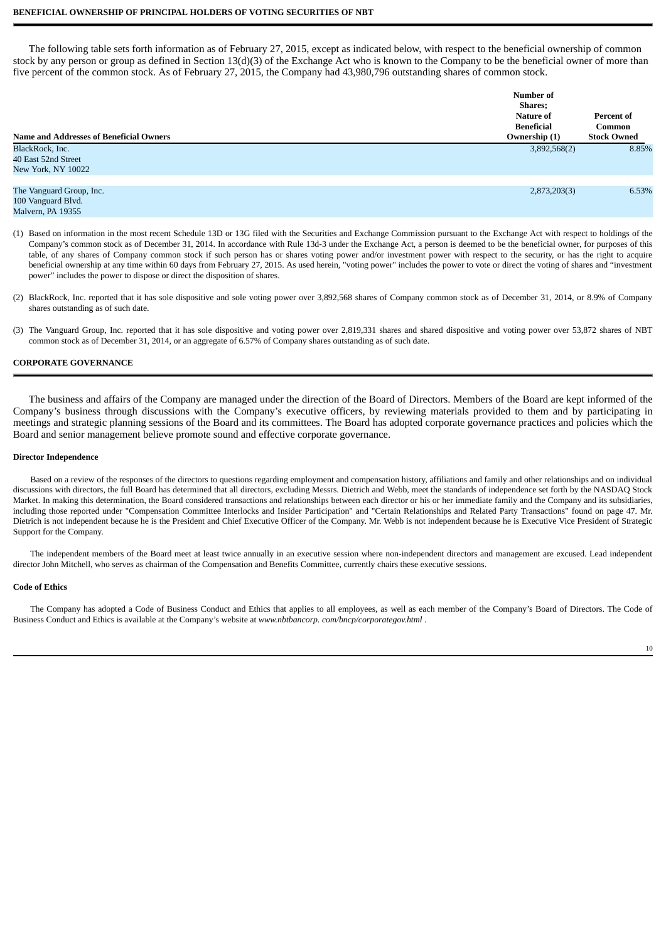# **BENEFICIAL OWNERSHIP OF PRINCIPAL HOLDERS OF VOTING SECURITIES OF NBT**

The following table sets forth information as of February 27, 2015, except as indicated below, with respect to the beneficial ownership of common stock by any person or group as defined in Section 13(d)(3) of the Exchange Act who is known to the Company to be the beneficial owner of more than five percent of the common stock. As of February 27, 2015, the Company had 43,980,796 outstanding shares of common stock.

|                                                | Number of                   |                    |
|------------------------------------------------|-----------------------------|--------------------|
|                                                | <b>Shares;</b><br>Nature of | Percent of         |
|                                                | Beneficial                  | <b>Common</b>      |
| <b>Name and Addresses of Beneficial Owners</b> | Ownership (1)               | <b>Stock Owned</b> |
| BlackRock, Inc.                                | 3,892,568(2)                | 8.85%              |
| 40 East 52nd Street                            |                             |                    |
| New York, NY 10022                             |                             |                    |
|                                                |                             |                    |
| The Vanguard Group, Inc.                       | 2,873,203(3)                | 6.53%              |
| 100 Vanguard Blvd.                             |                             |                    |
| Malvern, PA 19355                              |                             |                    |

- (1) Based on information in the most recent Schedule 13D or 13G filed with the Securities and Exchange Commission pursuant to the Exchange Act with respect to holdings of the Company's common stock as of December 31, 2014. In accordance with Rule 13d-3 under the Exchange Act, a person is deemed to be the beneficial owner, for purposes of this table, of any shares of Company common stock if such person has or shares voting power and/or investment power with respect to the security, or has the right to acquire beneficial ownership at any time within 60 days from February 27, 2015. As used herein, "voting power" includes the power to vote or direct the voting of shares and "investment power" includes the power to dispose or direct the disposition of shares.
- (2) BlackRock, Inc. reported that it has sole dispositive and sole voting power over 3,892,568 shares of Company common stock as of December 31, 2014, or 8.9% of Company shares outstanding as of such date.
- (3) The Vanguard Group, Inc. reported that it has sole dispositive and voting power over 2,819,331 shares and shared dispositive and voting power over 53,872 shares of NBT common stock as of December 31, 2014, or an aggregate of 6.57% of Company shares outstanding as of such date.

# **CORPORATE GOVERNANCE**

The business and affairs of the Company are managed under the direction of the Board of Directors. Members of the Board are kept informed of the Company's business through discussions with the Company's executive officers, by reviewing materials provided to them and by participating in meetings and strategic planning sessions of the Board and its committees. The Board has adopted corporate governance practices and policies which the Board and senior management believe promote sound and effective corporate governance.

# **Director Independence**

Based on a review of the responses of the directors to questions regarding employment and compensation history, affiliations and family and other relationships and on individual discussions with directors, the full Board has determined that all directors, excluding Messrs. Dietrich and Webb, meet the standards of independence set forth by the NASDAQ Stock Market. In making this determination, the Board considered transactions and relationships between each director or his or her immediate family and the Company and its subsidiaries, including those reported under "Compensation Committee Interlocks and Insider Participation" and "Certain Relationships and Related Party Transactions" found on page 47. Mr. Dietrich is not independent because he is the President and Chief Executive Officer of the Company. Mr. Webb is not independent because he is Executive Vice President of Strategic Support for the Company.

The independent members of the Board meet at least twice annually in an executive session where non-independent directors and management are excused. Lead independent director John Mitchell, who serves as chairman of the Compensation and Benefits Committee, currently chairs these executive sessions.

## **Code of Ethics**

The Company has adopted a Code of Business Conduct and Ethics that applies to all employees, as well as each member of the Company's Board of Directors. The Code of Business Conduct and Ethics is available at the Company's website at *www.nbtbancorp. com/bncp/corporategov.html* .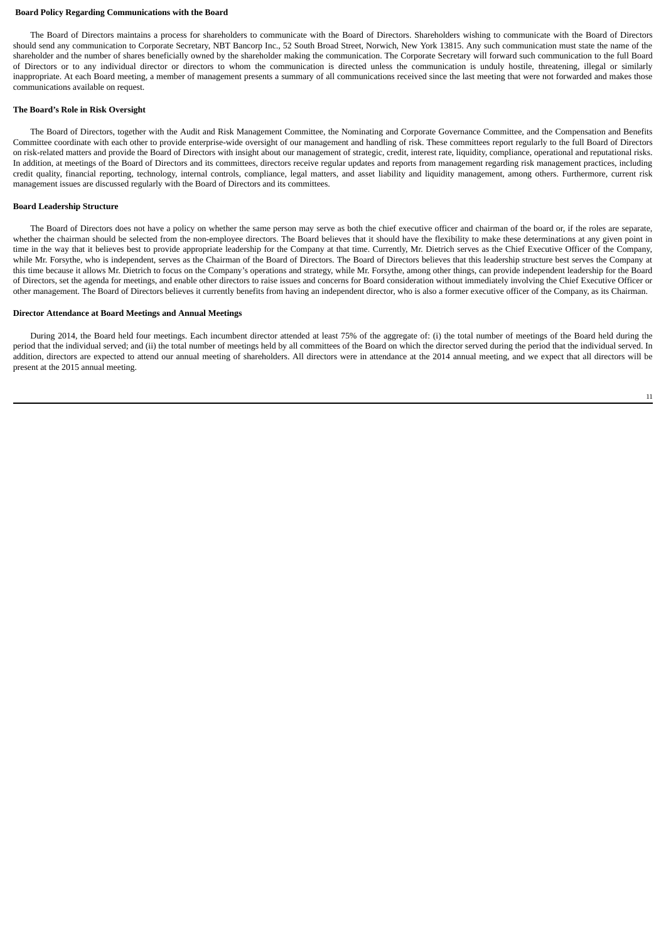#### **Board Policy Regarding Communications with the Board**

The Board of Directors maintains a process for shareholders to communicate with the Board of Directors. Shareholders wishing to communicate with the Board of Directors should send any communication to Corporate Secretary, NBT Bancorp Inc., 52 South Broad Street, Norwich, New York 13815. Any such communication must state the name of the shareholder and the number of shares beneficially owned by the shareholder making the communication. The Corporate Secretary will forward such communication to the full Board of Directors or to any individual director or directors to whom the communication is directed unless the communication is unduly hostile, threatening, illegal or similarly inappropriate. At each Board meeting, a member of management presents a summary of all communications received since the last meeting that were not forwarded and makes those communications available on request.

## **The Board's Role in Risk Oversight**

The Board of Directors, together with the Audit and Risk Management Committee, the Nominating and Corporate Governance Committee, and the Compensation and Benefits Committee coordinate with each other to provide enterprise-wide oversight of our management and handling of risk. These committees report regularly to the full Board of Directors on risk-related matters and provide the Board of Directors with insight about our management of strategic, credit, interest rate, liquidity, compliance, operational and reputational risks. In addition, at meetings of the Board of Directors and its committees, directors receive regular updates and reports from management regarding risk management practices, including credit quality, financial reporting, technology, internal controls, compliance, legal matters, and asset liability and liquidity management, among others. Furthermore, current risk management issues are discussed regularly with the Board of Directors and its committees.

#### **Board Leadership Structure**

The Board of Directors does not have a policy on whether the same person may serve as both the chief executive officer and chairman of the board or, if the roles are separate, whether the chairman should be selected from the non-employee directors. The Board believes that it should have the flexibility to make these determinations at any given point in time in the way that it believes best to provide appropriate leadership for the Company at that time. Currently, Mr. Dietrich serves as the Chief Executive Officer of the Company, while Mr. Forsythe, who is independent, serves as the Chairman of the Board of Directors. The Board of Directors believes that this leadership structure best serves the Company at this time because it allows Mr. Dietrich to focus on the Company's operations and strategy, while Mr. Forsythe, among other things, can provide independent leadership for the Board of Directors, set the agenda for meetings, and enable other directors to raise issues and concerns for Board consideration without immediately involving the Chief Executive Officer or other management. The Board of Directors believes it currently benefits from having an independent director, who is also a former executive officer of the Company, as its Chairman.

# **Director Attendance at Board Meetings and Annual Meetings**

During 2014, the Board held four meetings. Each incumbent director attended at least 75% of the aggregate of: (i) the total number of meetings of the Board held during the period that the individual served; and (ii) the total number of meetings held by all committees of the Board on which the director served during the period that the individual served. In addition, directors are expected to attend our annual meeting of shareholders. All directors were in attendance at the 2014 annual meeting, and we expect that all directors will be present at the 2015 annual meeting.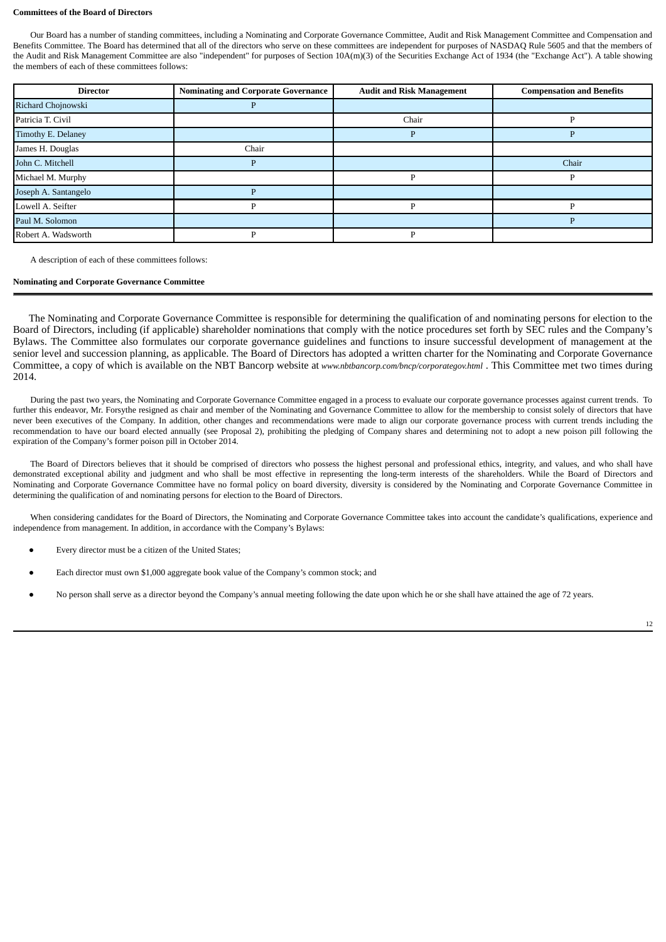#### **Committees of the Board of Directors**

Our Board has a number of standing committees, including a Nominating and Corporate Governance Committee, Audit and Risk Management Committee and Compensation and Benefits Committee. The Board has determined that all of the directors who serve on these committees are independent for purposes of NASDAQ Rule 5605 and that the members of the Audit and Risk Management Committee are also "independent" for purposes of Section 10A(m)(3) of the Securities Exchange Act of 1934 (the "Exchange Act"). A table showing the members of each of these committees follows:

| <b>Director</b>      | <b>Nominating and Corporate Governance</b> | <b>Audit and Risk Management</b> | <b>Compensation and Benefits</b> |
|----------------------|--------------------------------------------|----------------------------------|----------------------------------|
| Richard Chojnowski   |                                            |                                  |                                  |
| Patricia T. Civil    |                                            | Chair                            |                                  |
| Timothy E. Delaney   |                                            |                                  |                                  |
| James H. Douglas     | Chair                                      |                                  |                                  |
| John C. Mitchell     |                                            |                                  | Chair                            |
| Michael M. Murphy    |                                            |                                  |                                  |
| Joseph A. Santangelo |                                            |                                  |                                  |
| Lowell A. Seifter    |                                            |                                  |                                  |
| Paul M. Solomon      |                                            |                                  |                                  |
| Robert A. Wadsworth  |                                            |                                  |                                  |

A description of each of these committees follows:

# **Nominating and Corporate Governance Committee**

The Nominating and Corporate Governance Committee is responsible for determining the qualification of and nominating persons for election to the Board of Directors, including (if applicable) shareholder nominations that comply with the notice procedures set forth by SEC rules and the Company's Bylaws. The Committee also formulates our corporate governance guidelines and functions to insure successful development of management at the senior level and succession planning, as applicable. The Board of Directors has adopted a written charter for the Nominating and Corporate Governance Committee, a copy of which is available on the NBT Bancorp website at *www.nbtbancorp.com/bncp/corporategov.html* . This Committee met two times during 2014.

During the past two years, the Nominating and Corporate Governance Committee engaged in a process to evaluate our corporate governance processes against current trends. To further this endeavor, Mr. Forsythe resigned as chair and member of the Nominating and Governance Committee to allow for the membership to consist solely of directors that have never been executives of the Company. In addition, other changes and recommendations were made to align our corporate governance process with current trends including the recommendation to have our board elected annually (see Proposal 2), prohibiting the pledging of Company shares and determining not to adopt a new poison pill following the expiration of the Company's former poison pill in October 2014.

The Board of Directors believes that it should be comprised of directors who possess the highest personal and professional ethics, integrity, and values, and who shall have demonstrated exceptional ability and judgment and who shall be most effective in representing the long-term interests of the shareholders. While the Board of Directors and Nominating and Corporate Governance Committee have no formal policy on board diversity, diversity is considered by the Nominating and Corporate Governance Committee in determining the qualification of and nominating persons for election to the Board of Directors.

When considering candidates for the Board of Directors, the Nominating and Corporate Governance Committee takes into account the candidate's qualifications, experience and independence from management. In addition, in accordance with the Company's Bylaws:

- Every director must be a citizen of the United States:
- Each director must own \$1,000 aggregate book value of the Company's common stock; and
- No person shall serve as a director beyond the Company's annual meeting following the date upon which he or she shall have attained the age of 72 years.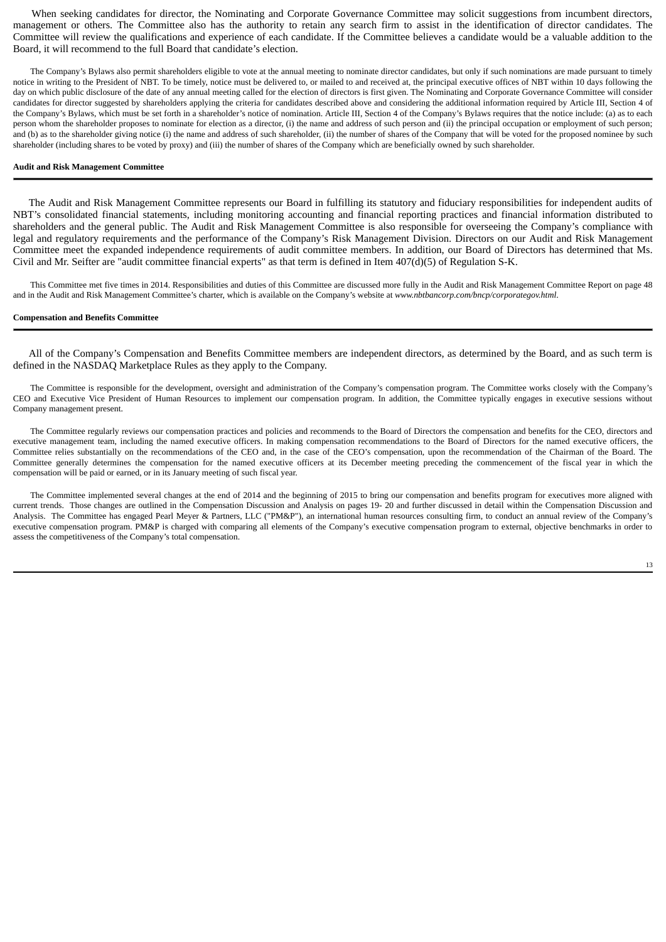When seeking candidates for director, the Nominating and Corporate Governance Committee may solicit suggestions from incumbent directors, management or others. The Committee also has the authority to retain any search firm to assist in the identification of director candidates. The Committee will review the qualifications and experience of each candidate. If the Committee believes a candidate would be a valuable addition to the Board, it will recommend to the full Board that candidate's election.

The Company's Bylaws also permit shareholders eligible to vote at the annual meeting to nominate director candidates, but only if such nominations are made pursuant to timely notice in writing to the President of NBT. To be timely, notice must be delivered to, or mailed to and received at, the principal executive offices of NBT within 10 days following the day on which public disclosure of the date of any annual meeting called for the election of directors is first given. The Nominating and Corporate Governance Committee will consider candidates for director suggested by shareholders applying the criteria for candidates described above and considering the additional information required by Article III, Section 4 of the Company's Bylaws, which must be set forth in a shareholder's notice of nomination. Article III, Section 4 of the Company's Bylaws requires that the notice include: (a) as to each person whom the shareholder proposes to nominate for election as a director, (i) the name and address of such person and (ii) the principal occupation or employment of such person; and (b) as to the shareholder giving notice (i) the name and address of such shareholder, (ii) the number of shares of the Company that will be voted for the proposed nominee by such shareholder (including shares to be voted by proxy) and (iii) the number of shares of the Company which are beneficially owned by such shareholder.

## **Audit and Risk Management Committee**

The Audit and Risk Management Committee represents our Board in fulfilling its statutory and fiduciary responsibilities for independent audits of NBT's consolidated financial statements, including monitoring accounting and financial reporting practices and financial information distributed to shareholders and the general public. The Audit and Risk Management Committee is also responsible for overseeing the Company's compliance with legal and regulatory requirements and the performance of the Company's Risk Management Division. Directors on our Audit and Risk Management Committee meet the expanded independence requirements of audit committee members. In addition, our Board of Directors has determined that Ms. Civil and Mr. Seifter are "audit committee financial experts" as that term is defined in Item 407(d)(5) of Regulation S-K.

This Committee met five times in 2014. Responsibilities and duties of this Committee are discussed more fully in the Audit and Risk Management Committee Report on page 48 and in the Audit and Risk Management Committee's charter, which is available on the Company's website at *www.nbtbancorp.com/bncp/corporategov.html*.

#### **Compensation and Benefits Committee**

All of the Company's Compensation and Benefits Committee members are independent directors, as determined by the Board, and as such term is defined in the NASDAQ Marketplace Rules as they apply to the Company.

The Committee is responsible for the development, oversight and administration of the Company's compensation program. The Committee works closely with the Company's CEO and Executive Vice President of Human Resources to implement our compensation program. In addition, the Committee typically engages in executive sessions without Company management present.

The Committee regularly reviews our compensation practices and policies and recommends to the Board of Directors the compensation and benefits for the CEO, directors and executive management team, including the named executive officers. In making compensation recommendations to the Board of Directors for the named executive officers, the Committee relies substantially on the recommendations of the CEO and, in the case of the CEO's compensation, upon the recommendation of the Chairman of the Board. The Committee generally determines the compensation for the named executive officers at its December meeting preceding the commencement of the fiscal year in which the compensation will be paid or earned, or in its January meeting of such fiscal year.

The Committee implemented several changes at the end of 2014 and the beginning of 2015 to bring our compensation and benefits program for executives more aligned with current trends. Those changes are outlined in the Compensation Discussion and Analysis on pages 19- 20 and further discussed in detail within the Compensation Discussion and Analysis. The Committee has engaged Pearl Meyer & Partners, LLC ("PM&P"), an international human resources consulting firm, to conduct an annual review of the Company's executive compensation program. PM&P is charged with comparing all elements of the Company's executive compensation program to external, objective benchmarks in order to assess the competitiveness of the Company's total compensation.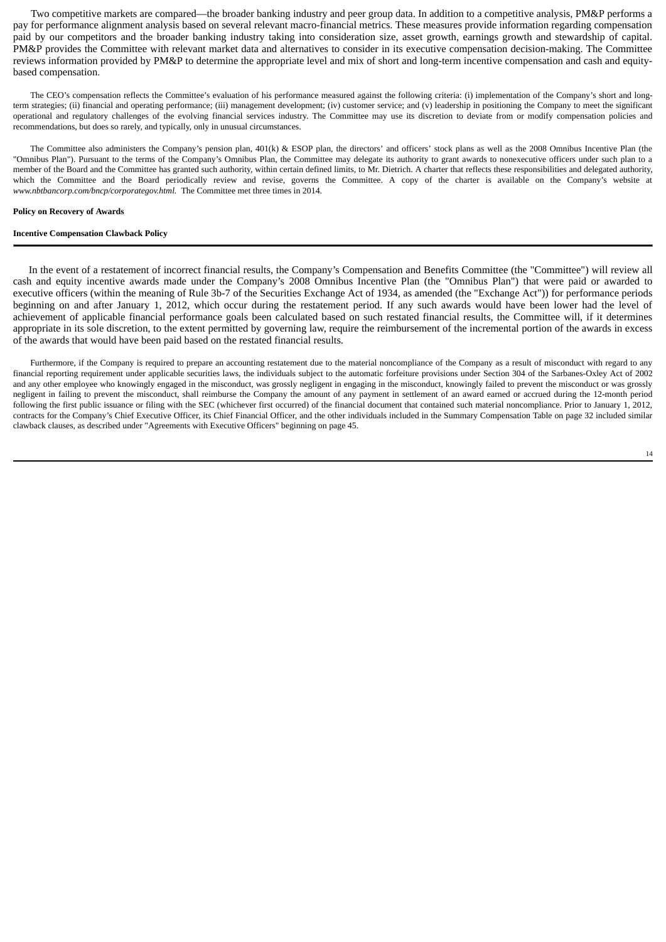Two competitive markets are compared—the broader banking industry and peer group data. In addition to a competitive analysis, PM&P performs a pay for performance alignment analysis based on several relevant macro-financial metrics. These measures provide information regarding compensation paid by our competitors and the broader banking industry taking into consideration size, asset growth, earnings growth and stewardship of capital. PM&P provides the Committee with relevant market data and alternatives to consider in its executive compensation decision-making. The Committee reviews information provided by PM&P to determine the appropriate level and mix of short and long-term incentive compensation and cash and equitybased compensation.

The CEO's compensation reflects the Committee's evaluation of his performance measured against the following criteria: (i) implementation of the Company's short and longterm strategies; (ii) financial and operating performance; (iii) management development; (iv) customer service; and (v) leadership in positioning the Company to meet the significant operational and regulatory challenges of the evolving financial services industry. The Committee may use its discretion to deviate from or modify compensation policies and recommendations, but does so rarely, and typically, only in unusual circumstances.

The Committee also administers the Company's pension plan, 401(k) & ESOP plan, the directors' and officers' stock plans as well as the 2008 Omnibus Incentive Plan (the "Omnibus Plan"). Pursuant to the terms of the Company's Omnibus Plan, the Committee may delegate its authority to grant awards to nonexecutive officers under such plan to a member of the Board and the Committee has granted such authority, within certain defined limits, to Mr. Dietrich. A charter that reflects these responsibilities and delegated authority, which the Committee and the Board periodically review and revise, governs the Committee. A copy of the charter is available on the Company's website at *www.nbtbancorp.com/bncp/corporategov.html.* The Committee met three times in 2014.

#### **Policy on Recovery of Awards**

#### **Incentive Compensation Clawback Policy**

In the event of a restatement of incorrect financial results, the Company's Compensation and Benefits Committee (the "Committee") will review all cash and equity incentive awards made under the Company's 2008 Omnibus Incentive Plan (the "Omnibus Plan") that were paid or awarded to executive officers (within the meaning of Rule 3b-7 of the Securities Exchange Act of 1934, as amended (the "Exchange Act")) for performance periods beginning on and after January 1, 2012, which occur during the restatement period. If any such awards would have been lower had the level of achievement of applicable financial performance goals been calculated based on such restated financial results, the Committee will, if it determines appropriate in its sole discretion, to the extent permitted by governing law, require the reimbursement of the incremental portion of the awards in excess of the awards that would have been paid based on the restated financial results.

Furthermore, if the Company is required to prepare an accounting restatement due to the material noncompliance of the Company as a result of misconduct with regard to any financial reporting requirement under applicable securities laws, the individuals subject to the automatic forfeiture provisions under Section 304 of the Sarbanes-Oxley Act of 2002 and any other employee who knowingly engaged in the misconduct, was grossly negligent in engaging in the misconduct, knowingly failed to prevent the misconduct or was grossly negligent in failing to prevent the misconduct, shall reimburse the Company the amount of any payment in settlement of an award earned or accrued during the 12-month period following the first public issuance or filing with the SEC (whichever first occurred) of the financial document that contained such material noncompliance. Prior to January 1, 2012, contracts for the Company's Chief Executive Officer, its Chief Financial Officer, and the other individuals included in the Summary Compensation Table on page 32 included similar clawback clauses, as described under "Agreements with Executive Officers" beginning on page 45.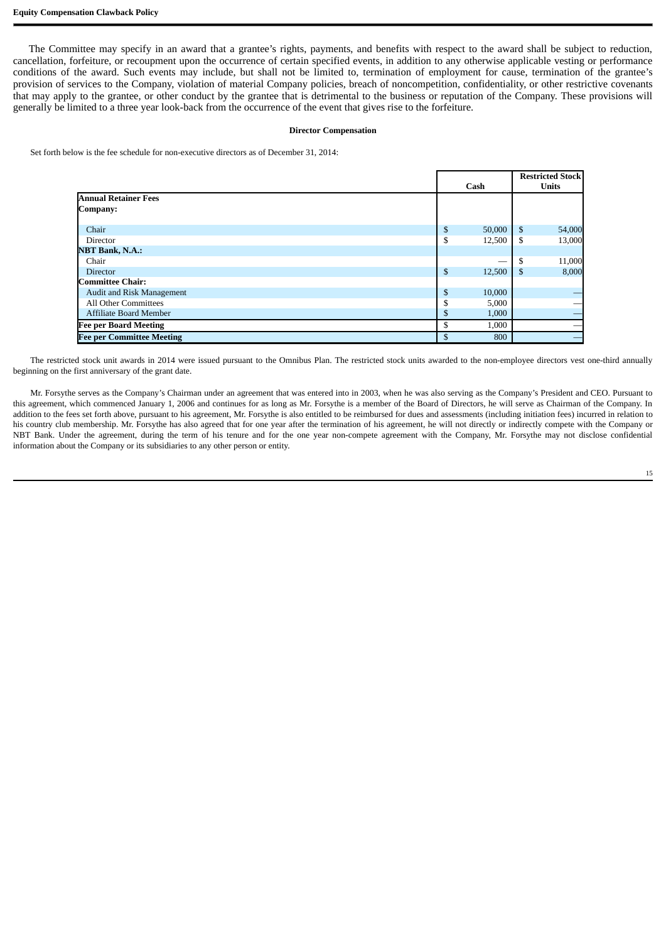The Committee may specify in an award that a grantee's rights, payments, and benefits with respect to the award shall be subject to reduction, cancellation, forfeiture, or recoupment upon the occurrence of certain specified events, in addition to any otherwise applicable vesting or performance conditions of the award. Such events may include, but shall not be limited to, termination of employment for cause, termination of the grantee's provision of services to the Company, violation of material Company policies, breach of noncompetition, confidentiality, or other restrictive covenants that may apply to the grantee, or other conduct by the grantee that is detrimental to the business or reputation of the Company. These provisions will generally be limited to a three year look-back from the occurrence of the event that gives rise to the forfeiture.

# **Director Compensation**

Set forth below is the fee schedule for non-executive directors as of December 31, 2014:

|                                  |        |        |     | <b>Restricted Stock</b> |
|----------------------------------|--------|--------|-----|-------------------------|
|                                  |        | Cash   |     | <b>Units</b>            |
| <b>Annual Retainer Fees</b>      |        |        |     |                         |
| Company:                         |        |        |     |                         |
|                                  |        |        |     |                         |
| Chair                            | \$     | 50,000 | \$  | 54,000                  |
| Director                         | \$     | 12,500 | \$  | 13,000                  |
| <b>NBT Bank, N.A.:</b>           |        |        |     |                         |
| Chair                            |        | _      | \$. | 11,000                  |
| <b>Director</b>                  | \$     | 12,500 | S   | 8,000                   |
| Committee Chair:                 |        |        |     |                         |
| Audit and Risk Management        | \$     | 10,000 |     |                         |
| <b>All Other Committees</b>      | ¢<br>ъ | 5,000  |     |                         |
| <b>Affiliate Board Member</b>    | \$     | 1,000  |     |                         |
| <b>Fee per Board Meeting</b>     | \$     | 1,000  |     |                         |
| <b>Fee per Committee Meeting</b> | \$     | 800    |     |                         |

The restricted stock unit awards in 2014 were issued pursuant to the Omnibus Plan. The restricted stock units awarded to the non-employee directors vest one-third annually beginning on the first anniversary of the grant date.

Mr. Forsythe serves as the Company's Chairman under an agreement that was entered into in 2003, when he was also serving as the Company's President and CEO. Pursuant to this agreement, which commenced January 1, 2006 and continues for as long as Mr. Forsythe is a member of the Board of Directors, he will serve as Chairman of the Company. In addition to the fees set forth above, pursuant to his agreement, Mr. Forsythe is also entitled to be reimbursed for dues and assessments (including initiation fees) incurred in relation to his country club membership. Mr. Forsythe has also agreed that for one year after the termination of his agreement, he will not directly or indirectly compete with the Company or NBT Bank. Under the agreement, during the term of his tenure and for the one year non-compete agreement with the Company, Mr. Forsythe may not disclose confidential information about the Company or its subsidiaries to any other person or entity.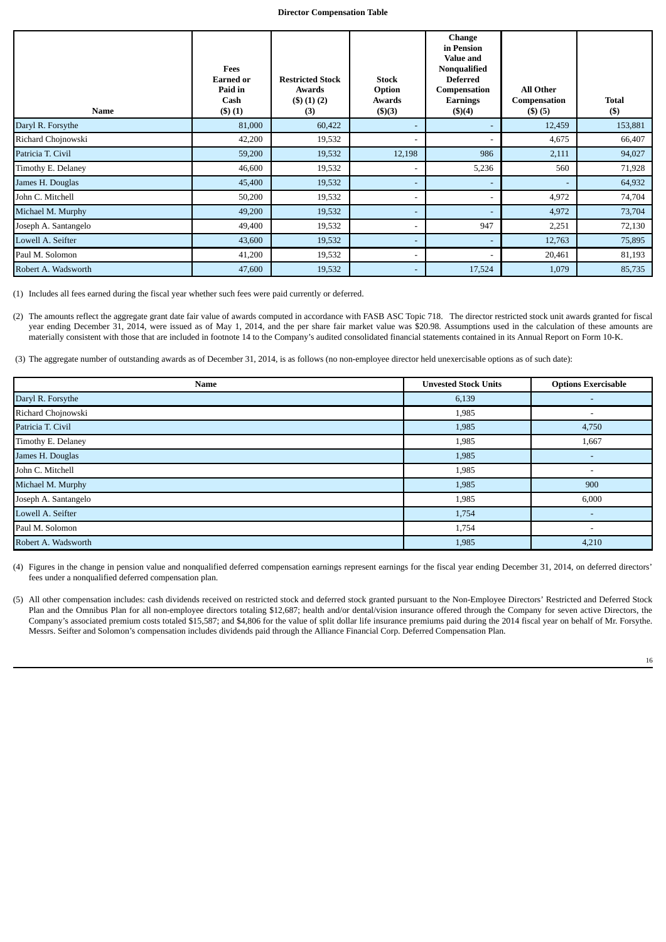#### **Director Compensation Table**

| <b>Name</b>          | Fees<br><b>Earned or</b><br>Paid in<br>Cash<br>(3)(1) | <b>Restricted Stock</b><br>Awards<br>(5)(1)(2)<br>(3) | <b>Stock</b><br>Option<br><b>Awards</b><br>$($ \$ $)(3)$ | <b>Change</b><br>in Pension<br><b>Value and</b><br>Nonqualified<br><b>Deferred</b><br>Compensation<br>Earnings<br>$($ \$ $)(4)$ | <b>All Other</b><br>Compensation<br>$($ \$) $(5)$ | <b>Total</b><br>$($)$ |
|----------------------|-------------------------------------------------------|-------------------------------------------------------|----------------------------------------------------------|---------------------------------------------------------------------------------------------------------------------------------|---------------------------------------------------|-----------------------|
| Daryl R. Forsythe    | 81,000                                                | 60,422                                                | $\overline{\phantom{a}}$                                 | $\overline{\phantom{a}}$                                                                                                        | 12,459                                            | 153,881               |
| Richard Chojnowski   | 42,200                                                | 19,532                                                |                                                          |                                                                                                                                 | 4,675                                             | 66,407                |
| Patricia T. Civil    | 59,200                                                | 19,532                                                | 12,198                                                   | 986                                                                                                                             | 2,111                                             | 94,027                |
| Timothy E. Delaney   | 46,600                                                | 19,532                                                | $\blacksquare$                                           | 5,236                                                                                                                           | 560                                               | 71,928                |
| James H. Douglas     | 45,400                                                | 19,532                                                | $\overline{\phantom{a}}$                                 |                                                                                                                                 |                                                   | 64,932                |
| John C. Mitchell     | 50,200                                                | 19,532                                                | $\blacksquare$                                           |                                                                                                                                 | 4,972                                             | 74,704                |
| Michael M. Murphy    | 49,200                                                | 19,532                                                | $\overline{\phantom{a}}$                                 | $\overline{\phantom{a}}$                                                                                                        | 4,972                                             | 73,704                |
| Joseph A. Santangelo | 49,400                                                | 19,532                                                |                                                          | 947                                                                                                                             | 2,251                                             | 72,130                |
| Lowell A. Seifter    | 43,600                                                | 19,532                                                | $\overline{\phantom{a}}$                                 |                                                                                                                                 | 12,763                                            | 75,895                |
| Paul M. Solomon      | 41,200                                                | 19,532                                                | $\overline{\phantom{a}}$                                 |                                                                                                                                 | 20,461                                            | 81,193                |
| Robert A. Wadsworth  | 47,600                                                | 19,532                                                | $\overline{\phantom{a}}$                                 | 17,524                                                                                                                          | 1,079                                             | 85,735                |

(1) Includes all fees earned during the fiscal year whether such fees were paid currently or deferred.

(2) The amounts reflect the aggregate grant date fair value of awards computed in accordance with FASB ASC Topic 718. The director restricted stock unit awards granted for fiscal year ending December 31, 2014, were issued as of May 1, 2014, and the per share fair market value was \$20.98. Assumptions used in the calculation of these amounts are materially consistent with those that are included in footnote 14 to the Company's audited consolidated financial statements contained in its Annual Report on Form 10-K.

(3) The aggregate number of outstanding awards as of December 31, 2014, is as follows (no non-employee director held unexercisable options as of such date):

| <b>Name</b>          | <b>Unvested Stock Units</b> | <b>Options Exercisable</b> |
|----------------------|-----------------------------|----------------------------|
| Daryl R. Forsythe    | 6,139                       | $\overline{\phantom{0}}$   |
| Richard Chojnowski   | 1,985                       | ٠                          |
| Patricia T. Civil    | 1,985                       | 4,750                      |
| Timothy E. Delaney   | 1,985                       | 1,667                      |
| James H. Douglas     | 1,985                       | $\overline{\phantom{0}}$   |
| John C. Mitchell     | 1,985                       | $\overline{\phantom{a}}$   |
| Michael M. Murphy    | 1,985                       | 900                        |
| Joseph A. Santangelo | 1,985                       | 6,000                      |
| Lowell A. Seifter    | 1,754                       |                            |
| Paul M. Solomon      | 1,754                       | $\overline{\phantom{a}}$   |
| Robert A. Wadsworth  | 1,985                       | 4,210                      |

(4) Figures in the change in pension value and nonqualified deferred compensation earnings represent earnings for the fiscal year ending December 31, 2014, on deferred directors' fees under a nonqualified deferred compensation plan.

(5) All other compensation includes: cash dividends received on restricted stock and deferred stock granted pursuant to the Non-Employee Directors' Restricted and Deferred Stock Plan and the Omnibus Plan for all non-employee directors totaling \$12,687; health and/or dental/vision insurance offered through the Company for seven active Directors, the Company's associated premium costs totaled \$15,587; and \$4,806 for the value of split dollar life insurance premiums paid during the 2014 fiscal year on behalf of Mr. Forsythe. Messrs. Seifter and Solomon's compensation includes dividends paid through the Alliance Financial Corp. Deferred Compensation Plan.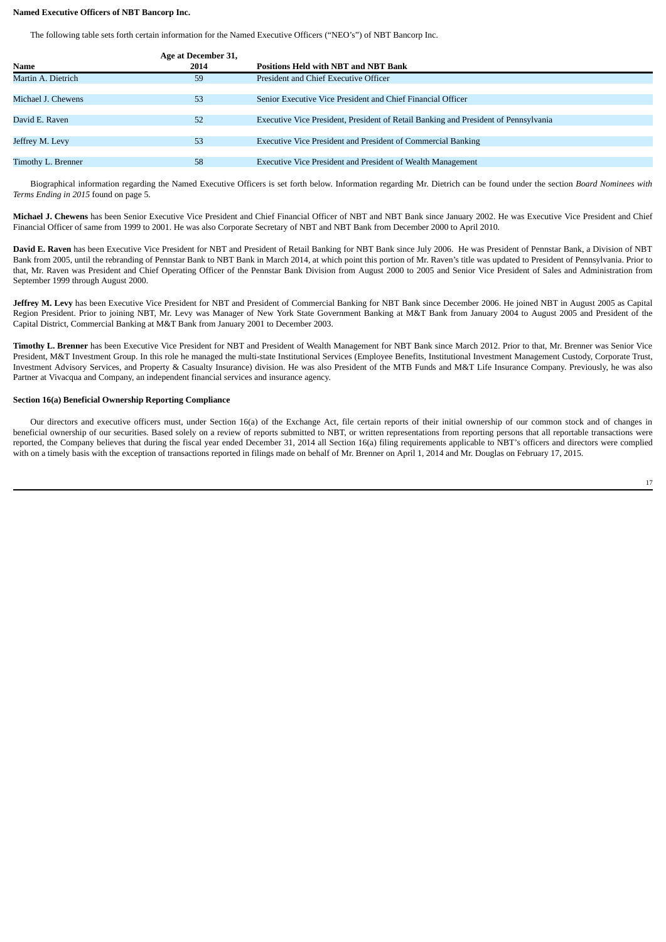# **Named Executive Officers of NBT Bancorp Inc.**

The following table sets forth certain information for the Named Executive Officers ("NEO's") of NBT Bancorp Inc.

|                    | Age at December 31, |                                                                                     |
|--------------------|---------------------|-------------------------------------------------------------------------------------|
| Name               | 2014                | <b>Positions Held with NBT and NBT Bank</b>                                         |
| Martin A. Dietrich | 59                  | President and Chief Executive Officer                                               |
|                    |                     |                                                                                     |
| Michael J. Chewens | 53                  | Senior Executive Vice President and Chief Financial Officer                         |
|                    |                     |                                                                                     |
| David E. Raven     | 52                  | Executive Vice President, President of Retail Banking and President of Pennsylvania |
|                    |                     |                                                                                     |
| Jeffrey M. Levy    | 53                  | Executive Vice President and President of Commercial Banking                        |
|                    |                     |                                                                                     |
| Timothy L. Brenner | 58                  | Executive Vice President and President of Wealth Management                         |

Biographical information regarding the Named Executive Officers is set forth below. Information regarding Mr. Dietrich can be found under the section *Board Nominees with Terms Ending in 2015* found on page 5.

**Michael J. Chewens** has been Senior Executive Vice President and Chief Financial Officer of NBT and NBT Bank since January 2002. He was Executive Vice President and Chief Financial Officer of same from 1999 to 2001. He was also Corporate Secretary of NBT and NBT Bank from December 2000 to April 2010.

**David E. Raven** has been Executive Vice President for NBT and President of Retail Banking for NBT Bank since July 2006. He was President of Pennstar Bank, a Division of NBT Bank from 2005, until the rebranding of Pennstar Bank to NBT Bank in March 2014, at which point this portion of Mr. Raven's title was updated to President of Pennsylvania. Prior to that, Mr. Raven was President and Chief Operating Officer of the Pennstar Bank Division from August 2000 to 2005 and Senior Vice President of Sales and Administration from September 1999 through August 2000.

**Jeffrey M. Levy** has been Executive Vice President for NBT and President of Commercial Banking for NBT Bank since December 2006. He joined NBT in August 2005 as Capital Region President. Prior to joining NBT, Mr. Levy was Manager of New York State Government Banking at M&T Bank from January 2004 to August 2005 and President of the Capital District, Commercial Banking at M&T Bank from January 2001 to December 2003.

**Timothy L. Brenner** has been Executive Vice President for NBT and President of Wealth Management for NBT Bank since March 2012. Prior to that, Mr. Brenner was Senior Vice President, M&T Investment Group. In this role he managed the multi-state Institutional Services (Employee Benefits, Institutional Investment Management Custody, Corporate Trust, Investment Advisory Services, and Property & Casualty Insurance) division. He was also President of the MTB Funds and M&T Life Insurance Company. Previously, he was also Partner at Vivacqua and Company, an independent financial services and insurance agency.

# **Section 16(a) Beneficial Ownership Reporting Compliance**

Our directors and executive officers must, under Section 16(a) of the Exchange Act, file certain reports of their initial ownership of our common stock and of changes in beneficial ownership of our securities. Based solely on a review of reports submitted to NBT, or written representations from reporting persons that all reportable transactions were reported, the Company believes that during the fiscal year ended December 31, 2014 all Section 16(a) filing requirements applicable to NBT's officers and directors were complied with on a timely basis with the exception of transactions reported in filings made on behalf of Mr. Brenner on April 1, 2014 and Mr. Douglas on February 17, 2015.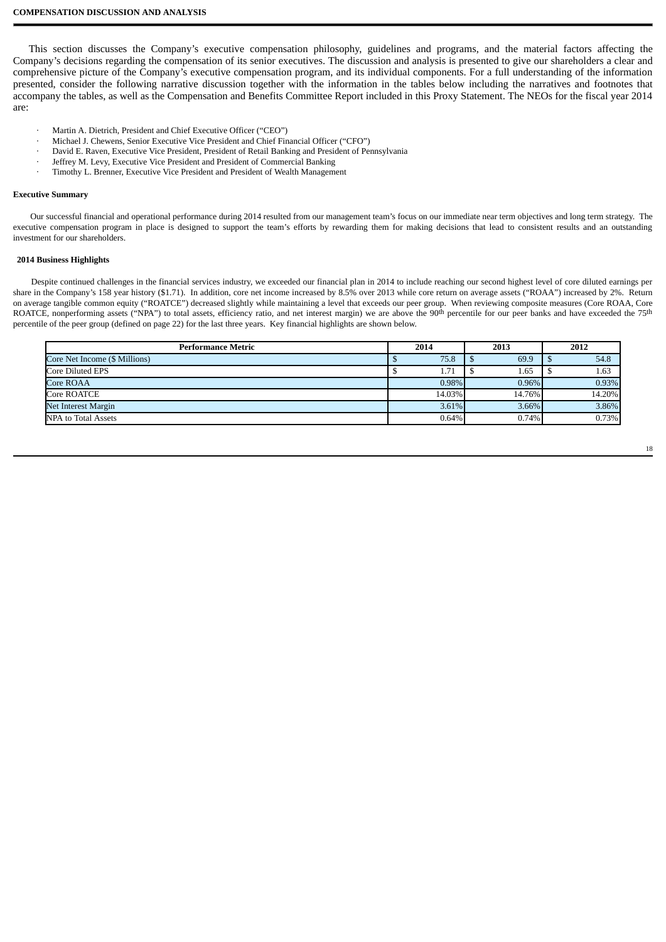This section discusses the Company's executive compensation philosophy, guidelines and programs, and the material factors affecting the Company's decisions regarding the compensation of its senior executives. The discussion and analysis is presented to give our shareholders a clear and comprehensive picture of the Company's executive compensation program, and its individual components. For a full understanding of the information presented, consider the following narrative discussion together with the information in the tables below including the narratives and footnotes that accompany the tables, as well as the Compensation and Benefits Committee Report included in this Proxy Statement. The NEOs for the fiscal year 2014 are:

- Martin A. Dietrich, President and Chief Executive Officer ("CEO")
- · Michael J. Chewens, Senior Executive Vice President and Chief Financial Officer ("CFO")
- · David E. Raven, Executive Vice President, President of Retail Banking and President of Pennsylvania
- Jeffrey M. Levy, Executive Vice President and President of Commercial Banking
- · Timothy L. Brenner, Executive Vice President and President of Wealth Management

## **Executive Summary**

Our successful financial and operational performance during 2014 resulted from our management team's focus on our immediate near term objectives and long term strategy. The executive compensation program in place is designed to support the team's efforts by rewarding them for making decisions that lead to consistent results and an outstanding investment for our shareholders.

#### **2014 Business Highlights**

Despite continued challenges in the financial services industry, we exceeded our financial plan in 2014 to include reaching our second highest level of core diluted earnings per share in the Company's 158 year history (\$1.71). In addition, core net income increased by 8.5% over 2013 while core return on average assets ("ROAA") increased by 2%. Return on average tangible common equity ("ROATCE") decreased slightly while maintaining a level that exceeds our peer group. When reviewing composite measures (Core ROAA, Core ROATCE, nonperforming assets ("NPA") to total assets, efficiency ratio, and net interest margin) we are above the 90<sup>th</sup> percentile for our peer banks and have exceeded the 75<sup>th</sup> percentile of the peer group (defined on page 22) for the last three years. Key financial highlights are shown below.

| <b>Performance Metric</b>     | 2014   | 2013   | 2012   |
|-------------------------------|--------|--------|--------|
| Core Net Income (\$ Millions) | 75.8   | 69.9   | 54.8   |
| Core Diluted EPS              | 1.71   | 1.65   | 1.63   |
| Core ROAA                     | 0.98%  | 0.96%  | 0.93%  |
| Core ROATCE                   | 14.03% | 14.76% | 14.20% |
| Net Interest Margin           | 3.61%  | 3.66%  | 3.86%  |
| NPA to Total Assets           | 0.64%  | 0.74%  | 0.73%  |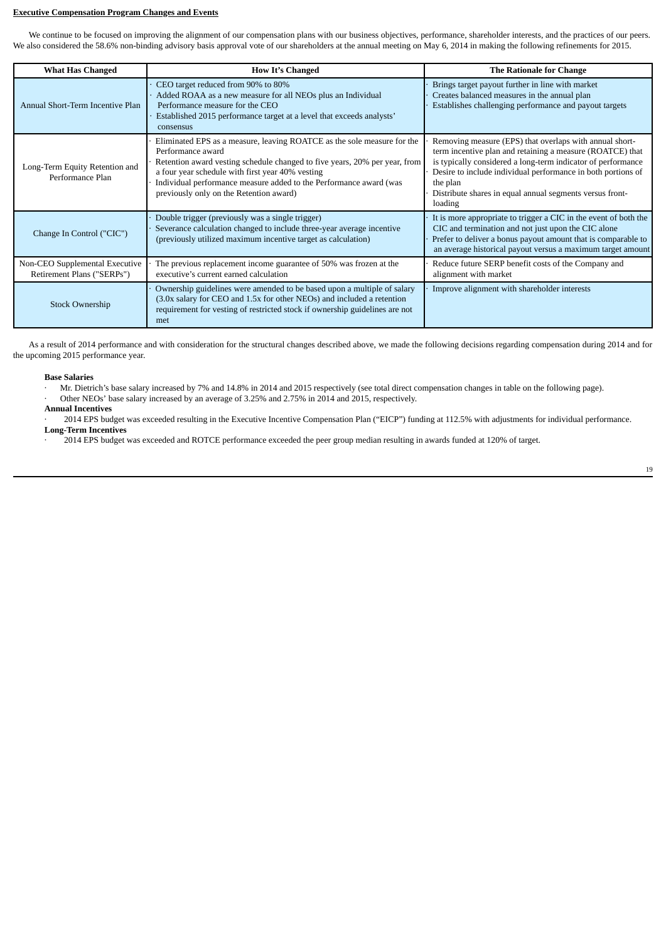# **Executive Compensation Program Changes and Events**

We continue to be focused on improving the alignment of our compensation plans with our business objectives, performance, shareholder interests, and the practices of our peers. We also considered the 58.6% non-binding advisory basis approval vote of our shareholders at the annual meeting on May 6, 2014 in making the following refinements for 2015.

| <b>What Has Changed</b>                                      | <b>How It's Changed</b>                                                                                                                                                                                                                                                                                                                         | <b>The Rationale for Change</b>                                                                                                                                                                                                                                                                                                         |
|--------------------------------------------------------------|-------------------------------------------------------------------------------------------------------------------------------------------------------------------------------------------------------------------------------------------------------------------------------------------------------------------------------------------------|-----------------------------------------------------------------------------------------------------------------------------------------------------------------------------------------------------------------------------------------------------------------------------------------------------------------------------------------|
| Annual Short-Term Incentive Plan                             | CEO target reduced from 90% to 80%<br>Added ROAA as a new measure for all NEOs plus an Individual<br>Performance measure for the CEO<br>Established 2015 performance target at a level that exceeds analysts'<br>consensus                                                                                                                      | Brings target payout further in line with market<br>Creates balanced measures in the annual plan<br>Establishes challenging performance and payout targets                                                                                                                                                                              |
| Long-Term Equity Retention and<br>Performance Plan           | Eliminated EPS as a measure, leaving ROATCE as the sole measure for the<br>Performance award<br>Retention award vesting schedule changed to five years, 20% per year, from<br>a four year schedule with first year 40% vesting<br>Individual performance measure added to the Performance award (was<br>previously only on the Retention award) | Removing measure (EPS) that overlaps with annual short-<br>term incentive plan and retaining a measure (ROATCE) that<br>is typically considered a long-term indicator of performance<br>Desire to include individual performance in both portions of<br>the plan<br>Distribute shares in equal annual segments versus front-<br>loading |
| Change In Control ("CIC")                                    | Double trigger (previously was a single trigger)<br>Severance calculation changed to include three-year average incentive<br>(previously utilized maximum incentive target as calculation)                                                                                                                                                      | It is more appropriate to trigger a CIC in the event of both the<br>CIC and termination and not just upon the CIC alone<br>Prefer to deliver a bonus payout amount that is comparable to<br>an average historical payout versus a maximum target amount                                                                                 |
| Non-CEO Supplemental Executive<br>Retirement Plans ("SERPs") | The previous replacement income guarantee of 50% was frozen at the<br>executive's current earned calculation                                                                                                                                                                                                                                    | Reduce future SERP benefit costs of the Company and<br>alignment with market                                                                                                                                                                                                                                                            |
| <b>Stock Ownership</b>                                       | Ownership guidelines were amended to be based upon a multiple of salary<br>(3.0x salary for CEO and 1.5x for other NEOs) and included a retention<br>requirement for vesting of restricted stock if ownership guidelines are not<br>met                                                                                                         | Improve alignment with shareholder interests                                                                                                                                                                                                                                                                                            |

As a result of 2014 performance and with consideration for the structural changes described above, we made the following decisions regarding compensation during 2014 and for the upcoming 2015 performance year.

#### **Base Salaries**

· Mr. Dietrich's base salary increased by 7% and 14.8% in 2014 and 2015 respectively (see total direct compensation changes in table on the following page).

Other NEOs' base salary increased by an average of 3.25% and 2.75% in 2014 and 2015, respectively.

# **Annual Incentives**

· 2014 EPS budget was exceeded resulting in the Executive Incentive Compensation Plan ("EICP") funding at 112.5% with adjustments for individual performance. **Long-Term Incentives**

· 2014 EPS budget was exceeded and ROTCE performance exceeded the peer group median resulting in awards funded at 120% of target.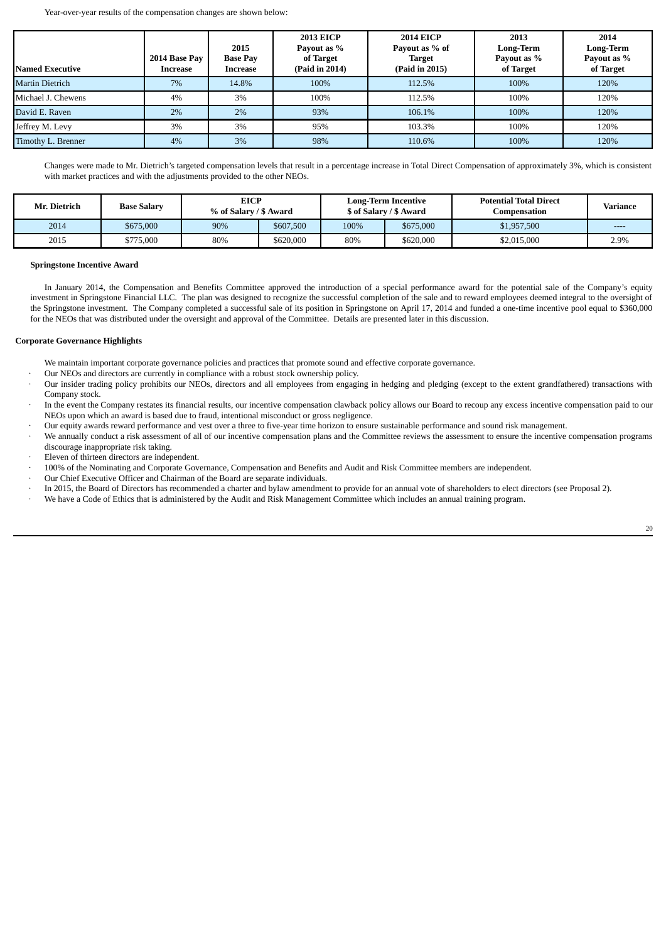Year-over-year results of the compensation changes are shown below:

| <b>Named Executive</b> | 2014 Base Pay<br>Increase | 2015<br><b>Base Pay</b><br>Increase | <b>2013 EICP</b><br>Payout as %<br>of Target<br>(Paid in 2014) | <b>2014 EICP</b><br>Payout as % of<br><b>Target</b><br>(Paid in 2015) | 2013<br><b>Long-Term</b><br>Payout as %<br>of Target | 2014<br><b>Long-Term</b><br>Payout as %<br>of Target |
|------------------------|---------------------------|-------------------------------------|----------------------------------------------------------------|-----------------------------------------------------------------------|------------------------------------------------------|------------------------------------------------------|
| <b>Martin Dietrich</b> | 7%                        | 14.8%                               | 100%                                                           | 112.5%                                                                | 100%                                                 | 120%                                                 |
| Michael J. Chewens     | 4%                        | 3%                                  | 100%                                                           | 112.5%                                                                | 100%                                                 | 120%                                                 |
| David E. Raven         | 2%                        | 2%                                  | 93%                                                            | 106.1%                                                                | 100%                                                 | 120%                                                 |
| Jeffrey M. Levy        | 3%                        | 3%                                  | 95%                                                            | 103.3%                                                                | 100%                                                 | 120%                                                 |
| Timothy L. Brenner     | 4%                        | 3%                                  | 98%                                                            | 110.6%                                                                | 100%                                                 | 120%                                                 |

Changes were made to Mr. Dietrich's targeted compensation levels that result in a percentage increase in Total Direct Compensation of approximately 3%, which is consistent with market practices and with the adjustments provided to the other NEOs.

| Mr. Dietrich | <b>Base Salary</b> |     | <b>EICP</b><br>% of Salary / \$ Award |      | <b>Long-Term Incentive</b><br>\$ of Salary / \$ Award |             | <b>Potential Total Direct</b><br>Compensation | Variance |
|--------------|--------------------|-----|---------------------------------------|------|-------------------------------------------------------|-------------|-----------------------------------------------|----------|
| 2014         | \$675,000          | 90% | \$607,500                             | 100% | \$675,000                                             | \$1,957,500 | ----                                          |          |
| 2015         | \$775,000          | 80% | \$620,000                             | 80%  | \$620,000                                             | \$2,015,000 | 2.9%                                          |          |

# **Springstone Incentive Award**

In January 2014, the Compensation and Benefits Committee approved the introduction of a special performance award for the potential sale of the Company's equity investment in Springstone Financial LLC. The plan was designed to recognize the successful completion of the sale and to reward employees deemed integral to the oversight of the Springstone investment. The Company completed a successful sale of its position in Springstone on April 17, 2014 and funded a one-time incentive pool equal to \$360,000 for the NEOs that was distributed under the oversight and approval of the Committee. Details are presented later in this discussion.

# **Corporate Governance Highlights**

We maintain important corporate governance policies and practices that promote sound and effective corporate governance.

- Our NEOs and directors are currently in compliance with a robust stock ownership policy.
- · Our insider trading policy prohibits our NEOs, directors and all employees from engaging in hedging and pledging (except to the extent grandfathered) transactions with Company stock.
- In the event the Company restates its financial results, our incentive compensation clawback policy allows our Board to recoup any excess incentive compensation paid to our NEOs upon which an award is based due to fraud, intentional misconduct or gross negligence.
- · Our equity awards reward performance and vest over a three to five-year time horizon to ensure sustainable performance and sound risk management.
- · We annually conduct a risk assessment of all of our incentive compensation plans and the Committee reviews the assessment to ensure the incentive compensation programs discourage inappropriate risk taking.
- Eleven of thirteen directors are independent.
- · 100% of the Nominating and Corporate Governance, Compensation and Benefits and Audit and Risk Committee members are independent.
- Our Chief Executive Officer and Chairman of the Board are separate individuals.
- · In 2015, the Board of Directors has recommended a charter and bylaw amendment to provide for an annual vote of shareholders to elect directors (see Proposal 2).
- · We have a Code of Ethics that is administered by the Audit and Risk Management Committee which includes an annual training program.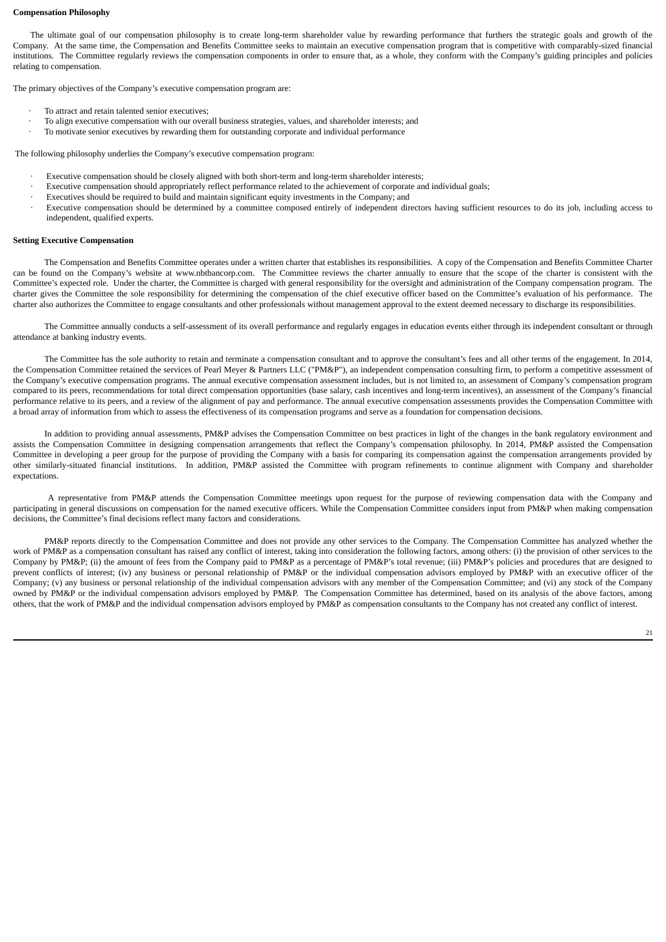#### **Compensation Philosophy**

The ultimate goal of our compensation philosophy is to create long-term shareholder value by rewarding performance that furthers the strategic goals and growth of the Company. At the same time, the Compensation and Benefits Committee seeks to maintain an executive compensation program that is competitive with comparably-sized financial institutions. The Committee regularly reviews the compensation components in order to ensure that, as a whole, they conform with the Company's guiding principles and policies relating to compensation.

The primary objectives of the Company's executive compensation program are:

- To attract and retain talented senior executives;
- · To align executive compensation with our overall business strategies, values, and shareholder interests; and
- To motivate senior executives by rewarding them for outstanding corporate and individual performance

The following philosophy underlies the Company's executive compensation program:

- Executive compensation should be closely aligned with both short-term and long-term shareholder interests;
	- · Executive compensation should appropriately reflect performance related to the achievement of corporate and individual goals;
- Executives should be required to build and maintain significant equity investments in the Company; and
- Executive compensation should be determined by a committee composed entirely of independent directors having sufficient resources to do its job, including access to independent, qualified experts.

#### **Setting Executive Compensation**

The Compensation and Benefits Committee operates under a written charter that establishes its responsibilities. A copy of the Compensation and Benefits Committee Charter can be found on the Company's website at www.nbtbancorp.com. The Committee reviews the charter annually to ensure that the scope of the charter is consistent with the Committee's expected role. Under the charter, the Committee is charged with general responsibility for the oversight and administration of the Company compensation program. The charter gives the Committee the sole responsibility for determining the compensation of the chief executive officer based on the Committee's evaluation of his performance. The charter also authorizes the Committee to engage consultants and other professionals without management approval to the extent deemed necessary to discharge its responsibilities.

The Committee annually conducts a self-assessment of its overall performance and regularly engages in education events either through its independent consultant or through attendance at banking industry events.

The Committee has the sole authority to retain and terminate a compensation consultant and to approve the consultant's fees and all other terms of the engagement. In 2014, the Compensation Committee retained the services of Pearl Meyer & Partners LLC ("PM&P"), an independent compensation consulting firm, to perform a competitive assessment of the Company's executive compensation programs. The annual executive compensation assessment includes, but is not limited to, an assessment of Company's compensation program compared to its peers, recommendations for total direct compensation opportunities (base salary, cash incentives and long-term incentives), an assessment of the Company's financial performance relative to its peers, and a review of the alignment of pay and performance. The annual executive compensation assessments provides the Compensation Committee with a broad array of information from which to assess the effectiveness of its compensation programs and serve as a foundation for compensation decisions.

In addition to providing annual assessments, PM&P advises the Compensation Committee on best practices in light of the changes in the bank regulatory environment and assists the Compensation Committee in designing compensation arrangements that reflect the Company's compensation philosophy. In 2014, PM&P assisted the Compensation Committee in developing a peer group for the purpose of providing the Company with a basis for comparing its compensation against the compensation arrangements provided by other similarly-situated financial institutions. In addition, PM&P assisted the Committee with program refinements to continue alignment with Company and shareholder expectations.

A representative from PM&P attends the Compensation Committee meetings upon request for the purpose of reviewing compensation data with the Company and participating in general discussions on compensation for the named executive officers. While the Compensation Committee considers input from PM&P when making compensation decisions, the Committee's final decisions reflect many factors and considerations.

PM&P reports directly to the Compensation Committee and does not provide any other services to the Company. The Compensation Committee has analyzed whether the work of PM&P as a compensation consultant has raised any conflict of interest, taking into consideration the following factors, among others: (i) the provision of other services to the Company by PM&P; (ii) the amount of fees from the Company paid to PM&P as a percentage of PM&P's total revenue; (iii) PM&P's policies and procedures that are designed to prevent conflicts of interest; (iv) any business or personal relationship of PM&P or the individual compensation advisors employed by PM&P with an executive officer of the Company; (v) any business or personal relationship of the individual compensation advisors with any member of the Compensation Committee; and (vi) any stock of the Company owned by PM&P or the individual compensation advisors employed by PM&P. The Compensation Committee has determined, based on its analysis of the above factors, among others, that the work of PM&P and the individual compensation advisors employed by PM&P as compensation consultants to the Company has not created any conflict of interest.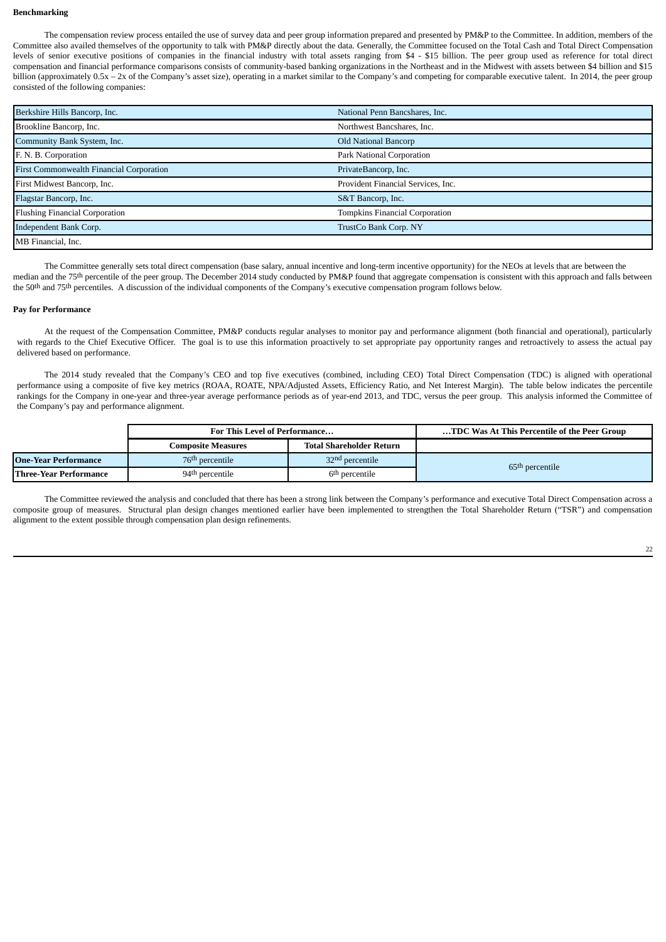#### **Benchmarking**

The compensation review process entailed the use of survey data and peer group information prepared and presented by PM&P to the Committee. In addition, members of the Committee also availed themselves of the opportunity to talk with PM&P directly about the data. Generally, the Committee focused on the Total Cash and Total Direct Compensation levels of senior executive positions of companies in the financial industry with total assets ranging from \$4 - \$15 billion. The peer group used as reference for total direct compensation and financial performance comparisons consists of community-based banking organizations in the Northeast and in the Midwest with assets between \$4 billion and \$15 billion (approximately 0.5x - 2x of the Company's asset size), operating in a market similar to the Company's and competing for comparable executive talent. In 2014, the peer group consisted of the following companies:

| Berkshire Hills Bancorp, Inc.                   | National Penn Bancshares, Inc.     |
|-------------------------------------------------|------------------------------------|
| Brookline Bancorp, Inc.                         | Northwest Bancshares, Inc.         |
| Community Bank System, Inc.                     | <b>Old National Bancorp</b>        |
| F. N. B. Corporation                            | Park National Corporation          |
| <b>First Commonwealth Financial Corporation</b> | PrivateBancorp, Inc.               |
| First Midwest Bancorp, Inc.                     | Provident Financial Services, Inc. |
| Flagstar Bancorp, Inc.                          | S&T Bancorp, Inc.                  |
| <b>Flushing Financial Corporation</b>           | Tompkins Financial Corporation     |
| Independent Bank Corp.                          | TrustCo Bank Corp. NY              |
| MB Financial, Inc.                              |                                    |

The Committee generally sets total direct compensation (base salary, annual incentive and long-term incentive opportunity) for the NEOs at levels that are between the median and the 75<sup>th</sup> percentile of the peer group. The December 2014 study conducted by PM&P found that aggregate compensation is consistent with this approach and falls between the 50th and 75th percentiles. A discussion of the individual components of the Company's executive compensation program follows below.

# **Pay for Performance**

At the request of the Compensation Committee, PM&P conducts regular analyses to monitor pay and performance alignment (both financial and operational), particularly with regards to the Chief Executive Officer. The goal is to use this information proactively to set appropriate pay opportunity ranges and retroactively to assess the actual pay delivered based on performance.

The 2014 study revealed that the Company's CEO and top five executives (combined, including CEO) Total Direct Compensation (TDC) is aligned with operational performance using a composite of five key metrics (ROAA, ROATE, NPA/Adjusted Assets, Efficiency Ratio, and Net Interest Margin). The table below indicates the percentile rankings for the Company in one-year and three-year average performance periods as of year-end 2013, and TDC, versus the peer group. This analysis informed the Committee of the Company's pay and performance alignment.

|                        | For This Level of Performance |                             | TDC Was At This Percentile of the Peer Group |
|------------------------|-------------------------------|-----------------------------|----------------------------------------------|
|                        | Composite Measures            | Total Shareholder Return    |                                              |
| One-Year Performance   | 76 <sup>th</sup> percentile   | 32 <sup>nd</sup> percentile | 65 <sup>th</sup> percentile                  |
| Three-Year Performance | 94 <sup>th</sup> percentile   | 6 <sup>th</sup> percentile  |                                              |

The Committee reviewed the analysis and concluded that there has been a strong link between the Company's performance and executive Total Direct Compensation across a composite group of measures. Structural plan design changes mentioned earlier have been implemented to strengthen the Total Shareholder Return ("TSR") and compensation alignment to the extent possible through compensation plan design refinements.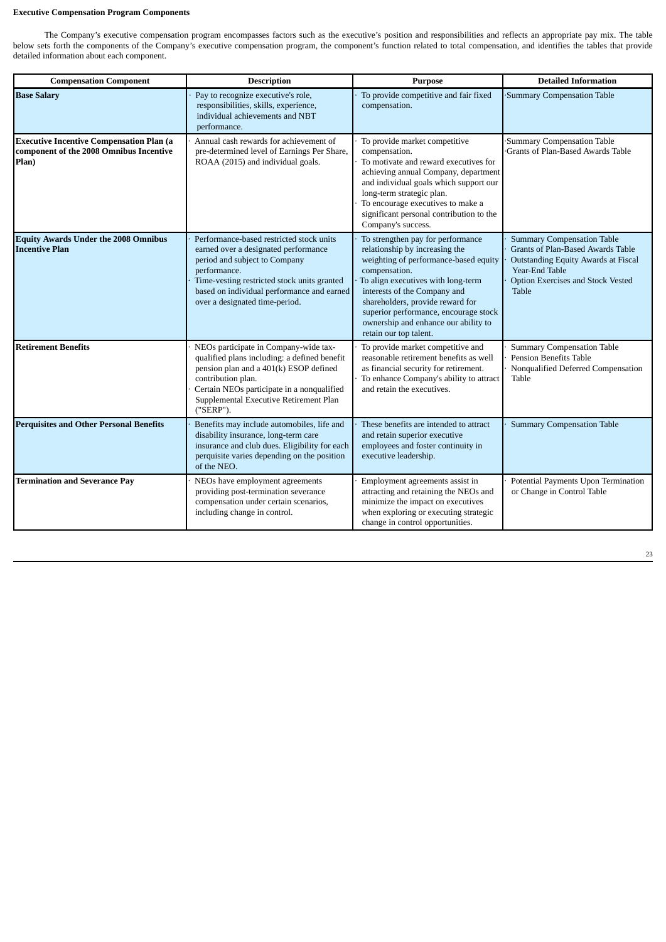# **Executive Compensation Program Components**

The Company's executive compensation program encompasses factors such as the executive's position and responsibilities and reflects an appropriate pay mix. The table below sets forth the components of the Company's executive compensation program, the component's function related to total compensation, and identifies the tables that provide detailed information about each component.

| <b>Compensation Component</b>                                                                       | <b>Description</b>                                                                                                                                                                                                                                               | <b>Purpose</b>                                                                                                                                                                                                                                                                                                                                     | <b>Detailed Information</b>                                                                                                                                                          |  |  |
|-----------------------------------------------------------------------------------------------------|------------------------------------------------------------------------------------------------------------------------------------------------------------------------------------------------------------------------------------------------------------------|----------------------------------------------------------------------------------------------------------------------------------------------------------------------------------------------------------------------------------------------------------------------------------------------------------------------------------------------------|--------------------------------------------------------------------------------------------------------------------------------------------------------------------------------------|--|--|
| <b>Base Salary</b>                                                                                  | Pay to recognize executive's role,<br>responsibilities, skills, experience,<br>individual achievements and NBT<br>performance.                                                                                                                                   | To provide competitive and fair fixed<br>compensation.                                                                                                                                                                                                                                                                                             | Summary Compensation Table                                                                                                                                                           |  |  |
| <b>Executive Incentive Compensation Plan (a</b><br>component of the 2008 Omnibus Incentive<br>Plan) | Annual cash rewards for achievement of<br>pre-determined level of Earnings Per Share,<br>ROAA (2015) and individual goals.                                                                                                                                       | To provide market competitive<br>compensation.<br>To motivate and reward executives for<br>achieving annual Company, department<br>and individual goals which support our<br>long-term strategic plan.<br>To encourage executives to make a<br>significant personal contribution to the<br>Company's success.                                      | Summary Compensation Table<br>Grants of Plan-Based Awards Table                                                                                                                      |  |  |
| <b>Equity Awards Under the 2008 Omnibus</b><br><b>Incentive Plan</b>                                | Performance-based restricted stock units<br>earned over a designated performance<br>period and subject to Company<br>performance.<br>Time-vesting restricted stock units granted<br>based on individual performance and earned<br>over a designated time-period. | To strengthen pay for performance<br>relationship by increasing the<br>weighting of performance-based equity<br>compensation.<br>To align executives with long-term<br>interests of the Company and<br>shareholders, provide reward for<br>superior performance, encourage stock<br>ownership and enhance our ability to<br>retain our top talent. | <b>Summary Compensation Table</b><br>Grants of Plan-Based Awards Table<br>Outstanding Equity Awards at Fiscal<br>Year-End Table<br>Option Exercises and Stock Vested<br><b>Table</b> |  |  |
| <b>Retirement Benefits</b>                                                                          | NEOs participate in Company-wide tax-<br>qualified plans including: a defined benefit<br>pension plan and a 401(k) ESOP defined<br>contribution plan.<br>Certain NEOs participate in a nonqualified<br>Supplemental Executive Retirement Plan<br>("SERP").       | To provide market competitive and<br>reasonable retirement benefits as well<br>as financial security for retirement.<br>To enhance Company's ability to attract<br>and retain the executives.                                                                                                                                                      | <b>Summary Compensation Table</b><br><b>Pension Benefits Table</b><br>Nonqualified Deferred Compensation<br>Table                                                                    |  |  |
| <b>Perquisites and Other Personal Benefits</b>                                                      | Benefits may include automobiles, life and<br>disability insurance, long-term care<br>insurance and club dues. Eligibility for each<br>perquisite varies depending on the position<br>of the NEO.                                                                | These benefits are intended to attract<br>and retain superior executive<br>employees and foster continuity in<br>executive leadership.                                                                                                                                                                                                             | <b>Summary Compensation Table</b>                                                                                                                                                    |  |  |
| <b>Termination and Severance Pay</b>                                                                | NEOs have employment agreements<br>providing post-termination severance<br>compensation under certain scenarios,<br>including change in control.                                                                                                                 | Employment agreements assist in<br>attracting and retaining the NEOs and<br>minimize the impact on executives<br>when exploring or executing strategic<br>change in control opportunities.                                                                                                                                                         | Potential Payments Upon Termination<br>or Change in Control Table                                                                                                                    |  |  |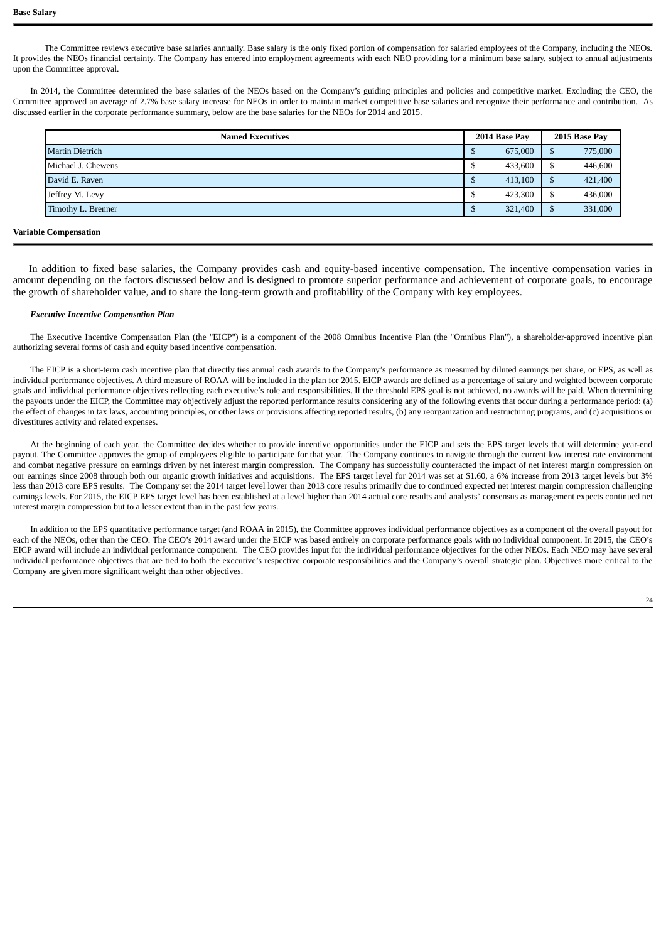The Committee reviews executive base salaries annually. Base salary is the only fixed portion of compensation for salaried employees of the Company, including the NEOs. It provides the NEOs financial certainty. The Company has entered into employment agreements with each NEO providing for a minimum base salary, subject to annual adjustments upon the Committee approval.

In 2014, the Committee determined the base salaries of the NEOs based on the Company's guiding principles and policies and competitive market. Excluding the CEO, the Committee approved an average of 2.7% base salary increase for NEOs in order to maintain market competitive base salaries and recognize their performance and contribution. As discussed earlier in the corporate performance summary, below are the base salaries for the NEOs for 2014 and 2015.

| <b>Named Executives</b> |      | 2014 Base Pay | 2015 Base Pay |         |  |
|-------------------------|------|---------------|---------------|---------|--|
| <b>Martin Dietrich</b>  |      | 675,000       | £             | 775,000 |  |
| Michael J. Chewens      |      | 433,600       | S             | 446,600 |  |
| David E. Raven          |      | 413,100       | S             | 421,400 |  |
| Jeffrey M. Levy         | - 12 | 423,300       | S             | 436,000 |  |
| Timothy L. Brenner      |      | 321,400       | ъ             | 331,000 |  |
|                         |      |               |               |         |  |

# **Variable Compensation**

In addition to fixed base salaries, the Company provides cash and equity-based incentive compensation. The incentive compensation varies in amount depending on the factors discussed below and is designed to promote superior performance and achievement of corporate goals, to encourage the growth of shareholder value, and to share the long-term growth and profitability of the Company with key employees.

# *Executive Incentive Compensation Plan*

The Executive Incentive Compensation Plan (the "EICP") is a component of the 2008 Omnibus Incentive Plan (the "Omnibus Plan"), a shareholder-approved incentive plan authorizing several forms of cash and equity based incentive compensation.

The EICP is a short-term cash incentive plan that directly ties annual cash awards to the Company's performance as measured by diluted earnings per share, or EPS, as well as individual performance objectives. A third measure of ROAA will be included in the plan for 2015. EICP awards are defined as a percentage of salary and weighted between corporate goals and individual performance objectives reflecting each executive's role and responsibilities. If the threshold EPS goal is not achieved, no awards will be paid. When determining the payouts under the EICP, the Committee may objectively adjust the reported performance results considering any of the following events that occur during a performance period: (a) the effect of changes in tax laws, accounting principles, or other laws or provisions affecting reported results, (b) any reorganization and restructuring programs, and (c) acquisitions or divestitures activity and related expenses.

At the beginning of each year, the Committee decides whether to provide incentive opportunities under the EICP and sets the EPS target levels that will determine year-end payout. The Committee approves the group of employees eligible to participate for that year. The Company continues to navigate through the current low interest rate environment and combat negative pressure on earnings driven by net interest margin compression. The Company has successfully counteracted the impact of net interest margin compression on our earnings since 2008 through both our organic growth initiatives and acquisitions. The EPS target level for 2014 was set at \$1.60, a 6% increase from 2013 target levels but 3% less than 2013 core EPS results. The Company set the 2014 target level lower than 2013 core results primarily due to continued expected net interest margin compression challenging earnings levels. For 2015, the EICP EPS target level has been established at a level higher than 2014 actual core results and analysts' consensus as management expects continued net interest margin compression but to a lesser extent than in the past few years.

In addition to the EPS quantitative performance target (and ROAA in 2015), the Committee approves individual performance objectives as a component of the overall payout for each of the NEOs, other than the CEO. The CEO's 2014 award under the EICP was based entirely on corporate performance goals with no individual component. In 2015, the CEO's EICP award will include an individual performance component. The CEO provides input for the individual performance objectives for the other NEOs. Each NEO may have several individual performance objectives that are tied to both the executive's respective corporate responsibilities and the Company's overall strategic plan. Objectives more critical to the Company are given more significant weight than other objectives.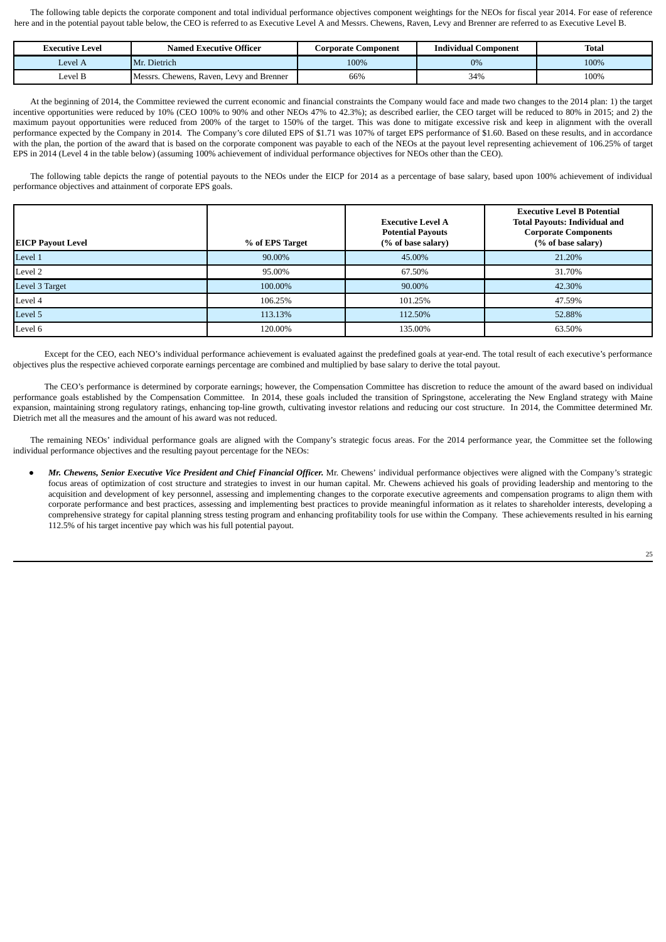The following table depicts the corporate component and total individual performance objectives component weightings for the NEOs for fiscal year 2014. For ease of reference here and in the potential payout table below, the CEO is referred to as Executive Level A and Messrs. Chewens, Raven, Levy and Brenner are referred to as Executive Level B.

| Executive Level | <b>Named Executive Officer</b>                   | Corporate <b>'</b><br>Component | <b>Individual Component</b> | <b>Total</b> |  |  |
|-----------------|--------------------------------------------------|---------------------------------|-----------------------------|--------------|--|--|
| Level A         | Mr. Dietrich                                     | 100%                            | 0%                          | 100%         |  |  |
| evel B.         | Chewens.<br>Messrs.<br>, Raven, Levy and Brenner | 66%                             | 34%                         | 100%         |  |  |

At the beginning of 2014, the Committee reviewed the current economic and financial constraints the Company would face and made two changes to the 2014 plan: 1) the target incentive opportunities were reduced by 10% (CEO 100% to 90% and other NEOs 47% to 42.3%); as described earlier, the CEO target will be reduced to 80% in 2015; and 2) the maximum payout opportunities were reduced from 200% of the target to 150% of the target. This was done to mitigate excessive risk and keep in alignment with the overall performance expected by the Company in 2014. The Company's core diluted EPS of \$1.71 was 107% of target EPS performance of \$1.60. Based on these results, and in accordance with the plan, the portion of the award that is based on the corporate component was payable to each of the NEOs at the payout level representing achievement of 106.25% of target EPS in 2014 (Level 4 in the table below) (assuming 100% achievement of individual performance objectives for NEOs other than the CEO).

The following table depicts the range of potential payouts to the NEOs under the EICP for 2014 as a percentage of base salary, based upon 100% achievement of individual performance objectives and attainment of corporate EPS goals.

| <b>EICP Payout Level</b> | % of EPS Target | <b>Executive Level A</b><br><b>Potential Payouts</b><br>(% of base salary) | <b>Executive Level B Potential</b><br><b>Total Payouts: Individual and</b><br><b>Corporate Components</b><br>(% of base salary) |
|--------------------------|-----------------|----------------------------------------------------------------------------|---------------------------------------------------------------------------------------------------------------------------------|
| Level 1                  | 90.00%          | 45.00%                                                                     | 21.20%                                                                                                                          |
| Level 2                  | 95.00%          | 67.50%                                                                     | 31.70%                                                                                                                          |
| Level 3 Target           | 100.00%         | 90.00%                                                                     | 42.30%                                                                                                                          |
| Level 4                  | 106.25%         | 101.25%                                                                    | 47.59%                                                                                                                          |
| Level 5                  | 113.13%         | 112.50%                                                                    | 52.88%                                                                                                                          |
| Level 6                  | 120.00%         | 135.00%                                                                    | 63.50%                                                                                                                          |

Except for the CEO, each NEO's individual performance achievement is evaluated against the predefined goals at year-end. The total result of each executive's performance objectives plus the respective achieved corporate earnings percentage are combined and multiplied by base salary to derive the total payout.

The CEO's performance is determined by corporate earnings; however, the Compensation Committee has discretion to reduce the amount of the award based on individual performance goals established by the Compensation Committee. In 2014, these goals included the transition of Springstone, accelerating the New England strategy with Maine expansion, maintaining strong regulatory ratings, enhancing top-line growth, cultivating investor relations and reducing our cost structure. In 2014, the Committee determined Mr. Dietrich met all the measures and the amount of his award was not reduced.

The remaining NEOs' individual performance goals are aligned with the Company's strategic focus areas. For the 2014 performance year, the Committee set the following individual performance objectives and the resulting payout percentage for the NEOs:

Mr. Chewens, Senior Executive Vice President and Chief Financial Officer. Mr. Chewens' individual performance objectives were aligned with the Company's strategic focus areas of optimization of cost structure and strategies to invest in our human capital. Mr. Chewens achieved his goals of providing leadership and mentoring to the acquisition and development of key personnel, assessing and implementing changes to the corporate executive agreements and compensation programs to align them with corporate performance and best practices, assessing and implementing best practices to provide meaningful information as it relates to shareholder interests, developing a comprehensive strategy for capital planning stress testing program and enhancing profitability tools for use within the Company. These achievements resulted in his earning 112.5% of his target incentive pay which was his full potential payout.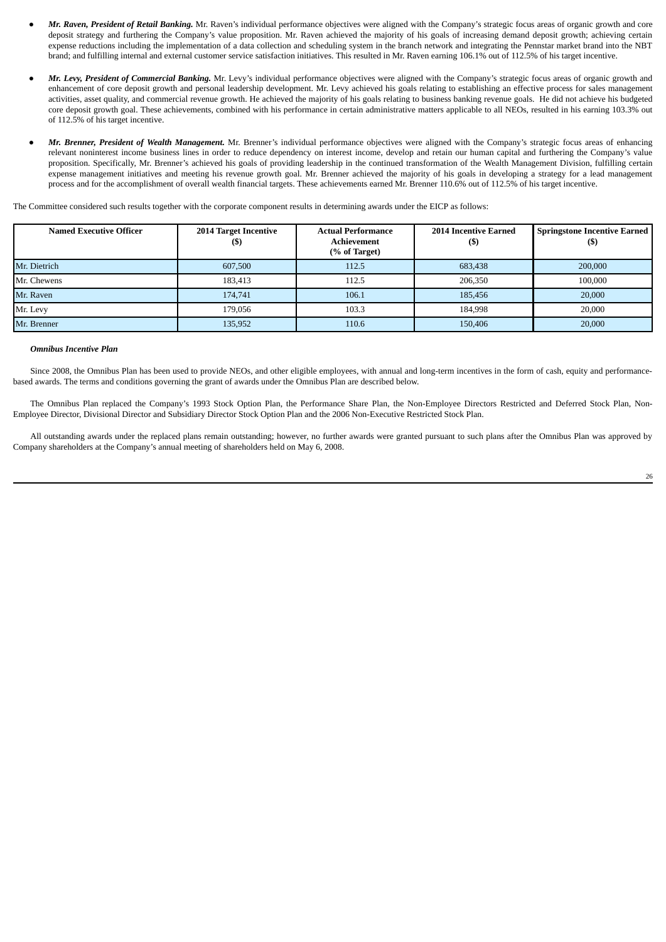- *Mr. Raven, President of Retail Banking.* Mr. Raven's individual performance objectives were aligned with the Company's strategic focus areas of organic growth and core deposit strategy and furthering the Company's value proposition. Mr. Raven achieved the majority of his goals of increasing demand deposit growth; achieving certain expense reductions including the implementation of a data collection and scheduling system in the branch network and integrating the Pennstar market brand into the NBT brand; and fulfilling internal and external customer service satisfaction initiatives. This resulted in Mr. Raven earning 106.1% out of 112.5% of his target incentive.
- *Mr. Levy, President of Commercial Banking.* Mr. Levy's individual performance objectives were aligned with the Company's strategic focus areas of organic growth and enhancement of core deposit growth and personal leadership development. Mr. Levy achieved his goals relating to establishing an effective process for sales management activities, asset quality, and commercial revenue growth. He achieved the majority of his goals relating to business banking revenue goals. He did not achieve his budgeted core deposit growth goal. These achievements, combined with his performance in certain administrative matters applicable to all NEOs, resulted in his earning 103.3% out of 112.5% of his target incentive.
- *Mr. Brenner, President of Wealth Management.* Mr. Brenner's individual performance objectives were aligned with the Company's strategic focus areas of enhancing relevant noninterest income business lines in order to reduce dependency on interest income, develop and retain our human capital and furthering the Company's value proposition. Specifically, Mr. Brenner's achieved his goals of providing leadership in the continued transformation of the Wealth Management Division, fulfilling certain expense management initiatives and meeting his revenue growth goal. Mr. Brenner achieved the majority of his goals in developing a strategy for a lead management process and for the accomplishment of overall wealth financial targets. These achievements earned Mr. Brenner 110.6% out of 112.5% of his target incentive.

The Committee considered such results together with the corporate component results in determining awards under the EICP as follows:

| <b>Named Executive Officer</b> | 2014 Target Incentive<br>$\mathfrak{g}$ | <b>Actual Performance</b><br>Achievement<br>(% of Target) | <b>2014 Incentive Earned</b><br>(S) | <b>Springstone Incentive Earned</b><br>(\$) |
|--------------------------------|-----------------------------------------|-----------------------------------------------------------|-------------------------------------|---------------------------------------------|
| Mr. Dietrich                   | 607,500                                 | 112.5                                                     | 683,438                             | 200,000                                     |
| Mr. Chewens                    | 183.413                                 | 112.5                                                     | 206,350                             | 100.000                                     |
| Mr. Raven                      | 174,741                                 | 106.1                                                     | 185,456                             | 20,000                                      |
| Mr. Levy                       | 179.056                                 | 103.3                                                     | 184.998                             | 20,000                                      |
| Mr. Brenner                    | 135,952                                 | 110.6                                                     | 150,406                             | 20,000                                      |

## *Omnibus Incentive Plan*

Since 2008, the Omnibus Plan has been used to provide NEOs, and other eligible employees, with annual and long-term incentives in the form of cash, equity and performancebased awards. The terms and conditions governing the grant of awards under the Omnibus Plan are described below.

The Omnibus Plan replaced the Company's 1993 Stock Option Plan, the Performance Share Plan, the Non-Employee Directors Restricted and Deferred Stock Plan, Non-Employee Director, Divisional Director and Subsidiary Director Stock Option Plan and the 2006 Non-Executive Restricted Stock Plan.

All outstanding awards under the replaced plans remain outstanding; however, no further awards were granted pursuant to such plans after the Omnibus Plan was approved by Company shareholders at the Company's annual meeting of shareholders held on May 6, 2008.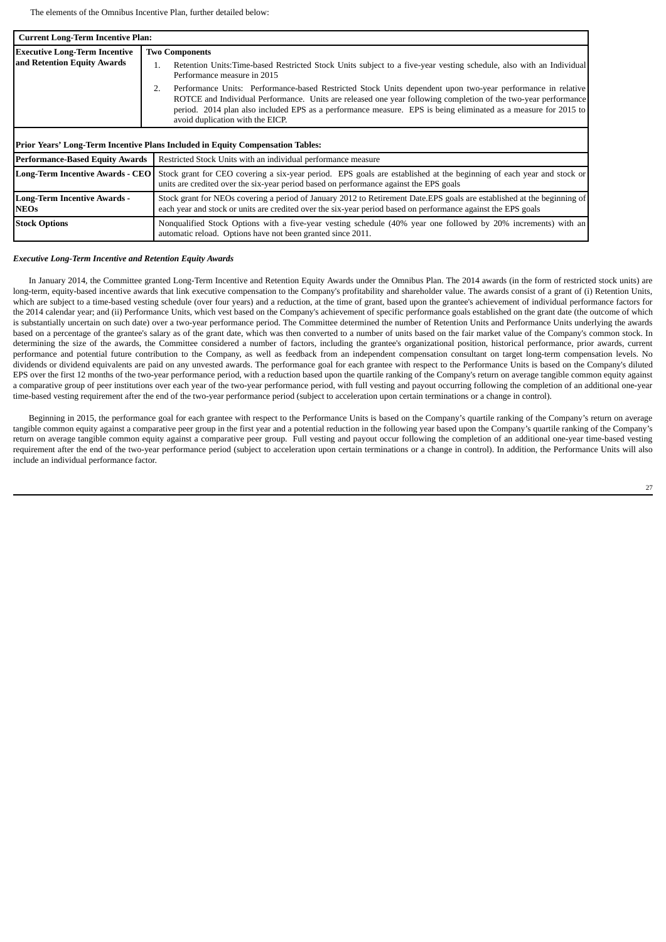The elements of the Omnibus Incentive Plan, further detailed below:

|                                                    | <b>Current Long-Term Incentive Plan:</b>                                                                                                                                                                                                                                                                                                                                            |  |  |  |  |  |  |  |  |
|----------------------------------------------------|-------------------------------------------------------------------------------------------------------------------------------------------------------------------------------------------------------------------------------------------------------------------------------------------------------------------------------------------------------------------------------------|--|--|--|--|--|--|--|--|
| <b>Executive Long-Term Incentive</b>               | <b>Two Components</b>                                                                                                                                                                                                                                                                                                                                                               |  |  |  |  |  |  |  |  |
| and Retention Equity Awards                        | Retention Units: Time-based Restricted Stock Units subject to a five-year vesting schedule, also with an Individual<br>1.<br>Performance measure in 2015                                                                                                                                                                                                                            |  |  |  |  |  |  |  |  |
|                                                    | Performance Units: Performance-based Restricted Stock Units dependent upon two-year performance in relative<br>ROTCE and Individual Performance. Units are released one year following completion of the two-year performance<br>period. 2014 plan also included EPS as a performance measure. EPS is being eliminated as a measure for 2015 to<br>avoid duplication with the EICP. |  |  |  |  |  |  |  |  |
|                                                    | Prior Years' Long-Term Incentive Plans Included in Equity Compensation Tables:                                                                                                                                                                                                                                                                                                      |  |  |  |  |  |  |  |  |
| <b>Performance-Based Equity Awards</b>             | Restricted Stock Units with an individual performance measure                                                                                                                                                                                                                                                                                                                       |  |  |  |  |  |  |  |  |
| <b>Long-Term Incentive Awards - CEO</b>            | Stock grant for CEO covering a six-year period. EPS goals are established at the beginning of each year and stock or<br>units are credited over the six-year period based on performance against the EPS goals                                                                                                                                                                      |  |  |  |  |  |  |  |  |
| <b>Long-Term Incentive Awards -</b><br><b>NEOs</b> | Stock grant for NEOs covering a period of January 2012 to Retirement Date.EPS goals are established at the beginning of<br>each year and stock or units are credited over the six-year period based on performance against the EPS goals                                                                                                                                            |  |  |  |  |  |  |  |  |
| <b>Stock Options</b>                               | Nonqualified Stock Options with a five-year vesting schedule (40% year one followed by 20% increments) with an<br>automatic reload. Options have not been granted since 2011.                                                                                                                                                                                                       |  |  |  |  |  |  |  |  |

#### *Executive Long-Term Incentive and Retention Equity Awards*

In January 2014, the Committee granted Long-Term Incentive and Retention Equity Awards under the Omnibus Plan. The 2014 awards (in the form of restricted stock units) are long-term, equity-based incentive awards that link executive compensation to the Company's profitability and shareholder value. The awards consist of a grant of (i) Retention Units, which are subject to a time-based vesting schedule (over four years) and a reduction, at the time of grant, based upon the grantee's achievement of individual performance factors for the 2014 calendar year; and (ii) Performance Units, which vest based on the Company's achievement of specific performance goals established on the grant date (the outcome of which is substantially uncertain on such date) over a two-year performance period. The Committee determined the number of Retention Units and Performance Units underlying the awards based on a percentage of the grantee's salary as of the grant date, which was then converted to a number of units based on the fair market value of the Company's common stock. In determining the size of the awards, the Committee considered a number of factors, including the grantee's organizational position, historical performance, prior awards, current performance and potential future contribution to the Company, as well as feedback from an independent compensation consultant on target long-term compensation levels. No dividends or dividend equivalents are paid on any unvested awards. The performance goal for each grantee with respect to the Performance Units is based on the Company's diluted EPS over the first 12 months of the two-year performance period, with a reduction based upon the quartile ranking of the Company's return on average tangible common equity against a comparative group of peer institutions over each year of the two-year performance period, with full vesting and payout occurring following the completion of an additional one-year time-based vesting requirement after the end of the two-year performance period (subject to acceleration upon certain terminations or a change in control).

Beginning in 2015, the performance goal for each grantee with respect to the Performance Units is based on the Company's quartile ranking of the Company's return on average tangible common equity against a comparative peer group in the first year and a potential reduction in the following year based upon the Company's quartile ranking of the Company's return on average tangible common equity against a comparative peer group. Full vesting and payout occur following the completion of an additional one-year time-based vesting requirement after the end of the two-year performance period (subject to acceleration upon certain terminations or a change in control). In addition, the Performance Units will also include an individual performance factor.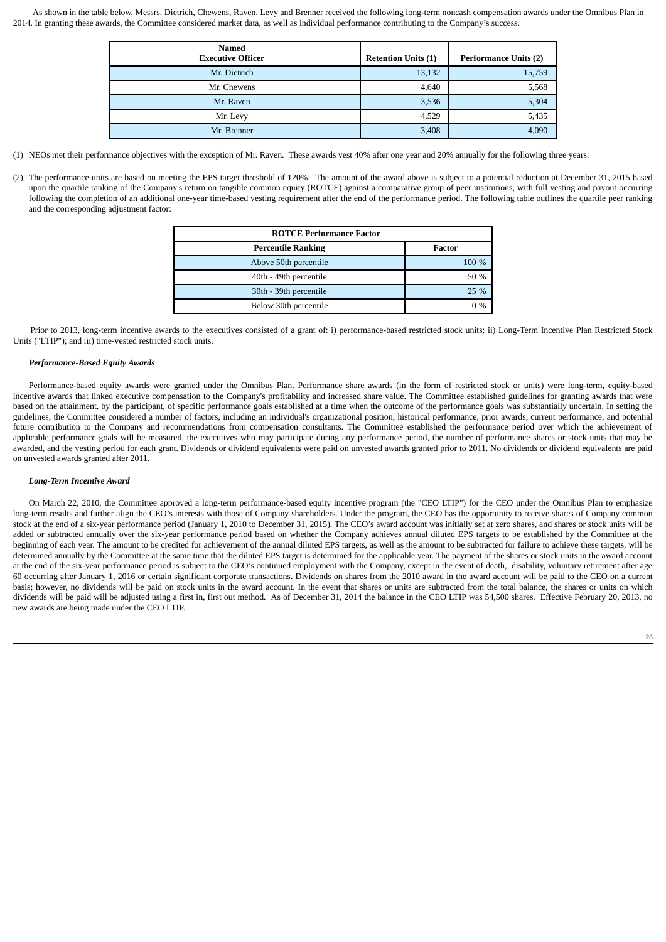As shown in the table below, Messrs. Dietrich, Chewens, Raven, Levy and Brenner received the following long-term noncash compensation awards under the Omnibus Plan in 2014. In granting these awards, the Committee considered market data, as well as individual performance contributing to the Company's success.

| <b>Named</b><br><b>Executive Officer</b> | <b>Retention Units (1)</b> | <b>Performance Units (2)</b> |
|------------------------------------------|----------------------------|------------------------------|
| Mr. Dietrich                             | 13,132                     | 15,759                       |
| Mr. Chewens                              | 4,640                      | 5,568                        |
| Mr. Raven                                | 3,536                      | 5,304                        |
| Mr. Levy                                 | 4,529                      | 5,435                        |
| Mr. Brenner                              | 3,408                      | 4,090                        |

(1) NEOs met their performance objectives with the exception of Mr. Raven. These awards vest 40% after one year and 20% annually for the following three years.

(2) The performance units are based on meeting the EPS target threshold of 120%. The amount of the award above is subject to a potential reduction at December 31, 2015 based upon the quartile ranking of the Company's return on tangible common equity (ROTCE) against a comparative group of peer institutions, with full vesting and payout occurring following the completion of an additional one-year time-based vesting requirement after the end of the performance period. The following table outlines the quartile peer ranking and the corresponding adjustment factor:

| <b>ROTCE Performance Factor</b> |        |  |  |  |  |  |
|---------------------------------|--------|--|--|--|--|--|
| <b>Percentile Ranking</b>       | Factor |  |  |  |  |  |
| Above 50th percentile           | 100 %  |  |  |  |  |  |
| 40th - 49th percentile          | 50 %   |  |  |  |  |  |
| 30th - 39th percentile          | 25 %   |  |  |  |  |  |
| Below 30th percentile           | $0\%$  |  |  |  |  |  |

Prior to 2013, long-term incentive awards to the executives consisted of a grant of: i) performance-based restricted stock units; ii) Long-Term Incentive Plan Restricted Stock Units ("LTIP"); and iii) time-vested restricted stock units.

# *Performance-Based Equity Awards*

Performance-based equity awards were granted under the Omnibus Plan. Performance share awards (in the form of restricted stock or units) were long-term, equity-based incentive awards that linked executive compensation to the Company's profitability and increased share value. The Committee established guidelines for granting awards that were based on the attainment, by the participant, of specific performance goals established at a time when the outcome of the performance goals was substantially uncertain. In setting the guidelines, the Committee considered a number of factors, including an individual's organizational position, historical performance, prior awards, current performance, and potential future contribution to the Company and recommendations from compensation consultants. The Committee established the performance period over which the achievement of applicable performance goals will be measured, the executives who may participate during any performance period, the number of performance shares or stock units that may be awarded, and the vesting period for each grant. Dividends or dividend equivalents were paid on unvested awards granted prior to 2011. No dividends or dividend equivalents are paid on unvested awards granted after 2011.

# *Long-Term Incentive Award*

On March 22, 2010, the Committee approved a long-term performance-based equity incentive program (the "CEO LTIP") for the CEO under the Omnibus Plan to emphasize long-term results and further align the CEO's interests with those of Company shareholders. Under the program, the CEO has the opportunity to receive shares of Company common stock at the end of a six-year performance period (January 1, 2010 to December 31, 2015). The CEO's award account was initially set at zero shares, and shares or stock units will be added or subtracted annually over the six-year performance period based on whether the Company achieves annual diluted EPS targets to be established by the Committee at the beginning of each year. The amount to be credited for achievement of the annual diluted EPS targets, as well as the amount to be subtracted for failure to achieve these targets, will be determined annually by the Committee at the same time that the diluted EPS target is determined for the applicable year. The payment of the shares or stock units in the award account at the end of the six-year performance period is subject to the CEO's continued employment with the Company, except in the event of death, disability, voluntary retirement after age 60 occurring after January 1, 2016 or certain significant corporate transactions. Dividends on shares from the 2010 award in the award account will be paid to the CEO on a current basis; however, no dividends will be paid on stock units in the award account. In the event that shares or units are subtracted from the total balance, the shares or units on which dividends will be paid will be adjusted using a first in, first out method. As of December 31, 2014 the balance in the CEO LTIP was 54,500 shares. Effective February 20, 2013, no new awards are being made under the CEO LTIP.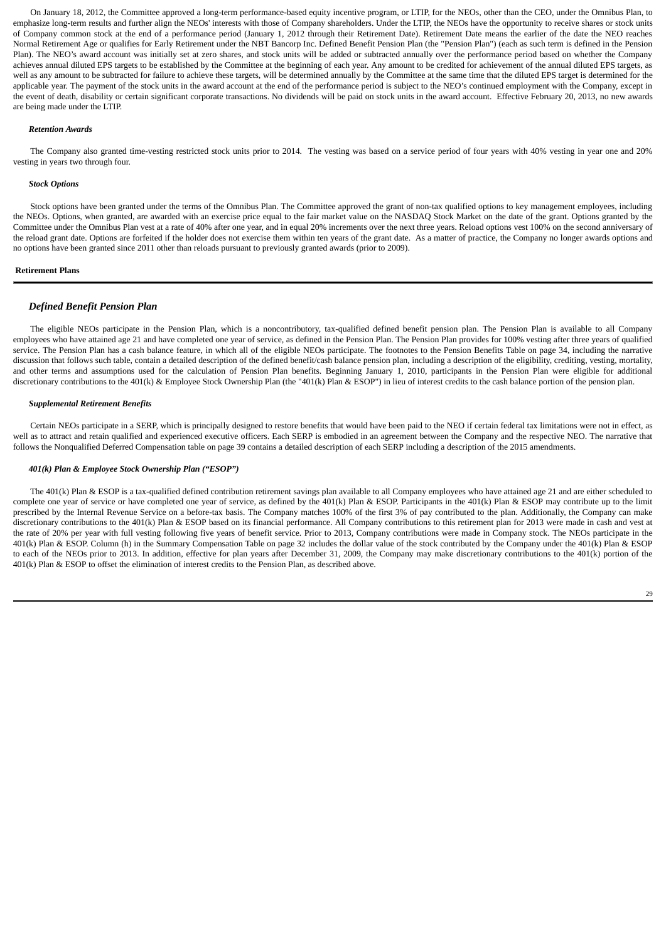On January 18, 2012, the Committee approved a long-term performance-based equity incentive program, or LTIP, for the NEOs, other than the CEO, under the Omnibus Plan, to emphasize long-term results and further align the NEOs' interests with those of Company shareholders. Under the LTIP, the NEOs have the opportunity to receive shares or stock units of Company common stock at the end of a performance period (January 1, 2012 through their Retirement Date). Retirement Date means the earlier of the date the NEO reaches Normal Retirement Age or qualifies for Early Retirement under the NBT Bancorp Inc. Defined Benefit Pension Plan (the "Pension Plan") (each as such term is defined in the Pension Plan). The NEO's award account was initially set at zero shares, and stock units will be added or subtracted annually over the performance period based on whether the Company achieves annual diluted EPS targets to be established by the Committee at the beginning of each year. Any amount to be credited for achievement of the annual diluted EPS targets, as well as any amount to be subtracted for failure to achieve these targets, will be determined annually by the Committee at the same time that the diluted EPS target is determined for the applicable year. The payment of the stock units in the award account at the end of the performance period is subject to the NEO's continued employment with the Company, except in the event of death, disability or certain significant corporate transactions. No dividends will be paid on stock units in the award account. Effective February 20, 2013, no new awards are being made under the LTIP.

# *Retention Awards*

The Company also granted time-vesting restricted stock units prior to 2014. The vesting was based on a service period of four years with 40% vesting in year one and 20% vesting in years two through four.

#### *Stock Options*

Stock options have been granted under the terms of the Omnibus Plan. The Committee approved the grant of non-tax qualified options to key management employees, including the NEOs. Options, when granted, are awarded with an exercise price equal to the fair market value on the NASDAQ Stock Market on the date of the grant. Options granted by the Committee under the Omnibus Plan vest at a rate of 40% after one year, and in equal 20% increments over the next three years. Reload options vest 100% on the second anniversary of the reload grant date. Options are forfeited if the holder does not exercise them within ten years of the grant date. As a matter of practice, the Company no longer awards options and no options have been granted since 2011 other than reloads pursuant to previously granted awards (prior to 2009).

# **Retirement Plans**

# *Defined Benefit Pension Plan*

The eligible NEOs participate in the Pension Plan, which is a noncontributory, tax-qualified defined benefit pension plan. The Pension Plan is available to all Company employees who have attained age 21 and have completed one year of service, as defined in the Pension Plan. The Pension Plan provides for 100% vesting after three years of qualified service. The Pension Plan has a cash balance feature, in which all of the eligible NEOs participate. The footnotes to the Pension Benefits Table on page 34, including the narrative discussion that follows such table, contain a detailed description of the defined benefit/cash balance pension plan, including a description of the eligibility, crediting, vesting, mortality, and other terms and assumptions used for the calculation of Pension Plan benefits. Beginning January 1, 2010, participants in the Pension Plan were eligible for additional discretionary contributions to the 401(k) & Employee Stock Ownership Plan (the "401(k) Plan & ESOP") in lieu of interest credits to the cash balance portion of the pension plan.

#### *Supplemental Retirement Benefits*

Certain NEOs participate in a SERP, which is principally designed to restore benefits that would have been paid to the NEO if certain federal tax limitations were not in effect, as well as to attract and retain qualified and experienced executive officers. Each SERP is embodied in an agreement between the Company and the respective NEO. The narrative that follows the Nonqualified Deferred Compensation table on page 39 contains a detailed description of each SERP including a description of the 2015 amendments.

#### *401(k) Plan & Employee Stock Ownership Plan ("ESOP")*

The 401(k) Plan & ESOP is a tax-qualified defined contribution retirement savings plan available to all Company employees who have attained age 21 and are either scheduled to complete one year of service or have completed one year of service, as defined by the 401(k) Plan & ESOP. Participants in the 401(k) Plan & ESOP may contribute up to the limit prescribed by the Internal Revenue Service on a before-tax basis. The Company matches 100% of the first 3% of pay contributed to the plan. Additionally, the Company can make discretionary contributions to the 401(k) Plan & ESOP based on its financial performance. All Company contributions to this retirement plan for 2013 were made in cash and vest at the rate of 20% per year with full vesting following five years of benefit service. Prior to 2013, Company contributions were made in Company stock. The NEOs participate in the 401(k) Plan & ESOP. Column (h) in the Summary Compensation Table on page 32 includes the dollar value of the stock contributed by the Company under the 401(k) Plan & ESOP to each of the NEOs prior to 2013. In addition, effective for plan years after December 31, 2009, the Company may make discretionary contributions to the 401(k) portion of the 401(k) Plan & ESOP to offset the elimination of interest credits to the Pension Plan, as described above.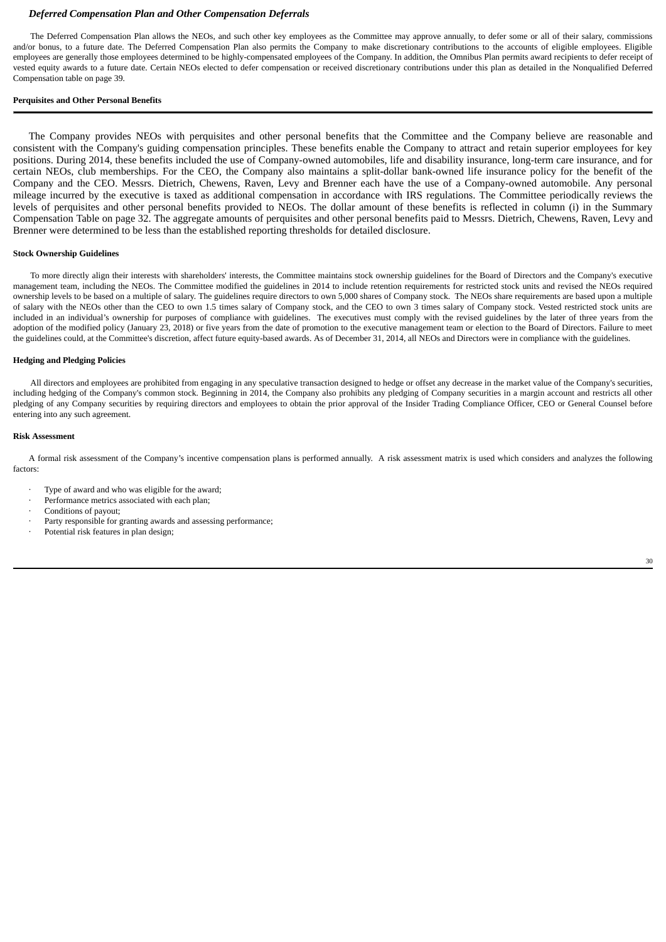# *Deferred Compensation Plan and Other Compensation Deferrals*

The Deferred Compensation Plan allows the NEOs, and such other key employees as the Committee may approve annually, to defer some or all of their salary, commissions and/or bonus, to a future date. The Deferred Compensation Plan also permits the Company to make discretionary contributions to the accounts of eligible employees. Eligible employees are generally those employees determined to be highly-compensated employees of the Company. In addition, the Omnibus Plan permits award recipients to defer receipt of vested equity awards to a future date. Certain NEOs elected to defer compensation or received discretionary contributions under this plan as detailed in the Nonqualified Deferred Compensation table on page 39.

# **Perquisites and Other Personal Benefits**

The Company provides NEOs with perquisites and other personal benefits that the Committee and the Company believe are reasonable and consistent with the Company's guiding compensation principles. These benefits enable the Company to attract and retain superior employees for key positions. During 2014, these benefits included the use of Company-owned automobiles, life and disability insurance, long-term care insurance, and for certain NEOs, club memberships. For the CEO, the Company also maintains a split-dollar bank-owned life insurance policy for the benefit of the Company and the CEO. Messrs. Dietrich, Chewens, Raven, Levy and Brenner each have the use of a Company-owned automobile. Any personal mileage incurred by the executive is taxed as additional compensation in accordance with IRS regulations. The Committee periodically reviews the levels of perquisites and other personal benefits provided to NEOs. The dollar amount of these benefits is reflected in column (i) in the Summary Compensation Table on page 32. The aggregate amounts of perquisites and other personal benefits paid to Messrs. Dietrich, Chewens, Raven, Levy and Brenner were determined to be less than the established reporting thresholds for detailed disclosure.

#### **Stock Ownership Guidelines**

To more directly align their interests with shareholders' interests, the Committee maintains stock ownership guidelines for the Board of Directors and the Company's executive management team, including the NEOs. The Committee modified the guidelines in 2014 to include retention requirements for restricted stock units and revised the NEOs required ownership levels to be based on a multiple of salary. The guidelines require directors to own 5,000 shares of Company stock. The NEOs share requirements are based upon a multiple of salary with the NEOs other than the CEO to own 1.5 times salary of Company stock, and the CEO to own 3 times salary of Company stock. Vested restricted stock units are included in an individual's ownership for purposes of compliance with guidelines. The executives must comply with the revised guidelines by the later of three years from the adoption of the modified policy (January 23, 2018) or five years from the date of promotion to the executive management team or election to the Board of Directors. Failure to meet the guidelines could, at the Committee's discretion, affect future equity-based awards. As of December 31, 2014, all NEOs and Directors were in compliance with the guidelines.

## **Hedging and Pledging Policies**

All directors and employees are prohibited from engaging in any speculative transaction designed to hedge or offset any decrease in the market value of the Company's securities, including hedging of the Company's common stock. Beginning in 2014, the Company also prohibits any pledging of Company securities in a margin account and restricts all other pledging of any Company securities by requiring directors and employees to obtain the prior approval of the Insider Trading Compliance Officer, CEO or General Counsel before entering into any such agreement.

# **Risk Assessment**

A formal risk assessment of the Company's incentive compensation plans is performed annually. A risk assessment matrix is used which considers and analyzes the following factors:

- Type of award and who was eligible for the award:
- Performance metrics associated with each plan;
- Conditions of payout;
- Party responsible for granting awards and assessing performance;
- Potential risk features in plan design;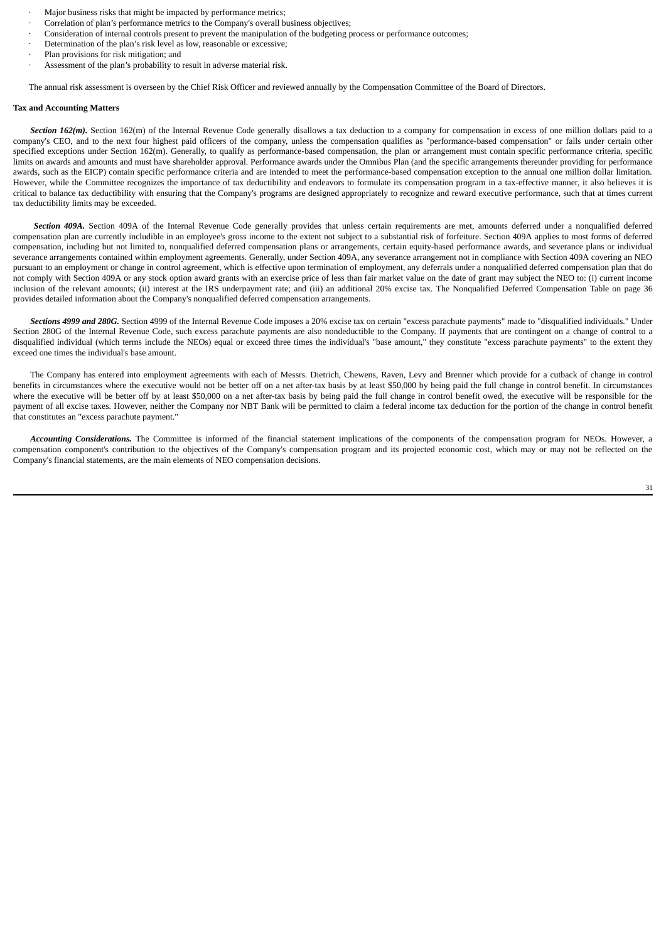- Major business risks that might be impacted by performance metrics;
- · Correlation of plan's performance metrics to the Company's overall business objectives;
- · Consideration of internal controls present to prevent the manipulation of the budgeting process or performance outcomes;
- Determination of the plan's risk level as low, reasonable or excessive;
- Plan provisions for risk mitigation; and
- Assessment of the plan's probability to result in adverse material risk.

The annual risk assessment is overseen by the Chief Risk Officer and reviewed annually by the Compensation Committee of the Board of Directors.

#### **Tax and Accounting Matters**

**Section 162(m).** Section 162(m) of the Internal Revenue Code generally disallows a tax deduction to a company for compensation in excess of one million dollars paid to a company's CEO, and to the next four highest paid officers of the company, unless the compensation qualifies as "performance-based compensation" or falls under certain other specified exceptions under Section 162(m). Generally, to qualify as performance-based compensation, the plan or arrangement must contain specific performance criteria, specific limits on awards and amounts and must have shareholder approval. Performance awards under the Omnibus Plan (and the specific arrangements thereunder providing for performance awards, such as the EICP) contain specific performance criteria and are intended to meet the performance-based compensation exception to the annual one million dollar limitation. However, while the Committee recognizes the importance of tax deductibility and endeavors to formulate its compensation program in a tax-effective manner, it also believes it is critical to balance tax deductibility with ensuring that the Company's programs are designed appropriately to recognize and reward executive performance, such that at times current tax deductibility limits may be exceeded.

Section 409A. Section 409A of the Internal Revenue Code generally provides that unless certain requirements are met, amounts deferred under a nonqualified deferred compensation plan are currently includible in an employee's gross income to the extent not subject to a substantial risk of forfeiture. Section 409A applies to most forms of deferred compensation, including but not limited to, nonqualified deferred compensation plans or arrangements, certain equity-based performance awards, and severance plans or individual severance arrangements contained within employment agreements. Generally, under Section 409A, any severance arrangement not in compliance with Section 409A covering an NEO pursuant to an employment or change in control agreement, which is effective upon termination of employment, any deferrals under a nonqualified deferred compensation plan that do not comply with Section 409A or any stock option award grants with an exercise price of less than fair market value on the date of grant may subject the NEO to: (i) current income inclusion of the relevant amounts; (ii) interest at the IRS underpayment rate; and (iii) an additional 20% excise tax. The Nonqualified Deferred Compensation Table on page 36 provides detailed information about the Company's nonqualified deferred compensation arrangements.

*Sections 4999 and 280G.* Section 4999 of the Internal Revenue Code imposes a 20% excise tax on certain "excess parachute payments" made to "disqualified individuals." Under Section 280G of the Internal Revenue Code, such excess parachute payments are also nondeductible to the Company. If payments that are contingent on a change of control to a disqualified individual (which terms include the NEOs) equal or exceed three times the individual's "base amount," they constitute "excess parachute payments" to the extent they exceed one times the individual's base amount.

The Company has entered into employment agreements with each of Messrs. Dietrich, Chewens, Raven, Levy and Brenner which provide for a cutback of change in control benefits in circumstances where the executive would not be better off on a net after-tax basis by at least \$50,000 by being paid the full change in control benefit. In circumstances where the executive will be better off by at least \$50,000 on a net after-tax basis by being paid the full change in control benefit owed, the executive will be responsible for the payment of all excise taxes. However, neither the Company nor NBT Bank will be permitted to claim a federal income tax deduction for the portion of the change in control benefit that constitutes an "excess parachute payment."

*Accounting Considerations.* The Committee is informed of the financial statement implications of the components of the compensation program for NEOs. However, a compensation component's contribution to the objectives of the Company's compensation program and its projected economic cost, which may or may not be reflected on the Company's financial statements, are the main elements of NEO compensation decisions.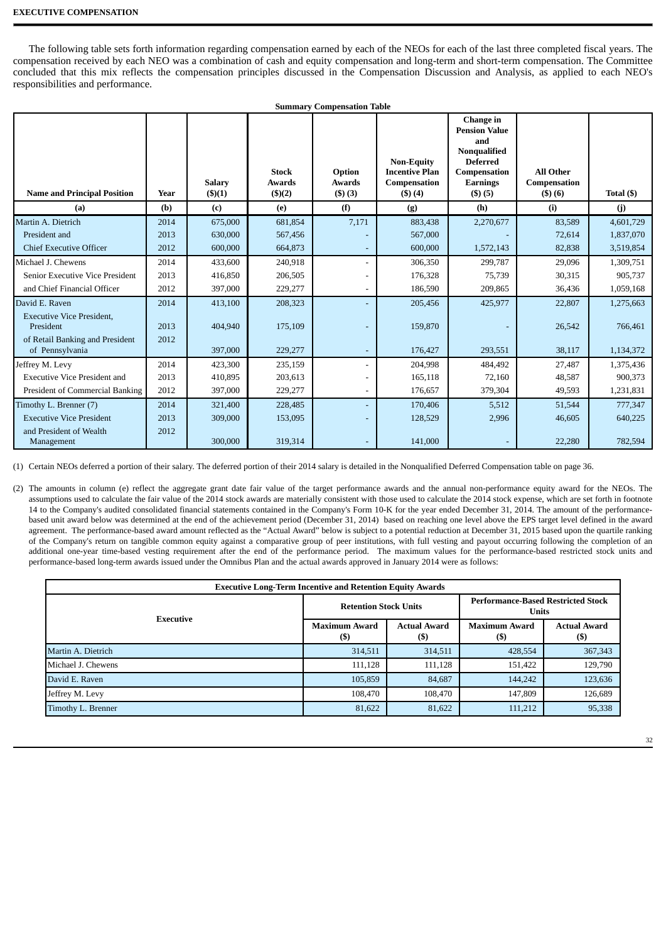The following table sets forth information regarding compensation earned by each of the NEOs for each of the last three completed fiscal years. The compensation received by each NEO was a combination of cash and equity compensation and long-term and short-term compensation. The Committee concluded that this mix reflects the compensation principles discussed in the Compensation Discussion and Analysis, as applied to each NEO's responsibilities and performance.

| <b>Summary Compensation Table</b>                                                |              |                                |                                                |                                   |                                                                             |                                                                                                                                        |                                            |            |  |
|----------------------------------------------------------------------------------|--------------|--------------------------------|------------------------------------------------|-----------------------------------|-----------------------------------------------------------------------------|----------------------------------------------------------------------------------------------------------------------------------------|--------------------------------------------|------------|--|
| <b>Name and Principal Position</b>                                               | Year         | <b>Salary</b><br>$($ \$ $)(1)$ | <b>Stock</b><br><b>Awards</b><br>$($ \$ $)(2)$ | Option<br><b>Awards</b><br>(3)(3) | <b>Non-Equity</b><br><b>Incentive Plan</b><br>Compensation<br>$($ \$) $(4)$ | Change in<br><b>Pension Value</b><br>and<br><b>Nonqualified</b><br><b>Deferred</b><br>Compensation<br><b>Earnings</b><br>$($ \$) $(5)$ | <b>All Other</b><br>Compensation<br>(5)(6) | Total (\$) |  |
| (a)                                                                              | (b)          | (c)                            | (e)                                            | (f)                               | (g)                                                                         | (h)                                                                                                                                    | (i)                                        | (j)        |  |
| Martin A. Dietrich                                                               | 2014         | 675,000                        | 681,854                                        | 7,171                             | 883,438                                                                     | 2,270,677                                                                                                                              | 83,589                                     | 4,601,729  |  |
| President and                                                                    | 2013         | 630,000                        | 567,456                                        |                                   | 567,000                                                                     |                                                                                                                                        | 72,614                                     | 1,837,070  |  |
| <b>Chief Executive Officer</b>                                                   | 2012         | 600,000                        | 664,873                                        | $\overline{\phantom{a}}$          | 600,000                                                                     | 1,572,143                                                                                                                              | 82,838                                     | 3,519,854  |  |
| Michael J. Chewens                                                               | 2014         | 433,600                        | 240,918                                        |                                   | 306,350                                                                     | 299,787                                                                                                                                | 29,096                                     | 1,309,751  |  |
| Senior Executive Vice President                                                  | 2013         | 416,850                        | 206,505                                        |                                   | 176,328                                                                     | 75,739                                                                                                                                 | 30,315                                     | 905,737    |  |
| and Chief Financial Officer                                                      | 2012         | 397,000                        | 229,277                                        |                                   | 186,590                                                                     | 209,865                                                                                                                                | 36,436                                     | 1,059,168  |  |
| David E. Raven                                                                   | 2014         | 413,100                        | 208,323                                        |                                   | 205,456                                                                     | 425,977                                                                                                                                | 22,807                                     | 1,275,663  |  |
| <b>Executive Vice President,</b><br>President<br>of Retail Banking and President | 2013<br>2012 | 404,940                        | 175,109                                        |                                   | 159,870                                                                     |                                                                                                                                        | 26,542                                     | 766,461    |  |
| of Pennsylvania                                                                  |              | 397,000                        | 229,277                                        | $\overline{\phantom{a}}$          | 176,427                                                                     | 293,551                                                                                                                                | 38,117                                     | 1,134,372  |  |
| Jeffrey M. Levy                                                                  | 2014         | 423,300                        | 235,159                                        | $\overline{a}$                    | 204,998                                                                     | 484,492                                                                                                                                | 27,487                                     | 1,375,436  |  |
| <b>Executive Vice President and</b>                                              | 2013         | 410,895                        | 203,613                                        |                                   | 165,118                                                                     | 72,160                                                                                                                                 | 48,587                                     | 900,373    |  |
| President of Commercial Banking                                                  | 2012         | 397,000                        | 229,277                                        |                                   | 176,657                                                                     | 379,304                                                                                                                                | 49,593                                     | 1,231,831  |  |
| Timothy L. Brenner (7)                                                           | 2014         | 321,400                        | 228,485                                        |                                   | 170,406                                                                     | 5,512                                                                                                                                  | 51,544                                     | 777,347    |  |
| <b>Executive Vice President</b>                                                  | 2013         | 309,000                        | 153,095                                        |                                   | 128,529                                                                     | 2,996                                                                                                                                  | 46,605                                     | 640,225    |  |
| and President of Wealth<br>Management                                            | 2012         | 300,000                        | 319,314                                        |                                   | 141,000                                                                     |                                                                                                                                        | 22,280                                     | 782,594    |  |

(1) Certain NEOs deferred a portion of their salary. The deferred portion of their 2014 salary is detailed in the Nonqualified Deferred Compensation table on page 36.

(2) The amounts in column (e) reflect the aggregate grant date fair value of the target performance awards and the annual non-performance equity award for the NEOs. The assumptions used to calculate the fair value of the 2014 stock awards are materially consistent with those used to calculate the 2014 stock expense, which are set forth in footnote 14 to the Company's audited consolidated financial statements contained in the Company's Form 10-K for the year ended December 31, 2014. The amount of the performancebased unit award below was determined at the end of the achievement period (December 31, 2014) based on reaching one level above the EPS target level defined in the award agreement. The performance-based award amount reflected as the "Actual Award" below is subject to a potential reduction at December 31, 2015 based upon the quartile ranking of the Company's return on tangible common equity against a comparative group of peer institutions, with full vesting and payout occurring following the completion of an additional one-year time-based vesting requirement after the end of the performance period. The maximum values for the performance-based restricted stock units and performance-based long-term awards issued under the Omnibus Plan and the actual awards approved in January 2014 were as follows:

| <b>Executive Long-Term Incentive and Retention Equity Awards</b> |                                |                            |                                                           |                            |  |  |  |  |  |
|------------------------------------------------------------------|--------------------------------|----------------------------|-----------------------------------------------------------|----------------------------|--|--|--|--|--|
| Executive                                                        | <b>Retention Stock Units</b>   |                            | <b>Performance-Based Restricted Stock</b><br><b>Units</b> |                            |  |  |  |  |  |
|                                                                  | <b>Maximum Award</b><br>$($ \$ | <b>Actual Award</b><br>(S) | <b>Maximum Award</b><br>$($)$                             | <b>Actual Award</b><br>(S) |  |  |  |  |  |
| Martin A. Dietrich                                               | 314,511                        | 314,511                    | 428,554                                                   | 367,343                    |  |  |  |  |  |
| Michael J. Chewens                                               | 111,128                        | 111,128                    | 151,422                                                   | 129,790                    |  |  |  |  |  |
| David E. Raven                                                   | 105,859                        | 84,687                     | 144,242                                                   | 123,636                    |  |  |  |  |  |
| Jeffrey M. Levy                                                  | 108,470                        | 108,470                    | 147,809                                                   | 126,689                    |  |  |  |  |  |
| Timothy L. Brenner                                               | 81,622                         | 81,622                     | 111,212                                                   | 95,338                     |  |  |  |  |  |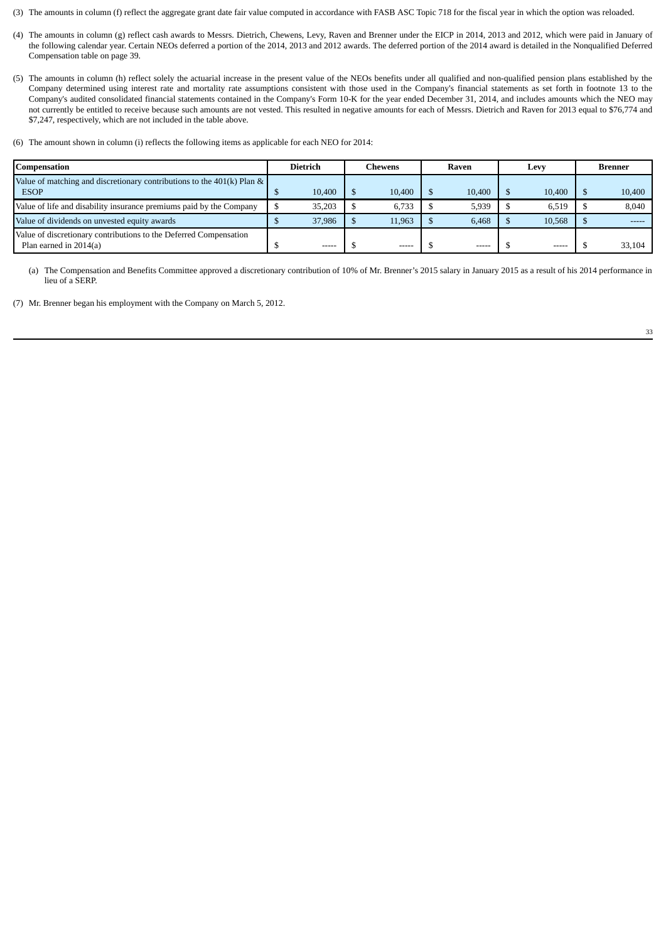- (3) The amounts in column (f) reflect the aggregate grant date fair value computed in accordance with FASB ASC Topic 718 for the fiscal year in which the option was reloaded.
- (4) The amounts in column (g) reflect cash awards to Messrs. Dietrich, Chewens, Levy, Raven and Brenner under the EICP in 2014, 2013 and 2012, which were paid in January of the following calendar year. Certain NEOs deferred a portion of the 2014, 2013 and 2012 awards. The deferred portion of the 2014 award is detailed in the Nonqualified Deferred Compensation table on page 39.
- (5) The amounts in column (h) reflect solely the actuarial increase in the present value of the NEOs benefits under all qualified and non-qualified pension plans established by the Company determined using interest rate and mortality rate assumptions consistent with those used in the Company's financial statements as set forth in footnote 13 to the Company's audited consolidated financial statements contained in the Company's Form 10-K for the year ended December 31, 2014, and includes amounts which the NEO may not currently be entitled to receive because such amounts are not vested. This resulted in negative amounts for each of Messrs. Dietrich and Raven for 2013 equal to \$76,774 and \$7,247, respectively, which are not included in the table above.
- (6) The amount shown in column (i) reflects the following items as applicable for each NEO for 2014:

| Compensation                                                                                |  | Dietrich    |  | Chewens |  | Raven       |  | Levy   |  | Brenner |
|---------------------------------------------------------------------------------------------|--|-------------|--|---------|--|-------------|--|--------|--|---------|
| Value of matching and discretionary contributions to the $401(k)$ Plan &<br><b>ESOP</b>     |  | 10,400      |  | 10.400  |  | 10,400      |  | 10.400 |  | 10,400  |
| Value of life and disability insurance premiums paid by the Company                         |  | 35,203      |  | 6.733   |  | 5,939       |  | 6.519  |  | 8,040   |
| Value of dividends on unvested equity awards                                                |  | 37,986      |  | 11.963  |  | 6.468       |  | 10.568 |  |         |
| Value of discretionary contributions to the Deferred Compensation<br>Plan earned in 2014(a) |  | $- - - - -$ |  | -----   |  | $- - - - -$ |  | -----  |  | 33,104  |

(a) The Compensation and Benefits Committee approved a discretionary contribution of 10% of Mr. Brenner's 2015 salary in January 2015 as a result of his 2014 performance in lieu of a SERP.

(7) Mr. Brenner began his employment with the Company on March 5, 2012.

33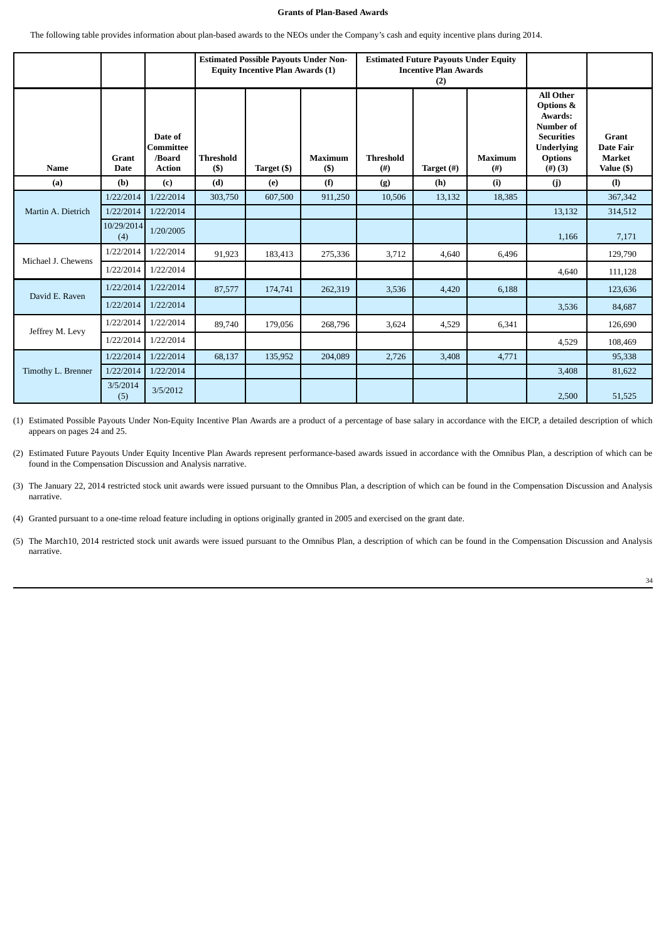# **Grants of Plan-Based Awards**

The following table provides information about plan-based awards to the NEOs under the Company's cash and equity incentive plans during 2014.

|                    |                      |                                                 |                            | <b>Equity Incentive Plan Awards (1)</b> | <b>Estimated Possible Payouts Under Non-</b><br><b>Estimated Future Payouts Under Equity</b><br><b>Incentive Plan Awards</b><br>(2) |                          |            |                            |                                                                                                                                       |                                                                 |
|--------------------|----------------------|-------------------------------------------------|----------------------------|-----------------------------------------|-------------------------------------------------------------------------------------------------------------------------------------|--------------------------|------------|----------------------------|---------------------------------------------------------------------------------------------------------------------------------------|-----------------------------------------------------------------|
| <b>Name</b>        | <b>Grant</b><br>Date | Date of<br>Committee<br>/Board<br><b>Action</b> | <b>Threshold</b><br>$($ \$ | Target (\$)                             | <b>Maximum</b><br>$($ \$                                                                                                            | <b>Threshold</b><br>(# ) | Target (#) | <b>Maximum</b><br>$^{(#)}$ | <b>All Other</b><br>Options &<br>Awards:<br><b>Number of</b><br><b>Securities</b><br><b>Underlying</b><br><b>Options</b><br>$(4)$ (3) | <b>Grant</b><br><b>Date Fair</b><br><b>Market</b><br>Value (\$) |
| (a)                | (b)                  | (c)                                             | (d)                        | (e)                                     | (f)                                                                                                                                 | (g)                      | (h)        | (i)                        | (j)                                                                                                                                   | (1)                                                             |
|                    | 1/22/2014            | 1/22/2014                                       | 303,750                    | 607,500                                 | 911,250                                                                                                                             | 10,506                   | 13,132     | 18,385                     |                                                                                                                                       | 367,342                                                         |
| Martin A. Dietrich | 1/22/2014            | 1/22/2014                                       |                            |                                         |                                                                                                                                     |                          |            |                            | 13,132                                                                                                                                | 314,512                                                         |
|                    | 10/29/2014<br>(4)    | 1/20/2005                                       |                            |                                         |                                                                                                                                     |                          |            |                            | 1,166                                                                                                                                 | 7,171                                                           |
| Michael J. Chewens | 1/22/2014            | 1/22/2014                                       | 91,923                     | 183,413                                 | 275,336                                                                                                                             | 3,712                    | 4,640      | 6,496                      |                                                                                                                                       | 129,790                                                         |
|                    | 1/22/2014            | 1/22/2014                                       |                            |                                         |                                                                                                                                     |                          |            |                            | 4,640                                                                                                                                 | 111,128                                                         |
| David E. Raven     | 1/22/2014            | 1/22/2014                                       | 87,577                     | 174,741                                 | 262,319                                                                                                                             | 3,536                    | 4,420      | 6,188                      |                                                                                                                                       | 123,636                                                         |
|                    | 1/22/2014            | 1/22/2014                                       |                            |                                         |                                                                                                                                     |                          |            |                            | 3,536                                                                                                                                 | 84,687                                                          |
| Jeffrey M. Levy    | 1/22/2014            | 1/22/2014                                       | 89,740                     | 179,056                                 | 268,796                                                                                                                             | 3,624                    | 4,529      | 6,341                      |                                                                                                                                       | 126,690                                                         |
|                    | 1/22/2014            | 1/22/2014                                       |                            |                                         |                                                                                                                                     |                          |            |                            | 4,529                                                                                                                                 | 108,469                                                         |
|                    | 1/22/2014            | 1/22/2014                                       | 68,137                     | 135,952                                 | 204,089                                                                                                                             | 2,726                    | 3,408      | 4,771                      |                                                                                                                                       | 95,338                                                          |
| Timothy L. Brenner | 1/22/2014            | 1/22/2014                                       |                            |                                         |                                                                                                                                     |                          |            |                            | 3,408                                                                                                                                 | 81,622                                                          |
|                    | 3/5/2014<br>(5)      | 3/5/2012                                        |                            |                                         |                                                                                                                                     |                          |            |                            | 2,500                                                                                                                                 | 51,525                                                          |

(1) Estimated Possible Payouts Under Non-Equity Incentive Plan Awards are a product of a percentage of base salary in accordance with the EICP, a detailed description of which appears on pages 24 and 25.

(2) Estimated Future Payouts Under Equity Incentive Plan Awards represent performance-based awards issued in accordance with the Omnibus Plan, a description of which can be found in the Compensation Discussion and Analysis narrative.

(3) The January 22, 2014 restricted stock unit awards were issued pursuant to the Omnibus Plan, a description of which can be found in the Compensation Discussion and Analysis narrative.

(4) Granted pursuant to a one-time reload feature including in options originally granted in 2005 and exercised on the grant date.

(5) The March10, 2014 restricted stock unit awards were issued pursuant to the Omnibus Plan, a description of which can be found in the Compensation Discussion and Analysis narrative.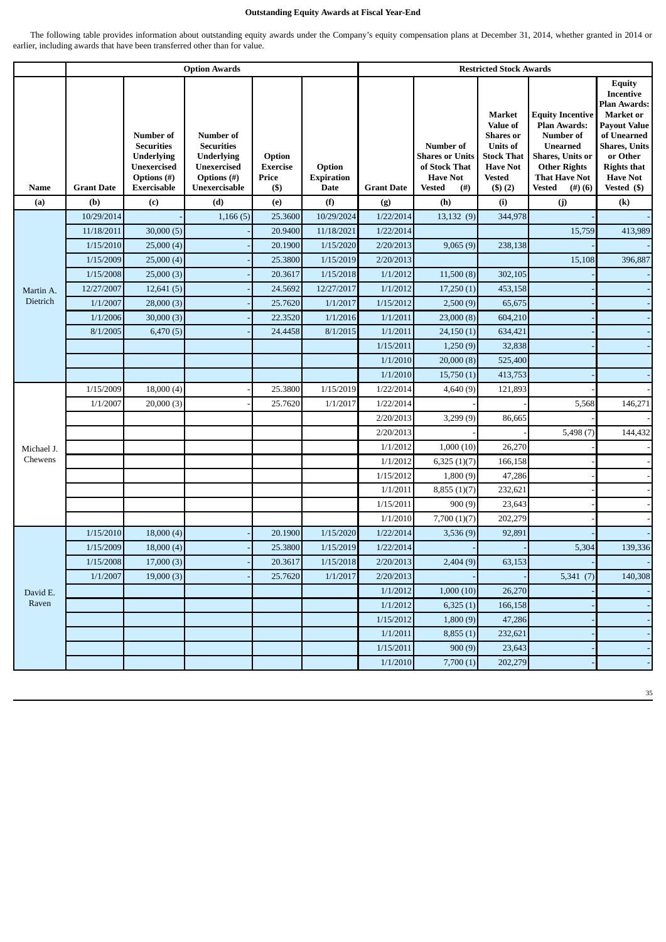# **Outstanding Equity Awards at Fiscal Year-End**

The following table provides information about outstanding equity awards under the Company's equity compensation plans at December 31, 2014, whether granted in 2014 or earlier, including awards that have been transferred other than for value.

|             |                   |                                                                                                                | <b>Option Awards</b>                                                                                             |                                               |                                            |                   |                                                                                                 | <b>Restricted Stock Awards</b>                                                                                                      |                                                                                                                                                                          |                                                                                                                                                                                                                 |
|-------------|-------------------|----------------------------------------------------------------------------------------------------------------|------------------------------------------------------------------------------------------------------------------|-----------------------------------------------|--------------------------------------------|-------------------|-------------------------------------------------------------------------------------------------|-------------------------------------------------------------------------------------------------------------------------------------|--------------------------------------------------------------------------------------------------------------------------------------------------------------------------|-----------------------------------------------------------------------------------------------------------------------------------------------------------------------------------------------------------------|
| <b>Name</b> | <b>Grant Date</b> | Number of<br><b>Securities</b><br><b>Underlying</b><br><b>Unexercised</b><br>Options (#)<br><b>Exercisable</b> | <b>Number of</b><br><b>Securities</b><br><b>Underlying</b><br><b>Unexercised</b><br>Options (#)<br>Unexercisable | Option<br><b>Exercise</b><br>Price<br>$($ \$) | Option<br><b>Expiration</b><br><b>Date</b> | <b>Grant Date</b> | Number of<br><b>Shares or Units</b><br>of Stock That<br><b>Have Not</b><br><b>Vested</b><br>(#) | Market<br>Value of<br><b>Shares</b> or<br><b>Units of</b><br><b>Stock That</b><br><b>Have Not</b><br><b>Vested</b><br>$($ \$) $(2)$ | <b>Equity Incentive</b><br><b>Plan Awards:</b><br>Number of<br><b>Unearned</b><br>Shares, Units or<br><b>Other Rights</b><br><b>That Have Not</b><br>Vested<br>$(4)$ (6) | <b>Equity</b><br><b>Incentive</b><br><b>Plan Awards:</b><br><b>Market</b> or<br><b>Payout Value</b><br>of Unearned<br><b>Shares</b> , Units<br>or Other<br><b>Rights that</b><br><b>Have Not</b><br>Vested (\$) |
| (a)         | (b)               | (c)                                                                                                            | (d)                                                                                                              | (e)                                           | (f)                                        | (g)               | (h)                                                                                             | (i)                                                                                                                                 | (j)                                                                                                                                                                      | $\left( \mathbf{k}\right)$                                                                                                                                                                                      |
|             | 10/29/2014        |                                                                                                                | 1,166(5)                                                                                                         | 25.3600                                       | 10/29/2024                                 | 1/22/2014         | 13,132 (9)                                                                                      | 344,978                                                                                                                             |                                                                                                                                                                          |                                                                                                                                                                                                                 |
|             | 11/18/2011        | 30,000(5)                                                                                                      |                                                                                                                  | 20.9400                                       | 11/18/2021                                 | 1/22/2014         |                                                                                                 |                                                                                                                                     | 15,759                                                                                                                                                                   | 413,989                                                                                                                                                                                                         |
|             | 1/15/2010         | 25,000(4)                                                                                                      |                                                                                                                  | 20.1900                                       | 1/15/2020                                  | 2/20/2013         | 9,065(9)                                                                                        | 238,138                                                                                                                             |                                                                                                                                                                          |                                                                                                                                                                                                                 |
|             | 1/15/2009         | 25,000(4)                                                                                                      |                                                                                                                  | 25.3800                                       | 1/15/2019                                  | 2/20/2013         |                                                                                                 |                                                                                                                                     | 15,108                                                                                                                                                                   | 396,887                                                                                                                                                                                                         |
|             | 1/15/2008         | 25,000(3)                                                                                                      |                                                                                                                  | 20.3617                                       | 1/15/2018                                  | 1/1/2012          | 11,500(8)                                                                                       | 302,105                                                                                                                             |                                                                                                                                                                          |                                                                                                                                                                                                                 |
| Martin A.   | 12/27/2007        | 12,641(5)                                                                                                      |                                                                                                                  | 24.5692                                       | 12/27/2017                                 | 1/1/2012          | 17,250(1)                                                                                       | 453,158                                                                                                                             |                                                                                                                                                                          |                                                                                                                                                                                                                 |
| Dietrich    | 1/1/2007          | 28,000(3)                                                                                                      |                                                                                                                  | 25.7620                                       | 1/1/2017                                   | 1/15/2012         | 2,500(9)                                                                                        | 65,675                                                                                                                              |                                                                                                                                                                          |                                                                                                                                                                                                                 |
|             | 1/1/2006          | 30,000(3)                                                                                                      |                                                                                                                  | 22.3520                                       | 1/1/2016                                   | 1/1/2011          | 23,000(8)                                                                                       | 604,210                                                                                                                             |                                                                                                                                                                          |                                                                                                                                                                                                                 |
|             | 8/1/2005          | 6,470(5)                                                                                                       |                                                                                                                  | 24.4458                                       | 8/1/2015                                   | 1/1/2011          | 24,150(1)                                                                                       | 634,421                                                                                                                             |                                                                                                                                                                          |                                                                                                                                                                                                                 |
|             |                   |                                                                                                                |                                                                                                                  |                                               |                                            | 1/15/2011         | 1,250(9)                                                                                        | 32,838                                                                                                                              |                                                                                                                                                                          |                                                                                                                                                                                                                 |
|             |                   |                                                                                                                |                                                                                                                  |                                               |                                            | 1/1/2010          | 20,000(8)                                                                                       | 525,400                                                                                                                             |                                                                                                                                                                          |                                                                                                                                                                                                                 |
|             |                   |                                                                                                                |                                                                                                                  |                                               |                                            | 1/1/2010          | 15,750(1)                                                                                       | 413,753                                                                                                                             |                                                                                                                                                                          |                                                                                                                                                                                                                 |
|             | 1/15/2009         | 18,000(4)                                                                                                      |                                                                                                                  | 25.3800                                       | 1/15/2019                                  | 1/22/2014         | 4,640(9)                                                                                        | 121,893                                                                                                                             |                                                                                                                                                                          |                                                                                                                                                                                                                 |
|             | 1/1/2007          | 20,000(3)                                                                                                      |                                                                                                                  | 25.7620                                       | 1/1/2017                                   | 1/22/2014         |                                                                                                 |                                                                                                                                     | 5,568                                                                                                                                                                    | 146,271                                                                                                                                                                                                         |
|             |                   |                                                                                                                |                                                                                                                  |                                               |                                            | 2/20/2013         | 3,299(9)                                                                                        | 86,665                                                                                                                              |                                                                                                                                                                          |                                                                                                                                                                                                                 |
|             |                   |                                                                                                                |                                                                                                                  |                                               |                                            | 2/20/2013         |                                                                                                 |                                                                                                                                     | 5,498(7)                                                                                                                                                                 | 144,432                                                                                                                                                                                                         |
| Michael J.  |                   |                                                                                                                |                                                                                                                  |                                               |                                            | 1/1/2012          | 1,000(10)                                                                                       | 26,270                                                                                                                              |                                                                                                                                                                          |                                                                                                                                                                                                                 |
| Chewens     |                   |                                                                                                                |                                                                                                                  |                                               |                                            | 1/1/2012          | 6,325(1)(7)                                                                                     | 166,158                                                                                                                             |                                                                                                                                                                          |                                                                                                                                                                                                                 |
|             |                   |                                                                                                                |                                                                                                                  |                                               |                                            | 1/15/2012         | 1,800(9)                                                                                        | 47,286                                                                                                                              |                                                                                                                                                                          |                                                                                                                                                                                                                 |
|             |                   |                                                                                                                |                                                                                                                  |                                               |                                            | 1/1/2011          | 8,855(1)(7)                                                                                     | 232,621                                                                                                                             |                                                                                                                                                                          |                                                                                                                                                                                                                 |
|             |                   |                                                                                                                |                                                                                                                  |                                               |                                            | 1/15/2011         | 900(9)                                                                                          | 23,643                                                                                                                              |                                                                                                                                                                          |                                                                                                                                                                                                                 |
|             |                   |                                                                                                                |                                                                                                                  |                                               |                                            | 1/1/2010          | 7,700(1)(7)                                                                                     | 202,279                                                                                                                             |                                                                                                                                                                          |                                                                                                                                                                                                                 |
|             | 1/15/2010         | 18,000(4)                                                                                                      |                                                                                                                  | 20.1900                                       | 1/15/2020                                  | 1/22/2014         | 3,536(9)                                                                                        | 92,891                                                                                                                              |                                                                                                                                                                          |                                                                                                                                                                                                                 |
|             | 1/15/2009         | 18,000(4)                                                                                                      |                                                                                                                  | 25.3800                                       | 1/15/2019                                  | 1/22/2014         |                                                                                                 |                                                                                                                                     | 5,304                                                                                                                                                                    | 139,336                                                                                                                                                                                                         |
|             | 1/15/2008         | 17,000(3)                                                                                                      |                                                                                                                  | 20.3617                                       | 1/15/2018                                  | 2/20/2013         | 2,404(9)                                                                                        | 63,153                                                                                                                              |                                                                                                                                                                          |                                                                                                                                                                                                                 |
|             | 1/1/2007          | 19,000(3)                                                                                                      |                                                                                                                  | 25.7620                                       | 1/1/2017                                   | 2/20/2013         |                                                                                                 |                                                                                                                                     | 5,341 $(7)$                                                                                                                                                              | 140,308                                                                                                                                                                                                         |
| David E.    |                   |                                                                                                                |                                                                                                                  |                                               |                                            | 1/1/2012          | 1,000(10)                                                                                       | 26,270                                                                                                                              |                                                                                                                                                                          |                                                                                                                                                                                                                 |
| Raven       |                   |                                                                                                                |                                                                                                                  |                                               |                                            | 1/1/2012          | 6,325(1)                                                                                        | 166,158                                                                                                                             |                                                                                                                                                                          |                                                                                                                                                                                                                 |
|             |                   |                                                                                                                |                                                                                                                  |                                               |                                            | 1/15/2012         | 1,800(9)                                                                                        | 47,286                                                                                                                              |                                                                                                                                                                          |                                                                                                                                                                                                                 |
|             |                   |                                                                                                                |                                                                                                                  |                                               |                                            | 1/1/2011          | 8,855(1)                                                                                        | 232,621                                                                                                                             |                                                                                                                                                                          |                                                                                                                                                                                                                 |
|             |                   |                                                                                                                |                                                                                                                  |                                               |                                            | 1/15/2011         | 900(9)                                                                                          | 23,643                                                                                                                              |                                                                                                                                                                          |                                                                                                                                                                                                                 |
|             |                   |                                                                                                                |                                                                                                                  |                                               |                                            | 1/1/2010          | 7,700(1)                                                                                        | 202,279                                                                                                                             |                                                                                                                                                                          |                                                                                                                                                                                                                 |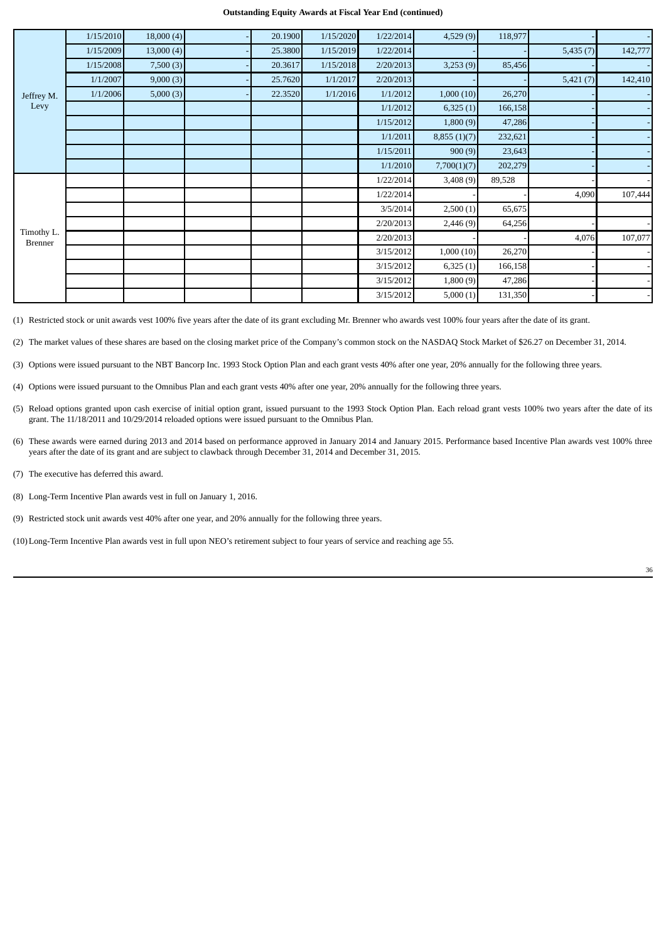#### **Outstanding Equity Awards at Fiscal Year End (continued)**

|                              | 1/15/2010 | 18,000(4) | 20.1900 | 1/15/2020 | 1/22/2014 | 4,529 (9)   | 118,977 |          |         |
|------------------------------|-----------|-----------|---------|-----------|-----------|-------------|---------|----------|---------|
|                              | 1/15/2009 | 13,000(4) | 25.3800 | 1/15/2019 | 1/22/2014 |             |         | 5,435(7) | 142,777 |
|                              | 1/15/2008 | 7,500(3)  | 20.3617 | 1/15/2018 | 2/20/2013 | 3,253(9)    | 85,456  |          |         |
|                              | 1/1/2007  | 9,000(3)  | 25.7620 | 1/1/2017  | 2/20/2013 |             |         | 5,421(7) | 142,410 |
| Jeffrey M.                   | 1/1/2006  | 5,000(3)  | 22.3520 | 1/1/2016  | 1/1/2012  | 1,000(10)   | 26,270  |          |         |
| Levy                         |           |           |         |           | 1/1/2012  | 6,325(1)    | 166,158 |          |         |
|                              |           |           |         |           | 1/15/2012 | 1,800(9)    | 47,286  |          |         |
|                              |           |           |         |           | 1/1/2011  | 8,855(1)(7) | 232,621 |          |         |
|                              |           |           |         |           | 1/15/2011 | 900(9)      | 23,643  |          |         |
|                              |           |           |         |           | 1/1/2010  | 7,700(1)(7) | 202,279 |          |         |
|                              |           |           |         |           | 1/22/2014 | 3,408 (9)   | 89,528  |          |         |
|                              |           |           |         |           | 1/22/2014 |             |         | 4,090    | 107,444 |
|                              |           |           |         |           | 3/5/2014  | 2,500(1)    | 65,675  |          |         |
|                              |           |           |         |           | 2/20/2013 | 2,446(9)    | 64,256  |          |         |
| Timothy L.<br><b>Brenner</b> |           |           |         |           | 2/20/2013 |             |         | 4,076    | 107,077 |
|                              |           |           |         |           | 3/15/2012 | 1,000(10)   | 26,270  |          |         |
|                              |           |           |         |           | 3/15/2012 | 6,325(1)    | 166,158 |          |         |
|                              |           |           |         |           | 3/15/2012 | 1,800(9)    | 47,286  |          |         |
|                              |           |           |         |           | 3/15/2012 | 5,000(1)    | 131,350 |          |         |

(1) Restricted stock or unit awards vest 100% five years after the date of its grant excluding Mr. Brenner who awards vest 100% four years after the date of its grant.

(2) The market values of these shares are based on the closing market price of the Company's common stock on the NASDAQ Stock Market of \$26.27 on December 31, 2014.

(3) Options were issued pursuant to the NBT Bancorp Inc. 1993 Stock Option Plan and each grant vests 40% after one year, 20% annually for the following three years.

(4) Options were issued pursuant to the Omnibus Plan and each grant vests 40% after one year, 20% annually for the following three years.

- (5) Reload options granted upon cash exercise of initial option grant, issued pursuant to the 1993 Stock Option Plan. Each reload grant vests 100% two years after the date of its grant. The 11/18/2011 and 10/29/2014 reloaded options were issued pursuant to the Omnibus Plan.
- (6) These awards were earned during 2013 and 2014 based on performance approved in January 2014 and January 2015. Performance based Incentive Plan awards vest 100% three years after the date of its grant and are subject to clawback through December 31, 2014 and December 31, 2015.
- (7) The executive has deferred this award.
- (8) Long-Term Incentive Plan awards vest in full on January 1, 2016.
- (9) Restricted stock unit awards vest 40% after one year, and 20% annually for the following three years.
- (10)Long-Term Incentive Plan awards vest in full upon NEO's retirement subject to four years of service and reaching age 55.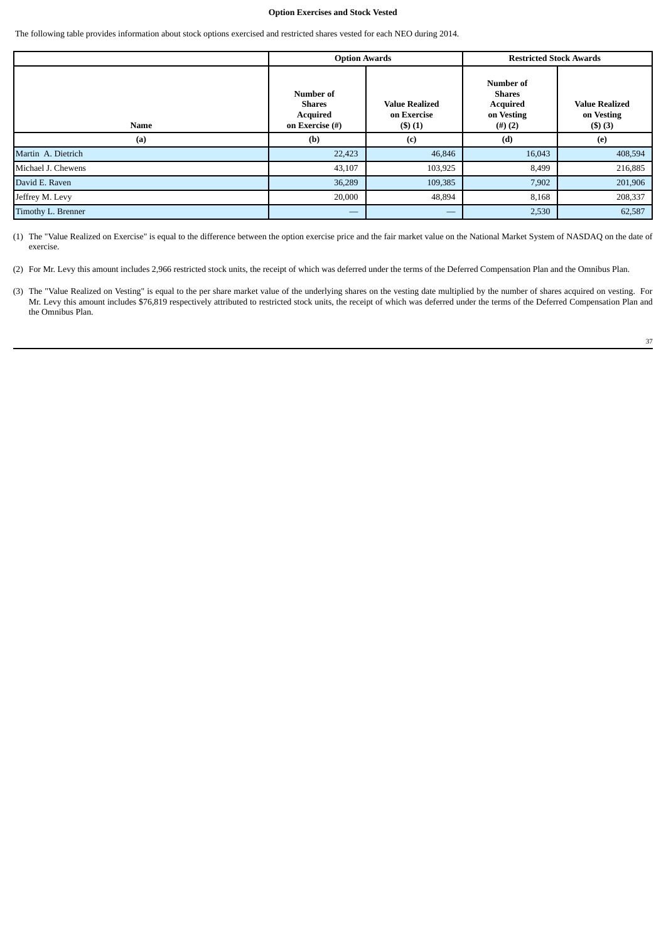## **Option Exercises and Stock Vested**

The following table provides information about stock options exercised and restricted shares vested for each NEO during 2014.

|                    | <b>Option Awards</b>                                      |                                                       | <b>Restricted Stock Awards</b>                                                  |                                                      |
|--------------------|-----------------------------------------------------------|-------------------------------------------------------|---------------------------------------------------------------------------------|------------------------------------------------------|
| Name               | Number of<br>Shares<br><b>Acquired</b><br>on Exercise (#) | <b>Value Realized</b><br>on Exercise<br>$($ \$ $)(1)$ | <b>Number of</b><br><b>Shares</b><br><b>Acquired</b><br>on Vesting<br>$(4)$ (2) | <b>Value Realized</b><br>on Vesting<br>$($ \$) $(3)$ |
| (a)                | (b)                                                       | (c)                                                   | (d)                                                                             | (e)                                                  |
| Martin A. Dietrich | 22,423                                                    | 46,846                                                | 16,043                                                                          | 408,594                                              |
| Michael J. Chewens | 43,107                                                    | 103,925                                               | 8,499                                                                           | 216,885                                              |
| David E. Raven     | 36,289                                                    | 109,385                                               | 7,902                                                                           | 201,906                                              |
| Jeffrey M. Levy    | 20,000                                                    | 48,894                                                | 8,168                                                                           | 208,337                                              |
| Timothy L. Brenner |                                                           |                                                       | 2,530                                                                           | 62,587                                               |

(1) The "Value Realized on Exercise" is equal to the difference between the option exercise price and the fair market value on the National Market System of NASDAQ on the date of exercise.

<sup>(2)</sup> For Mr. Levy this amount includes 2,966 restricted stock units, the receipt of which was deferred under the terms of the Deferred Compensation Plan and the Omnibus Plan.

<sup>(3)</sup> The "Value Realized on Vesting" is equal to the per share market value of the underlying shares on the vesting date multiplied by the number of shares acquired on vesting. For Mr. Levy this amount includes \$76,819 respectively attributed to restricted stock units, the receipt of which was deferred under the terms of the Deferred Compensation Plan and the Omnibus Plan.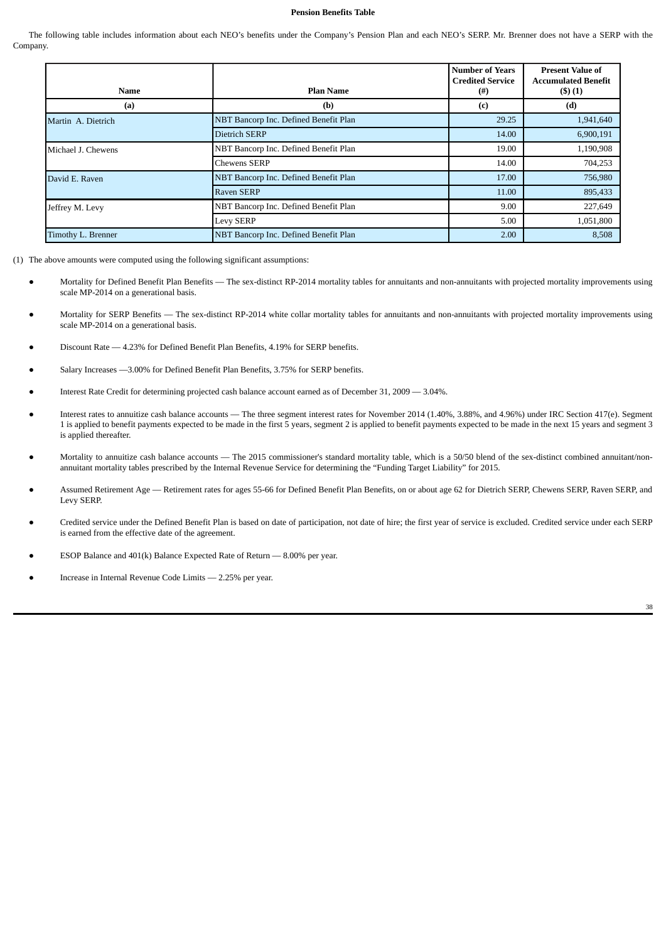## **Pension Benefits Table**

The following table includes information about each NEO's benefits under the Company's Pension Plan and each NEO's SERP. Mr. Brenner does not have a SERP with the Company.

| Name               | <b>Plan Name</b>                      | <b>Number of Years</b><br><b>Credited Service</b><br>$^{(#)}$ | <b>Present Value of</b><br><b>Accumulated Benefit</b><br>(3)(1) |
|--------------------|---------------------------------------|---------------------------------------------------------------|-----------------------------------------------------------------|
| (a)                | (b)                                   | (c)                                                           | (d)                                                             |
| Martin A. Dietrich | NBT Bancorp Inc. Defined Benefit Plan | 29.25                                                         | 1,941,640                                                       |
|                    | <b>Dietrich SERP</b>                  | 14.00                                                         | 6,900,191                                                       |
| Michael J. Chewens | NBT Bancorp Inc. Defined Benefit Plan | 19.00                                                         | 1,190,908                                                       |
|                    | <b>Chewens SERP</b>                   | 14.00                                                         | 704,253                                                         |
| David E. Raven     | NBT Bancorp Inc. Defined Benefit Plan | 17.00                                                         | 756,980                                                         |
|                    | <b>Raven SERP</b>                     | 11.00                                                         | 895,433                                                         |
| Jeffrey M. Levy    | NBT Bancorp Inc. Defined Benefit Plan | 9.00                                                          | 227,649                                                         |
|                    | Levy SERP                             | 5.00                                                          | 1,051,800                                                       |
| Timothy L. Brenner | NBT Bancorp Inc. Defined Benefit Plan | 2.00                                                          | 8,508                                                           |

- (1) The above amounts were computed using the following significant assumptions:
	- Mortality for Defined Benefit Plan Benefits The sex-distinct RP-2014 mortality tables for annuitants and non-annuitants with projected mortality improvements using scale MP-2014 on a generational basis.
	- Mortality for SERP Benefits The sex-distinct RP-2014 white collar mortality tables for annuitants and non-annuitants with projected mortality improvements using scale MP-2014 on a generational basis.
	- Discount Rate 4.23% for Defined Benefit Plan Benefits, 4.19% for SERP benefits.
	- Salary Increases -3.00% for Defined Benefit Plan Benefits, 3.75% for SERP benefits.
	- Interest Rate Credit for determining projected cash balance account earned as of December 31, 2009 3.04%.
	- Interest rates to annuitize cash balance accounts The three segment interest rates for November 2014 (1.40%, 3.88%, and 4.96%) under IRC Section 417(e). Segment 1 is applied to benefit payments expected to be made in the first 5 years, segment 2 is applied to benefit payments expected to be made in the next 15 years and segment 3 is applied thereafter.
	- Mortality to annuitize cash balance accounts The 2015 commissioner's standard mortality table, which is a 50/50 blend of the sex-distinct combined annuitant/nonannuitant mortality tables prescribed by the Internal Revenue Service for determining the "Funding Target Liability" for 2015.
	- Assumed Retirement Age Retirement rates for ages 55-66 for Defined Benefit Plan Benefits, on or about age 62 for Dietrich SERP, Chewens SERP, Raven SERP, and Levy SERP.
	- Credited service under the Defined Benefit Plan is based on date of participation, not date of hire; the first year of service is excluded. Credited service under each SERP is earned from the effective date of the agreement.
	- ESOP Balance and 401(k) Balance Expected Rate of Return 8.00% per year.
	- Increase in Internal Revenue Code Limits 2.25% per year.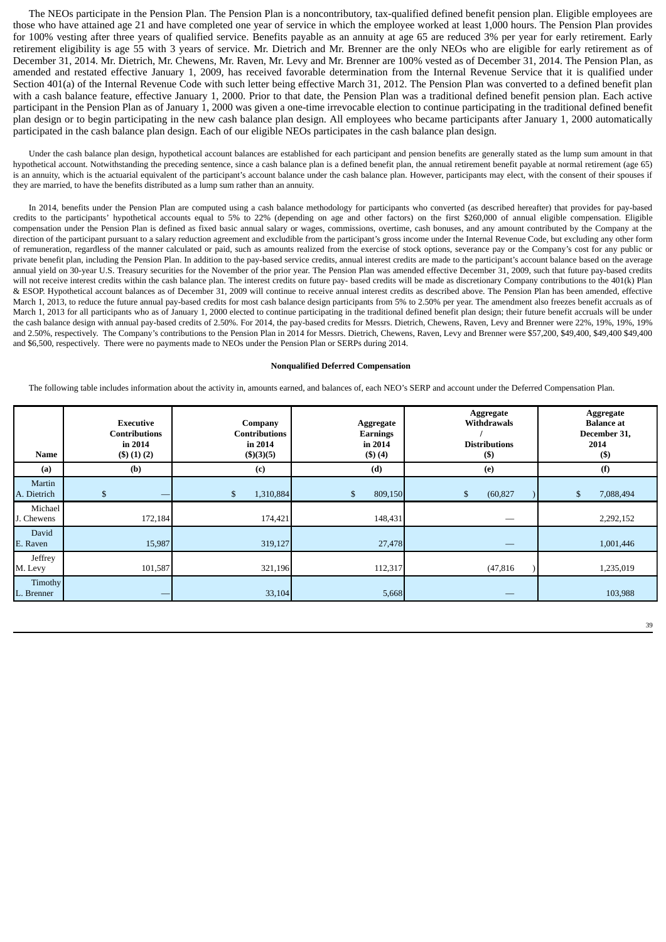The NEOs participate in the Pension Plan. The Pension Plan is a noncontributory, tax-qualified defined benefit pension plan. Eligible employees are those who have attained age 21 and have completed one year of service in which the employee worked at least 1,000 hours. The Pension Plan provides for 100% vesting after three years of qualified service. Benefits payable as an annuity at age 65 are reduced 3% per year for early retirement. Early retirement eligibility is age 55 with 3 years of service. Mr. Dietrich and Mr. Brenner are the only NEOs who are eligible for early retirement as of December 31, 2014. Mr. Dietrich, Mr. Chewens, Mr. Raven, Mr. Levy and Mr. Brenner are 100% vested as of December 31, 2014. The Pension Plan, as amended and restated effective January 1, 2009, has received favorable determination from the Internal Revenue Service that it is qualified under Section 401(a) of the Internal Revenue Code with such letter being effective March 31, 2012. The Pension Plan was converted to a defined benefit plan with a cash balance feature, effective January 1, 2000. Prior to that date, the Pension Plan was a traditional defined benefit pension plan. Each active participant in the Pension Plan as of January 1, 2000 was given a one-time irrevocable election to continue participating in the traditional defined benefit plan design or to begin participating in the new cash balance plan design. All employees who became participants after January 1, 2000 automatically participated in the cash balance plan design. Each of our eligible NEOs participates in the cash balance plan design.

Under the cash balance plan design, hypothetical account balances are established for each participant and pension benefits are generally stated as the lump sum amount in that hypothetical account. Notwithstanding the preceding sentence, since a cash balance plan is a defined benefit plan, the annual retirement benefit payable at normal retirement (age 65) is an annuity, which is the actuarial equivalent of the participant's account balance under the cash balance plan. However, participants may elect, with the consent of their spouses if they are married, to have the benefits distributed as a lump sum rather than an annuity.

In 2014, benefits under the Pension Plan are computed using a cash balance methodology for participants who converted (as described hereafter) that provides for pay-based credits to the participants' hypothetical accounts equal to 5% to 22% (depending on age and other factors) on the first \$260,000 of annual eligible compensation. Eligible compensation under the Pension Plan is defined as fixed basic annual salary or wages, commissions, overtime, cash bonuses, and any amount contributed by the Company at the direction of the participant pursuant to a salary reduction agreement and excludible from the participant's gross income under the Internal Revenue Code, but excluding any other form of remuneration, regardless of the manner calculated or paid, such as amounts realized from the exercise of stock options, severance pay or the Company's cost for any public or private benefit plan, including the Pension Plan. In addition to the pay-based service credits, annual interest credits are made to the participant's account balance based on the average annual yield on 30-year U.S. Treasury securities for the November of the prior year. The Pension Plan was amended effective December 31, 2009, such that future pay-based credits will not receive interest credits within the cash balance plan. The interest credits on future pay- based credits will be made as discretionary Company contributions to the 401(k) Plan & ESOP. Hypothetical account balances as of December 31, 2009 will continue to receive annual interest credits as described above. The Pension Plan has been amended, effective March 1, 2013, to reduce the future annual pay-based credits for most cash balance design participants from 5% to 2.50% per year. The amendment also freezes benefit accruals as of March 1, 2013 for all participants who as of January 1, 2000 elected to continue participating in the traditional defined benefit plan design; their future benefit accruals will be under the cash balance design with annual pay-based credits of 2.50%. For 2014, the pay-based credits for Messrs. Dietrich, Chewens, Raven, Levy and Brenner were 22%, 19%, 19%, 19% and 2.50%, respectively. The Company's contributions to the Pension Plan in 2014 for Messrs. Dietrich, Chewens, Raven, Levy and Brenner were \$57,200, \$49,400, \$49,400 \$49,400 and \$6,500, respectively. There were no payments made to NEOs under the Pension Plan or SERPs during 2014.

#### **Nonqualified Deferred Compensation**

The following table includes information about the activity in, amounts earned, and balances of, each NEO's SERP and account under the Deferred Compensation Plan.

| Name                  | <b>Executive</b><br><b>Contributions</b><br>in 2014<br>$($ \$) $(1)$ $(2)$ | Company<br><b>Contributions</b><br>in 2014<br>\$)(3)(5) | Aggregate<br><b>Earnings</b><br>in 2014<br>(3)(4) | Aggregate<br><b>Withdrawals</b><br><b>Distributions</b><br>$($ \$ | Aggregate<br><b>Balance</b> at<br>December 31,<br>2014<br>$($ \$ |  |
|-----------------------|----------------------------------------------------------------------------|---------------------------------------------------------|---------------------------------------------------|-------------------------------------------------------------------|------------------------------------------------------------------|--|
| (a)                   | (b)                                                                        | (c)                                                     | (d)                                               | (e)                                                               | (f)                                                              |  |
| Martin<br>A. Dietrich | \$<br>–                                                                    | 1,310,884<br>\$                                         | 809,150<br>\$                                     | $\boldsymbol{\mathsf{S}}$<br>(60, 827)                            | 7,088,494<br>\$                                                  |  |
| Michael<br>Chewens    | 172,184                                                                    | 174,421                                                 | 148,431                                           |                                                                   | 2,292,152                                                        |  |
| David<br>E. Raven     | 15,987                                                                     | 319,127                                                 | 27,478                                            |                                                                   | 1,001,446                                                        |  |
| Jeffrey<br>M. Levy    | 101,587                                                                    | 321,196                                                 | 112,317                                           | (47, 816)                                                         | 1,235,019                                                        |  |
| Timothy<br>L. Brenner |                                                                            | 33,104                                                  | 5,668                                             |                                                                   | 103,988                                                          |  |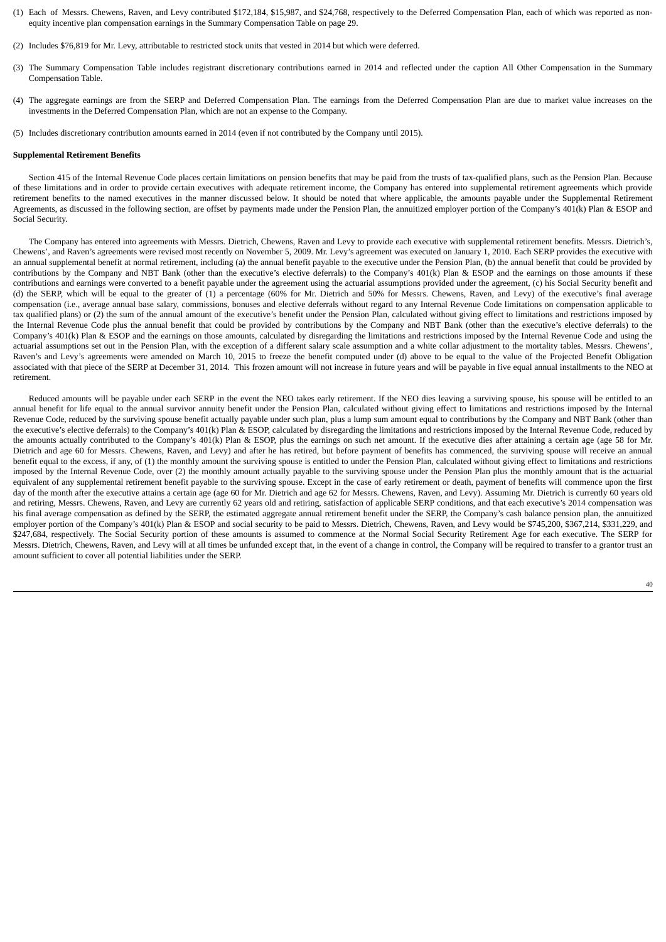- (1) Each of Messrs. Chewens, Raven, and Levy contributed \$172,184, \$15,987, and \$24,768, respectively to the Deferred Compensation Plan, each of which was reported as nonequity incentive plan compensation earnings in the Summary Compensation Table on page 29.
- (2) Includes \$76,819 for Mr. Levy, attributable to restricted stock units that vested in 2014 but which were deferred.
- (3) The Summary Compensation Table includes registrant discretionary contributions earned in 2014 and reflected under the caption All Other Compensation in the Summary Compensation Table.
- (4) The aggregate earnings are from the SERP and Deferred Compensation Plan. The earnings from the Deferred Compensation Plan are due to market value increases on the investments in the Deferred Compensation Plan, which are not an expense to the Company.
- (5) Includes discretionary contribution amounts earned in 2014 (even if not contributed by the Company until 2015).

#### **Supplemental Retirement Benefits**

Section 415 of the Internal Revenue Code places certain limitations on pension benefits that may be paid from the trusts of tax-qualified plans, such as the Pension Plan. Because of these limitations and in order to provide certain executives with adequate retirement income, the Company has entered into supplemental retirement agreements which provide retirement benefits to the named executives in the manner discussed below. It should be noted that where applicable, the amounts payable under the Supplemental Retirement Agreements, as discussed in the following section, are offset by payments made under the Pension Plan, the annuitized employer portion of the Company's 401(k) Plan & ESOP and Social Security.

The Company has entered into agreements with Messrs. Dietrich, Chewens, Raven and Levy to provide each executive with supplemental retirement benefits. Messrs. Dietrich's, Chewens', and Raven's agreements were revised most recently on November 5, 2009. Mr. Levy's agreement was executed on January 1, 2010. Each SERP provides the executive with an annual supplemental benefit at normal retirement, including (a) the annual benefit payable to the executive under the Pension Plan, (b) the annual benefit that could be provided by contributions by the Company and NBT Bank (other than the executive's elective deferrals) to the Company's 401(k) Plan & ESOP and the earnings on those amounts if these contributions and earnings were converted to a benefit payable under the agreement using the actuarial assumptions provided under the agreement, (c) his Social Security benefit and (d) the SERP, which will be equal to the greater of (1) a percentage (60% for Mr. Dietrich and 50% for Messrs. Chewens, Raven, and Levy) of the executive's final average compensation (i.e., average annual base salary, commissions, bonuses and elective deferrals without regard to any Internal Revenue Code limitations on compensation applicable to tax qualified plans) or (2) the sum of the annual amount of the executive's benefit under the Pension Plan, calculated without giving effect to limitations and restrictions imposed by the Internal Revenue Code plus the annual benefit that could be provided by contributions by the Company and NBT Bank (other than the executive's elective deferrals) to the Company's 401(k) Plan & ESOP and the earnings on those amounts, calculated by disregarding the limitations and restrictions imposed by the Internal Revenue Code and using the actuarial assumptions set out in the Pension Plan, with the exception of a different salary scale assumption and a white collar adjustment to the mortality tables. Messrs. Chewens', Raven's and Levy's agreements were amended on March 10, 2015 to freeze the benefit computed under (d) above to be equal to the value of the Projected Benefit Obligation associated with that piece of the SERP at December 31, 2014. This frozen amount will not increase in future years and will be payable in five equal annual installments to the NEO at retirement.

Reduced amounts will be payable under each SERP in the event the NEO takes early retirement. If the NEO dies leaving a surviving spouse, his spouse will be entitled to an annual benefit for life equal to the annual survivor annuity benefit under the Pension Plan, calculated without giving effect to limitations and restrictions imposed by the Internal Revenue Code, reduced by the surviving spouse benefit actually payable under such plan, plus a lump sum amount equal to contributions by the Company and NBT Bank (other than the executive's elective deferrals) to the Company's 401(k) Plan & ESOP, calculated by disregarding the limitations and restrictions imposed by the Internal Revenue Code, reduced by the amounts actually contributed to the Company's 401(k) Plan & ESOP, plus the earnings on such net amount. If the executive dies after attaining a certain age (age 58 for Mr. Dietrich and age 60 for Messrs. Chewens, Raven, and Levy) and after he has retired, but before payment of benefits has commenced, the surviving spouse will receive an annual benefit equal to the excess, if any, of (1) the monthly amount the surviving spouse is entitled to under the Pension Plan, calculated without giving effect to limitations and restrictions imposed by the Internal Revenue Code, over (2) the monthly amount actually payable to the surviving spouse under the Pension Plan plus the monthly amount that is the actuarial equivalent of any supplemental retirement benefit payable to the surviving spouse. Except in the case of early retirement or death, payment of benefits will commence upon the first day of the month after the executive attains a certain age (age 60 for Mr. Dietrich and age 62 for Messrs. Chewens, Raven, and Levy). Assuming Mr. Dietrich is currently 60 years old and retiring, Messrs. Chewens, Raven, and Levy are currently 62 years old and retiring, satisfaction of applicable SERP conditions, and that each executive's 2014 compensation was his final average compensation as defined by the SERP, the estimated aggregate annual retirement benefit under the SERP, the Company's cash balance pension plan, the annuitized employer portion of the Company's 401(k) Plan & ESOP and social security to be paid to Messrs. Dietrich, Chewens, Raven, and Levy would be \$745,200, \$367,214, \$331,229, and \$247,684, respectively. The Social Security portion of these amounts is assumed to commence at the Normal Social Security Retirement Age for each executive. The SERP for Messrs. Dietrich, Chewens, Raven, and Levy will at all times be unfunded except that, in the event of a change in control, the Company will be required to transfer to a grantor trust an amount sufficient to cover all potential liabilities under the SERP.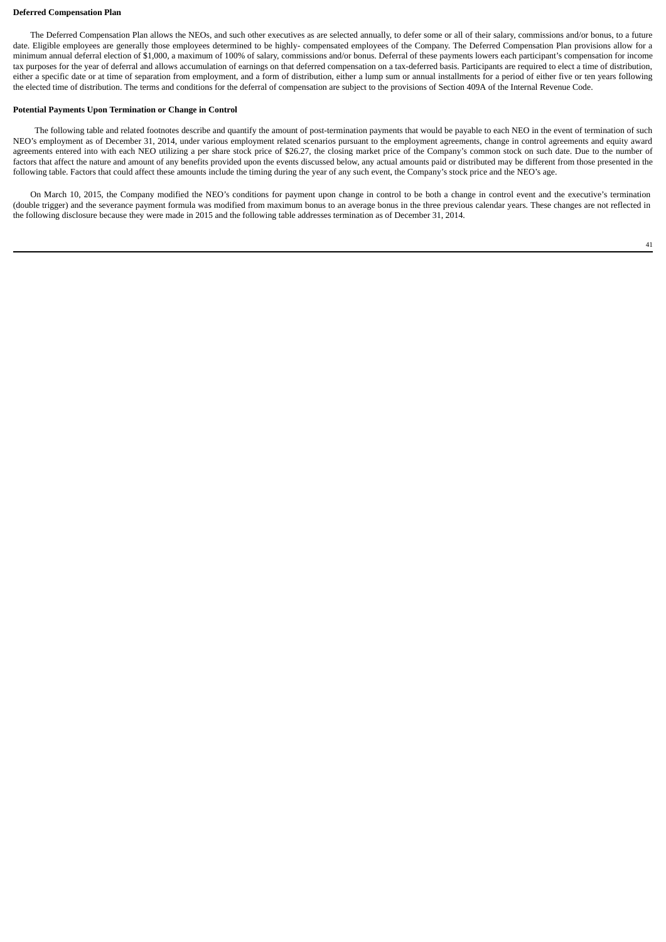#### **Deferred Compensation Plan**

The Deferred Compensation Plan allows the NEOs, and such other executives as are selected annually, to defer some or all of their salary, commissions and/or bonus, to a future date. Eligible employees are generally those employees determined to be highly- compensated employees of the Company. The Deferred Compensation Plan provisions allow for a minimum annual deferral election of \$1,000, a maximum of 100% of salary, commissions and/or bonus. Deferral of these payments lowers each participant's compensation for income tax purposes for the year of deferral and allows accumulation of earnings on that deferred compensation on a tax-deferred basis. Participants are required to elect a time of distribution, either a specific date or at time of separation from employment, and a form of distribution, either a lump sum or annual installments for a period of either five or ten years following the elected time of distribution. The terms and conditions for the deferral of compensation are subject to the provisions of Section 409A of the Internal Revenue Code.

# **Potential Payments Upon Termination or Change in Control**

The following table and related footnotes describe and quantify the amount of post-termination payments that would be payable to each NEO in the event of termination of such NEO's employment as of December 31, 2014, under various employment related scenarios pursuant to the employment agreements, change in control agreements and equity award agreements entered into with each NEO utilizing a per share stock price of \$26.27, the closing market price of the Company's common stock on such date. Due to the number of factors that affect the nature and amount of any benefits provided upon the events discussed below, any actual amounts paid or distributed may be different from those presented in the following table. Factors that could affect these amounts include the timing during the year of any such event, the Company's stock price and the NEO's age.

On March 10, 2015, the Company modified the NEO's conditions for payment upon change in control to be both a change in control event and the executive's termination (double trigger) and the severance payment formula was modified from maximum bonus to an average bonus in the three previous calendar years. These changes are not reflected in the following disclosure because they were made in 2015 and the following table addresses termination as of December 31, 2014.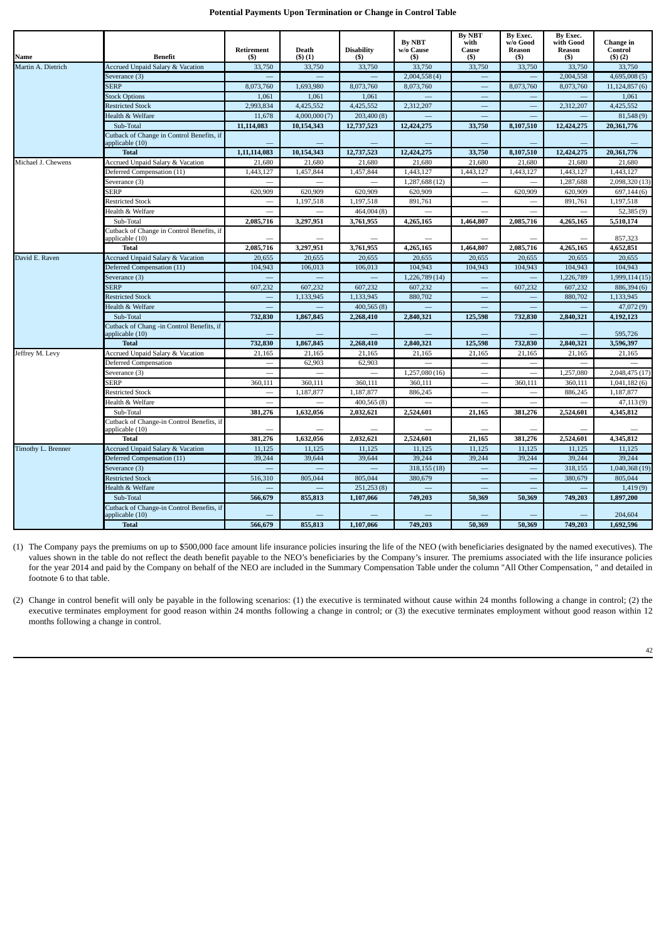# **Potential Payments Upon Termination or Change in Control Table**

|                    |                                                              | Retirement   | Death        | <b>Disability</b> | <b>By NBT</b><br>w/o Cause | <b>By NBT</b><br>with<br>Cause | By Exec.<br>w/o Good<br>Reason | By Exec.<br>with Good<br>Reason | Change in<br>Control |
|--------------------|--------------------------------------------------------------|--------------|--------------|-------------------|----------------------------|--------------------------------|--------------------------------|---------------------------------|----------------------|
| Name               | <b>Benefit</b>                                               | (5)          | (5)(1)       | (S)               | (5)                        | (5)                            | (5)                            | (5)                             | (5)(2)               |
| Martin A. Dietrich | Accrued Unpaid Salary & Vacation                             | 33,750       | 33,750       | 33,750            | 33,750                     | 33,750                         | 33,750                         | 33,750                          | 33,750               |
|                    | Severance (3)                                                |              |              |                   | 2,004,558(4)               |                                |                                | 2,004,558                       | 4,695,008(5)         |
|                    | <b>SERP</b>                                                  | 8,073,760    | 1,693,980    | 8,073,760         | 8,073,760                  |                                | 8,073,760                      | 8,073,760                       | 11,124,857(6)        |
|                    | <b>Stock Options</b>                                         | 1,061        | 1,061        | 1,061             |                            |                                |                                |                                 | 1,061                |
|                    | <b>Restricted Stock</b>                                      | 2,993,834    | 4,425,552    | 4,425,552         | 2,312,207                  | $\overline{\phantom{0}}$       |                                | 2,312,207                       | 4,425,552            |
|                    | <b>Jealth &amp; Welfare</b>                                  | 11,678       | 4,000,000(7) | 203,400(8)        |                            |                                |                                |                                 | 81,548(9)            |
|                    | Sub-Total                                                    | 11,114,083   | 10,154,343   | 12,737,523        | 12,424,275                 | 33,750                         | 8,107,510                      | 12,424,275                      | 20,361,776           |
|                    | Cutback of Change in Control Benefits, if<br>applicable (10) |              |              |                   |                            |                                |                                |                                 |                      |
|                    | <b>Total</b>                                                 | 1,11,114,083 | 10,154,343   | 12,737,523        | 12,424,275                 | 33,750                         | 8,107,510                      | 12,424,275                      | 20,361,776           |
| Michael J. Chewens | Accrued Unpaid Salary & Vacation                             | 21,680       | 21,680       | 21,680            | 21,680                     | 21,680                         | 21,680                         | 21,680                          | 21,680               |
|                    | Deferred Compensation (11)                                   | 1,443,127    | 1,457,844    | 1,457,844         | 1,443,127                  | 1,443,127                      | 1,443,127                      | 1,443,127                       | 1,443,127            |
|                    | Severance (3)                                                |              |              |                   | 1,287,688 (12)             |                                |                                | 1,287,688                       | 2,098,320 (13)       |
|                    | <b>SERP</b>                                                  | 620,909      | 620,909      | 620,909           | 620,909                    |                                | 620,909                        | 620,909                         | 697,144(6)           |
|                    | <b>Restricted Stock</b>                                      |              | 1,197,518    | 1,197,518         | 891,761                    |                                |                                | 891,761                         | 1,197,518            |
|                    | Health & Welfare                                             |              |              | 464,004(8)        |                            |                                |                                |                                 | 52,385(9)            |
|                    | Sub-Total                                                    | 2,085,716    | 3,297,951    | 3,761,955         | 4,265,165                  | 1,464,807                      | 2,085,716                      | 4,265,165                       | 5,510,174            |
|                    | Cutback of Change in Control Benefits, if<br>applicable (10) |              |              |                   |                            |                                |                                |                                 | 857,323              |
|                    | <b>Total</b>                                                 | 2,085,716    | 3,297,951    | 3,761,955         | 4,265,165                  | 1,464,807                      | 2,085,716                      | 4,265,165                       | 4,652,851            |
| David E. Raven     | <b>Accrued Unpaid Salary &amp; Vacation</b>                  | 20,655       | 20,655       | 20,655            | 20,655                     | 20,655                         | 20,655                         | 20,655                          | 20,655               |
|                    | Deferred Compensation (11)                                   | 104,943      | 106,013      | 106,013           | 104,943                    | 104,943                        | 104,943                        | 104,943                         | 104.943              |
|                    | Severance (3)                                                |              |              |                   | 1,226,789 (14)             |                                |                                | 1,226,789                       | 1,999,114 (15)       |
|                    | <b>SERP</b>                                                  | 607,232      | 607,232      | 607,232           | 607,232                    |                                | 607,232                        | 607,232                         | 886,394 (6)          |
|                    | <b>Restricted Stock</b>                                      |              | 1,133,945    | 1,133,945         | 880,702                    |                                |                                | 880,702                         | 1,133,945            |
|                    | Health & Welfare                                             |              |              | 400,565(8)        |                            |                                |                                |                                 | 47,072 (9)           |
|                    | Sub-Total                                                    | 732,830      | 1,867,845    | 2,268,410         | 2,840,321                  | 125,598                        | 732,830                        | 2,840,321                       | 4,192,123            |
|                    | Cutback of Chang -in Control Benefits, if<br>applicable (10) |              |              |                   |                            |                                |                                |                                 | 595,726              |
|                    | <b>Total</b>                                                 | 732,830      | 1,867,845    | 2,268,410         | 2,840,321                  | 125,598                        | 732,830                        | 2,840,321                       | 3,596,397            |
| Jeffrey M. Levy    | Accrued Unpaid Salary & Vacation                             | 21,165       | 21,165       | 21,165            | 21,165                     | 21,165                         | 21,165                         | 21,165                          | 21,165               |
|                    | Deferred Compensation                                        |              | 62,903       | 62,903            |                            |                                |                                |                                 |                      |
|                    | Severance (3)                                                |              |              |                   | 1,257,080 (16)             |                                |                                | 1,257,080                       | 2,048,475 (17)       |
|                    | SERP                                                         | 360,111      | 360,111      | 360,111           | 360,111                    |                                | 360,111                        | 360,111                         | 1,041,182(6)         |
|                    | <b>Restricted Stock</b>                                      |              | 1,187,877    | 1,187,877         | 886,245                    |                                |                                | 886,245                         | 1,187,877            |
|                    | Health & Welfare                                             |              |              | 400,565(8)        |                            |                                |                                |                                 | 47,113(9)            |
|                    | Sub-Total                                                    | 381,276      | 1,632,056    | 2,032,621         | 2,524,601                  | 21,165                         | 381,276                        | 2,524,601                       | 4,345,812            |
|                    | Cutback of Change-in Control Benefits, if<br>applicable (10) |              |              |                   |                            |                                |                                |                                 |                      |
|                    | <b>Total</b>                                                 | 381,276      | 1,632,056    | 2,032,621         | 2,524,601                  | 21,165                         | 381,276                        | 2,524,601                       | 4,345,812            |
| Timothy L. Brenner | Accrued Unpaid Salary & Vacation                             | 11,125       | 11,125       | 11,125            | 11,125                     | 11,125                         | 11,125                         | 11,125                          | 11,125               |
|                    | Deferred Compensation (11)                                   | 39,244       | 39,644       | 39,644            | 39,244                     | 39,244                         | 39,244                         | 39,244                          | 39,244               |
|                    | Severance (3)                                                |              |              |                   | 318,155 (18)               |                                |                                | 318,155                         | 1,040,368 (19)       |
|                    | <b>Restricted Stock</b>                                      | 516,310      | 805,044      | 805,044           | 380,679                    |                                |                                | 380,679                         | 805,044              |
|                    | Health & Welfare                                             |              |              | 251,253(8)        |                            |                                |                                |                                 | 1,419(9)             |
|                    | Sub-Total                                                    | 566,679      | 855,813      | 1,107,066         | 749,203                    | 50,369                         | 50,369                         | 749,203                         | 1,897,200            |
|                    | Cutback of Change-in Control Benefits, if<br>applicable (10) |              |              |                   |                            |                                |                                |                                 | 204,604              |
|                    | <b>Total</b>                                                 | 566,679      | 855,813      | 1,107,066         | 749,203                    | 50,369                         | 50,369                         | 749,203                         | 1,692,596            |

(1) The Company pays the premiums on up to \$500,000 face amount life insurance policies insuring the life of the NEO (with beneficiaries designated by the named executives). The values shown in the table do not reflect the death benefit payable to the NEO's beneficiaries by the Company's insurer. The premiums associated with the life insurance policies for the year 2014 and paid by the Company on behalf of the NEO are included in the Summary Compensation Table under the column "All Other Compensation, " and detailed in footnote 6 to that table.

(2) Change in control benefit will only be payable in the following scenarios: (1) the executive is terminated without cause within 24 months following a change in control; (2) the executive terminates employment for good reason within 24 months following a change in control; or (3) the executive terminates employment without good reason within 12 months following a change in control.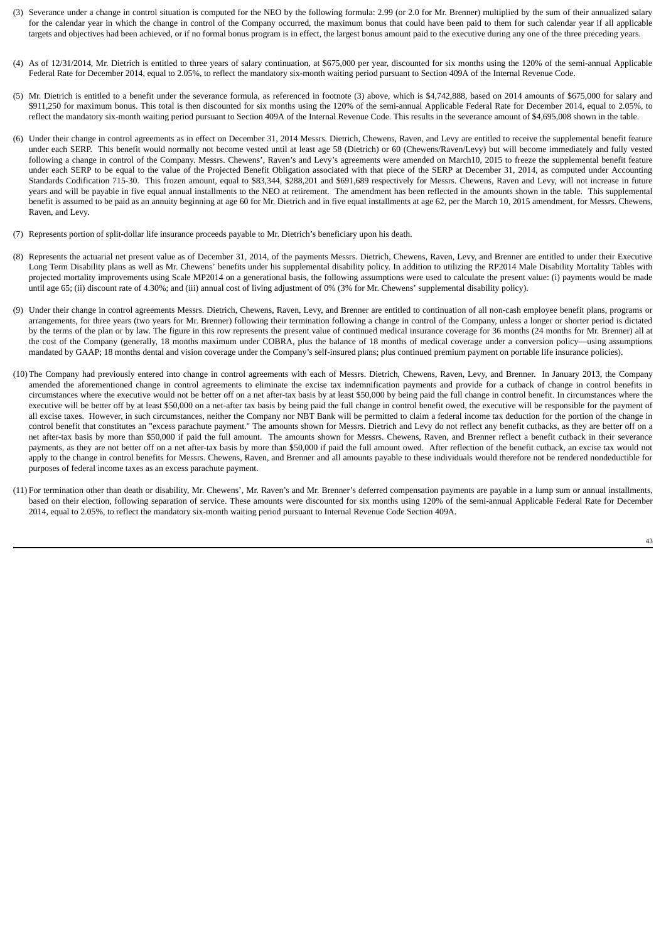- (3) Severance under a change in control situation is computed for the NEO by the following formula: 2.99 (or 2.0 for Mr. Brenner) multiplied by the sum of their annualized salary for the calendar year in which the change in control of the Company occurred, the maximum bonus that could have been paid to them for such calendar year if all applicable targets and objectives had been achieved, or if no formal bonus program is in effect, the largest bonus amount paid to the executive during any one of the three preceding years.
- (4) As of 12/31/2014, Mr. Dietrich is entitled to three years of salary continuation, at \$675,000 per year, discounted for six months using the 120% of the semi-annual Applicable Federal Rate for December 2014, equal to 2.05%, to reflect the mandatory six-month waiting period pursuant to Section 409A of the Internal Revenue Code.
- (5) Mr. Dietrich is entitled to a benefit under the severance formula, as referenced in footnote (3) above, which is \$4,742,888, based on 2014 amounts of \$675,000 for salary and \$911,250 for maximum bonus. This total is then discounted for six months using the 120% of the semi-annual Applicable Federal Rate for December 2014, equal to 2.05%, to reflect the mandatory six-month waiting period pursuant to Section 409A of the Internal Revenue Code. This results in the severance amount of \$4,695,008 shown in the table.
- (6) Under their change in control agreements as in effect on December 31, 2014 Messrs. Dietrich, Chewens, Raven, and Levy are entitled to receive the supplemental benefit feature under each SERP. This benefit would normally not become vested until at least age 58 (Dietrich) or 60 (Chewens/Raven/Levy) but will become immediately and fully vested following a change in control of the Company. Messrs. Chewens', Raven's and Levy's agreements were amended on March10, 2015 to freeze the supplemental benefit feature under each SERP to be equal to the value of the Projected Benefit Obligation associated with that piece of the SERP at December 31, 2014, as computed under Accounting Standards Codification 715-30. This frozen amount, equal to \$83,344, \$288,201 and \$691,689 respectively for Messrs. Chewens, Raven and Levy, will not increase in future years and will be payable in five equal annual installments to the NEO at retirement. The amendment has been reflected in the amounts shown in the table. This supplemental benefit is assumed to be paid as an annuity beginning at age 60 for Mr. Dietrich and in five equal installments at age 62, per the March 10, 2015 amendment, for Messrs. Chewens, Raven, and Levy.
- (7) Represents portion of split-dollar life insurance proceeds payable to Mr. Dietrich's beneficiary upon his death.
- (8) Represents the actuarial net present value as of December 31, 2014, of the payments Messrs. Dietrich, Chewens, Raven, Levy, and Brenner are entitled to under their Executive Long Term Disability plans as well as Mr. Chewens' benefits under his supplemental disability policy. In addition to utilizing the RP2014 Male Disability Mortality Tables with projected mortality improvements using Scale MP2014 on a generational basis, the following assumptions were used to calculate the present value: (i) payments would be made until age 65; (ii) discount rate of 4.30%; and (iii) annual cost of living adjustment of 0% (3% for Mr. Chewens' supplemental disability policy).
- (9) Under their change in control agreements Messrs. Dietrich, Chewens, Raven, Levy, and Brenner are entitled to continuation of all non-cash employee benefit plans, programs or arrangements, for three years (two years for Mr. Brenner) following their termination following a change in control of the Company, unless a longer or shorter period is dictated by the terms of the plan or by law. The figure in this row represents the present value of continued medical insurance coverage for 36 months (24 months for Mr. Brenner) all at the cost of the Company (generally, 18 months maximum under COBRA, plus the balance of 18 months of medical coverage under a conversion policy—using assumptions mandated by GAAP; 18 months dental and vision coverage under the Company's self-insured plans; plus continued premium payment on portable life insurance policies).
- (10)The Company had previously entered into change in control agreements with each of Messrs. Dietrich, Chewens, Raven, Levy, and Brenner. In January 2013, the Company amended the aforementioned change in control agreements to eliminate the excise tax indemnification payments and provide for a cutback of change in control benefits in circumstances where the executive would not be better off on a net after-tax basis by at least \$50,000 by being paid the full change in control benefit. In circumstances where the executive will be better off by at least \$50,000 on a net-after tax basis by being paid the full change in control benefit owed, the executive will be responsible for the payment of all excise taxes. However, in such circumstances, neither the Company nor NBT Bank will be permitted to claim a federal income tax deduction for the portion of the change in control benefit that constitutes an "excess parachute payment." The amounts shown for Messrs. Dietrich and Levy do not reflect any benefit cutbacks, as they are better off on a net after-tax basis by more than \$50,000 if paid the full amount. The amounts shown for Messrs. Chewens, Raven, and Brenner reflect a benefit cutback in their severance payments, as they are not better off on a net after-tax basis by more than \$50,000 if paid the full amount owed. After reflection of the benefit cutback, an excise tax would not apply to the change in control benefits for Messrs. Chewens, Raven, and Brenner and all amounts payable to these individuals would therefore not be rendered nondeductible for purposes of federal income taxes as an excess parachute payment.
- (11) For termination other than death or disability, Mr. Chewens', Mr. Raven's and Mr. Brenner's deferred compensation payments are payable in a lump sum or annual installments, based on their election, following separation of service. These amounts were discounted for six months using 120% of the semi-annual Applicable Federal Rate for December 2014, equal to 2.05%, to reflect the mandatory six-month waiting period pursuant to Internal Revenue Code Section 409A.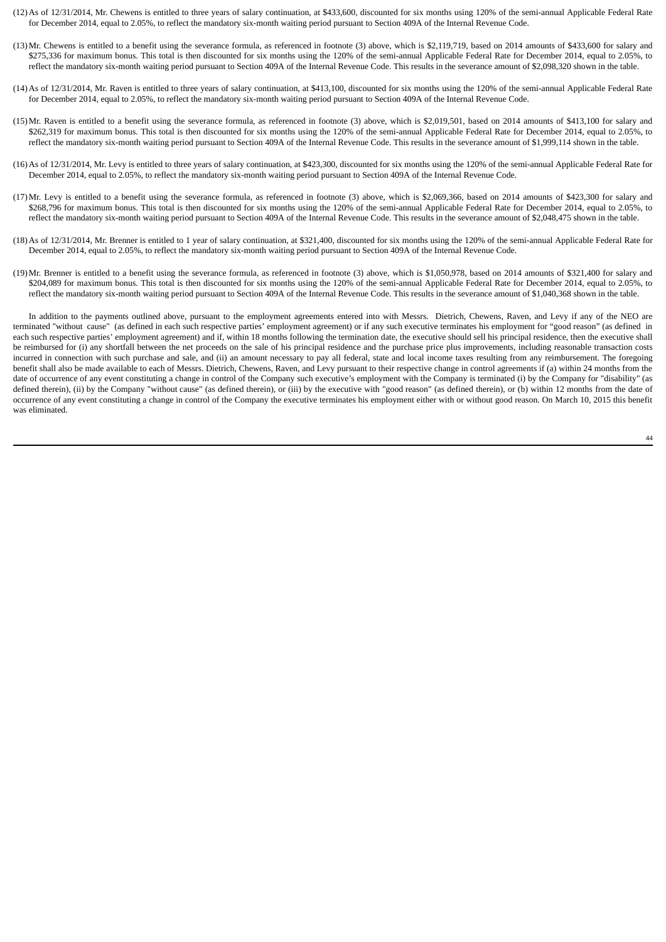- (12)As of 12/31/2014, Mr. Chewens is entitled to three years of salary continuation, at \$433,600, discounted for six months using 120% of the semi-annual Applicable Federal Rate for December 2014, equal to 2.05%, to reflect the mandatory six-month waiting period pursuant to Section 409A of the Internal Revenue Code.
- (13)Mr. Chewens is entitled to a benefit using the severance formula, as referenced in footnote (3) above, which is \$2,119,719, based on 2014 amounts of \$433,600 for salary and \$275,336 for maximum bonus. This total is then discounted for six months using the 120% of the semi-annual Applicable Federal Rate for December 2014, equal to 2.05%, to reflect the mandatory six-month waiting period pursuant to Section 409A of the Internal Revenue Code. This results in the severance amount of \$2,098,320 shown in the table.
- (14)As of 12/31/2014, Mr. Raven is entitled to three years of salary continuation, at \$413,100, discounted for six months using the 120% of the semi-annual Applicable Federal Rate for December 2014, equal to 2.05%, to reflect the mandatory six-month waiting period pursuant to Section 409A of the Internal Revenue Code.
- (15)Mr. Raven is entitled to a benefit using the severance formula, as referenced in footnote (3) above, which is \$2,019,501, based on 2014 amounts of \$413,100 for salary and \$262,319 for maximum bonus. This total is then discounted for six months using the 120% of the semi-annual Applicable Federal Rate for December 2014, equal to 2.05%, to reflect the mandatory six-month waiting period pursuant to Section 409A of the Internal Revenue Code. This results in the severance amount of \$1,999,114 shown in the table.
- (16)As of 12/31/2014, Mr. Levy is entitled to three years of salary continuation, at \$423,300, discounted for six months using the 120% of the semi-annual Applicable Federal Rate for December 2014, equal to 2.05%, to reflect the mandatory six-month waiting period pursuant to Section 409A of the Internal Revenue Code.
- (17)Mr. Levy is entitled to a benefit using the severance formula, as referenced in footnote (3) above, which is \$2,069,366, based on 2014 amounts of \$423,300 for salary and \$268,796 for maximum bonus. This total is then discounted for six months using the 120% of the semi-annual Applicable Federal Rate for December 2014, equal to 2.05%, to reflect the mandatory six-month waiting period pursuant to Section 409A of the Internal Revenue Code. This results in the severance amount of \$2,048,475 shown in the table.
- (18)As of 12/31/2014, Mr. Brenner is entitled to 1 year of salary continuation, at \$321,400, discounted for six months using the 120% of the semi-annual Applicable Federal Rate for December 2014, equal to 2.05%, to reflect the mandatory six-month waiting period pursuant to Section 409A of the Internal Revenue Code.
- (19)Mr. Brenner is entitled to a benefit using the severance formula, as referenced in footnote (3) above, which is \$1,050,978, based on 2014 amounts of \$321,400 for salary and \$204,089 for maximum bonus. This total is then discounted for six months using the 120% of the semi-annual Applicable Federal Rate for December 2014, equal to 2.05%, to reflect the mandatory six-month waiting period pursuant to Section 409A of the Internal Revenue Code. This results in the severance amount of \$1,040,368 shown in the table.

In addition to the payments outlined above, pursuant to the employment agreements entered into with Messrs. Dietrich, Chewens, Raven, and Levy if any of the NEO are terminated "without cause" (as defined in each such respective parties' employment agreement) or if any such executive terminates his employment for "good reason" (as defined in each such respective parties' employment agreement) and if, within 18 months following the termination date, the executive should sell his principal residence, then the executive shall be reimbursed for (i) any shortfall between the net proceeds on the sale of his principal residence and the purchase price plus improvements, including reasonable transaction costs incurred in connection with such purchase and sale, and (ii) an amount necessary to pay all federal, state and local income taxes resulting from any reimbursement. The foregoing benefit shall also be made available to each of Messrs. Dietrich, Chewens, Raven, and Levy pursuant to their respective change in control agreements if (a) within 24 months from the date of occurrence of any event constituting a change in control of the Company such executive's employment with the Company is terminated (i) by the Company for "disability" (as defined therein), (ii) by the Company "without cause" (as defined therein), or (iii) by the executive with "good reason" (as defined therein), or (b) within 12 months from the date of occurrence of any event constituting a change in control of the Company the executive terminates his employment either with or without good reason. On March 10, 2015 this benefit was eliminated.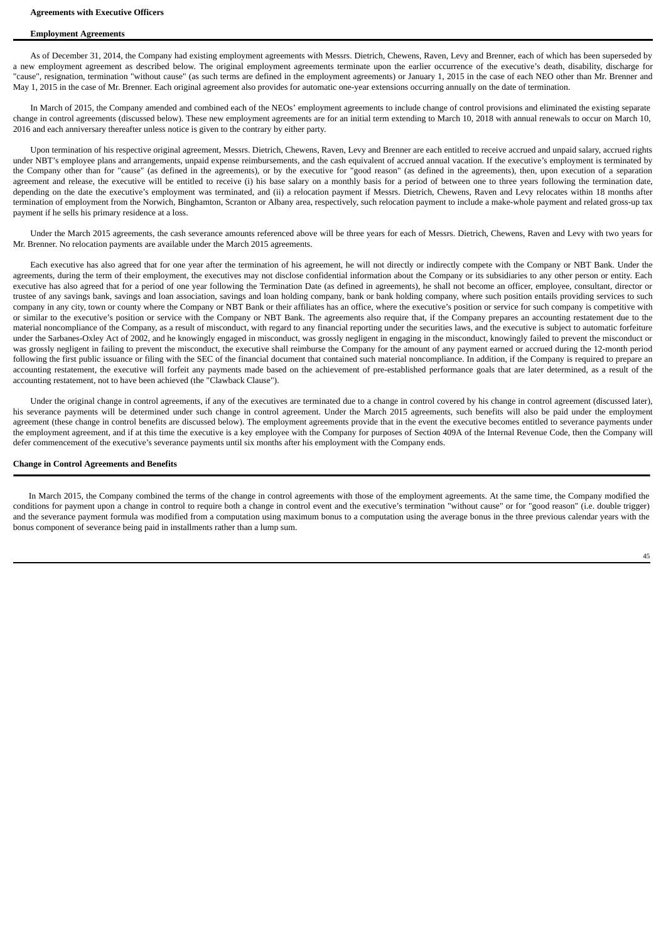# **Employment Agreements**

As of December 31, 2014, the Company had existing employment agreements with Messrs. Dietrich, Chewens, Raven, Levy and Brenner, each of which has been superseded by a new employment agreement as described below. The original employment agreements terminate upon the earlier occurrence of the executive's death, disability, discharge for "cause", resignation, termination "without cause" (as such terms are defined in the employment agreements) or January 1, 2015 in the case of each NEO other than Mr. Brenner and May 1, 2015 in the case of Mr. Brenner. Each original agreement also provides for automatic one-year extensions occurring annually on the date of termination.

In March of 2015, the Company amended and combined each of the NEOs' employment agreements to include change of control provisions and eliminated the existing separate change in control agreements (discussed below). These new employment agreements are for an initial term extending to March 10, 2018 with annual renewals to occur on March 10, 2016 and each anniversary thereafter unless notice is given to the contrary by either party.

Upon termination of his respective original agreement, Messrs. Dietrich, Chewens, Raven, Levy and Brenner are each entitled to receive accrued and unpaid salary, accrued rights under NBT's employee plans and arrangements, unpaid expense reimbursements, and the cash equivalent of accrued annual vacation. If the executive's employment is terminated by the Company other than for "cause" (as defined in the agreements), or by the executive for "good reason" (as defined in the agreements), then, upon execution of a separation agreement and release, the executive will be entitled to receive (i) his base salary on a monthly basis for a period of between one to three years following the termination date, depending on the date the executive's employment was terminated, and (ii) a relocation payment if Messrs. Dietrich, Chewens, Raven and Levy relocates within 18 months after termination of employment from the Norwich, Binghamton, Scranton or Albany area, respectively, such relocation payment to include a make-whole payment and related gross-up tax payment if he sells his primary residence at a loss.

Under the March 2015 agreements, the cash severance amounts referenced above will be three years for each of Messrs. Dietrich, Chewens, Raven and Levy with two years for Mr. Brenner. No relocation payments are available under the March 2015 agreements.

Each executive has also agreed that for one year after the termination of his agreement, he will not directly or indirectly compete with the Company or NBT Bank. Under the agreements, during the term of their employment, the executives may not disclose confidential information about the Company or its subsidiaries to any other person or entity. Each executive has also agreed that for a period of one year following the Termination Date (as defined in agreements), he shall not become an officer, employee, consultant, director or trustee of any savings bank, savings and loan association, savings and loan holding company, bank or bank holding company, where such position entails providing services to such company in any city, town or county where the Company or NBT Bank or their affiliates has an office, where the executive's position or service for such company is competitive with or similar to the executive's position or service with the Company or NBT Bank. The agreements also require that, if the Company prepares an accounting restatement due to the material noncompliance of the Company, as a result of misconduct, with regard to any financial reporting under the securities laws, and the executive is subject to automatic forfeiture under the Sarbanes-Oxley Act of 2002, and he knowingly engaged in misconduct, was grossly negligent in engaging in the misconduct, knowingly failed to prevent the misconduct or was grossly negligent in failing to prevent the misconduct, the executive shall reimburse the Company for the amount of any payment earned or accrued during the 12-month period following the first public issuance or filing with the SEC of the financial document that contained such material noncompliance. In addition, if the Company is required to prepare an accounting restatement, the executive will forfeit any payments made based on the achievement of pre-established performance goals that are later determined, as a result of the accounting restatement, not to have been achieved (the "Clawback Clause").

Under the original change in control agreements, if any of the executives are terminated due to a change in control covered by his change in control agreement (discussed later), his severance payments will be determined under such change in control agreement. Under the March 2015 agreements, such benefits will also be paid under the employment agreement (these change in control benefits are discussed below). The employment agreements provide that in the event the executive becomes entitled to severance payments under the employment agreement, and if at this time the executive is a key employee with the Company for purposes of Section 409A of the Internal Revenue Code, then the Company will defer commencement of the executive's severance payments until six months after his employment with the Company ends.

#### **Change in Control Agreements and Benefits**

In March 2015, the Company combined the terms of the change in control agreements with those of the employment agreements. At the same time, the Company modified the conditions for payment upon a change in control to require both a change in control event and the executive's termination "without cause" or for "good reason" (i.e. double trigger) and the severance payment formula was modified from a computation using maximum bonus to a computation using the average bonus in the three previous calendar years with the bonus component of severance being paid in installments rather than a lump sum.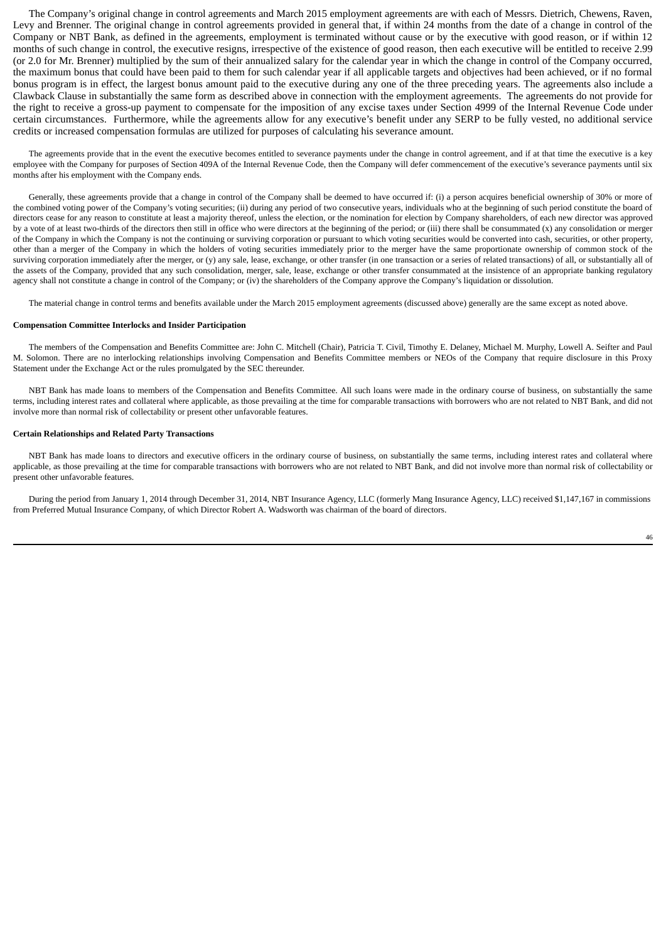The Company's original change in control agreements and March 2015 employment agreements are with each of Messrs. Dietrich, Chewens, Raven, Levy and Brenner. The original change in control agreements provided in general that, if within 24 months from the date of a change in control of the Company or NBT Bank, as defined in the agreements, employment is terminated without cause or by the executive with good reason, or if within 12 months of such change in control, the executive resigns, irrespective of the existence of good reason, then each executive will be entitled to receive 2.99 (or 2.0 for Mr. Brenner) multiplied by the sum of their annualized salary for the calendar year in which the change in control of the Company occurred, the maximum bonus that could have been paid to them for such calendar year if all applicable targets and objectives had been achieved, or if no formal bonus program is in effect, the largest bonus amount paid to the executive during any one of the three preceding years. The agreements also include a Clawback Clause in substantially the same form as described above in connection with the employment agreements. The agreements do not provide for the right to receive a gross-up payment to compensate for the imposition of any excise taxes under Section 4999 of the Internal Revenue Code under certain circumstances. Furthermore, while the agreements allow for any executive's benefit under any SERP to be fully vested, no additional service credits or increased compensation formulas are utilized for purposes of calculating his severance amount.

The agreements provide that in the event the executive becomes entitled to severance payments under the change in control agreement, and if at that time the executive is a key employee with the Company for purposes of Section 409A of the Internal Revenue Code, then the Company will defer commencement of the executive's severance payments until six months after his employment with the Company ends.

Generally, these agreements provide that a change in control of the Company shall be deemed to have occurred if: (i) a person acquires beneficial ownership of 30% or more of the combined voting power of the Company's voting securities; (ii) during any period of two consecutive years, individuals who at the beginning of such period constitute the board of directors cease for any reason to constitute at least a majority thereof, unless the election, or the nomination for election by Company shareholders, of each new director was approved by a vote of at least two-thirds of the directors then still in office who were directors at the beginning of the period; or (iii) there shall be consummated (x) any consolidation or merger of the Company in which the Company is not the continuing or surviving corporation or pursuant to which voting securities would be converted into cash, securities, or other property, other than a merger of the Company in which the holders of voting securities immediately prior to the merger have the same proportionate ownership of common stock of the surviving corporation immediately after the merger, or (y) any sale, lease, exchange, or other transfer (in one transaction or a series of related transactions) of all, or substantially all of the assets of the Company, provided that any such consolidation, merger, sale, lease, exchange or other transfer consummated at the insistence of an appropriate banking regulatory agency shall not constitute a change in control of the Company; or (iv) the shareholders of the Company approve the Company's liquidation or dissolution.

The material change in control terms and benefits available under the March 2015 employment agreements (discussed above) generally are the same except as noted above.

#### **Compensation Committee Interlocks and Insider Participation**

The members of the Compensation and Benefits Committee are: John C. Mitchell (Chair), Patricia T. Civil, Timothy E. Delaney, Michael M. Murphy, Lowell A. Seifter and Paul M. Solomon. There are no interlocking relationships involving Compensation and Benefits Committee members or NEOs of the Company that require disclosure in this Proxy Statement under the Exchange Act or the rules promulgated by the SEC thereunder.

NBT Bank has made loans to members of the Compensation and Benefits Committee. All such loans were made in the ordinary course of business, on substantially the same terms, including interest rates and collateral where applicable, as those prevailing at the time for comparable transactions with borrowers who are not related to NBT Bank, and did not involve more than normal risk of collectability or present other unfavorable features.

# **Certain Relationships and Related Party Transactions**

NBT Bank has made loans to directors and executive officers in the ordinary course of business, on substantially the same terms, including interest rates and collateral where applicable, as those prevailing at the time for comparable transactions with borrowers who are not related to NBT Bank, and did not involve more than normal risk of collectability or present other unfavorable features.

During the period from January 1, 2014 through December 31, 2014, NBT Insurance Agency, LLC (formerly Mang Insurance Agency, LLC) received \$1,147,167 in commissions from Preferred Mutual Insurance Company, of which Director Robert A. Wadsworth was chairman of the board of directors.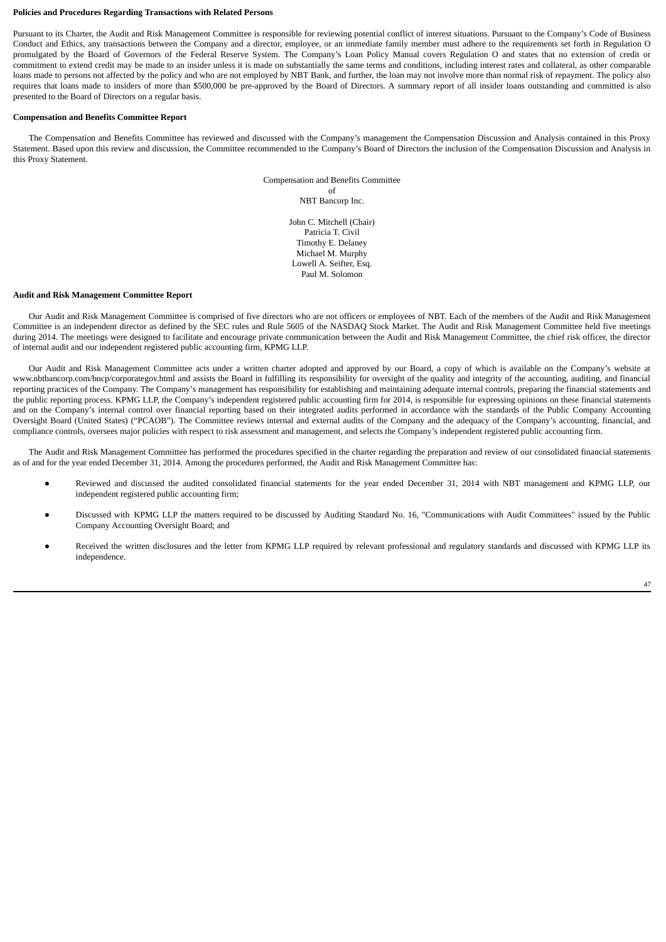#### **Policies and Procedures Regarding Transactions with Related Persons**

Pursuant to its Charter, the Audit and Risk Management Committee is responsible for reviewing potential conflict of interest situations. Pursuant to the Company's Code of Business Conduct and Ethics, any transactions between the Company and a director, employee, or an immediate family member must adhere to the requirements set forth in Regulation O promulgated by the Board of Governors of the Federal Reserve System. The Company's Loan Policy Manual covers Regulation O and states that no extension of credit or commitment to extend credit may be made to an insider unless it is made on substantially the same terms and conditions, including interest rates and collateral, as other comparable loans made to persons not affected by the policy and who are not employed by NBT Bank, and further, the loan may not involve more than normal risk of repayment. The policy also requires that loans made to insiders of more than \$500,000 be pre-approved by the Board of Directors. A summary report of all insider loans outstanding and committed is also presented to the Board of Directors on a regular basis.

## **Compensation and Benefits Committee Report**

The Compensation and Benefits Committee has reviewed and discussed with the Company's management the Compensation Discussion and Analysis contained in this Proxy Statement. Based upon this review and discussion, the Committee recommended to the Company's Board of Directors the inclusion of the Compensation Discussion and Analysis in this Proxy Statement.

> Compensation and Benefits Committee of NBT Bancorp Inc. John C. Mitchell (Chair) Patricia T. Civil Timothy E. Delaney

Michael M. Murphy Lowell A. Seifter, Esq. Paul M. Solomon

## **Audit and Risk Management Committee Report**

Our Audit and Risk Management Committee is comprised of five directors who are not officers or employees of NBT. Each of the members of the Audit and Risk Management Committee is an independent director as defined by the SEC rules and Rule 5605 of the NASDAQ Stock Market. The Audit and Risk Management Committee held five meetings during 2014. The meetings were designed to facilitate and encourage private communication between the Audit and Risk Management Committee, the chief risk officer, the director of internal audit and our independent registered public accounting firm, KPMG LLP.

Our Audit and Risk Management Committee acts under a written charter adopted and approved by our Board, a copy of which is available on the Company's website at www.nbtbancorp.com/bncp/corporategov.html and assists the Board in fulfilling its responsibility for oversight of the quality and integrity of the accounting, auditing, and financial reporting practices of the Company. The Company's management has responsibility for establishing and maintaining adequate internal controls, preparing the financial statements and the public reporting process. KPMG LLP, the Company's independent registered public accounting firm for 2014, is responsible for expressing opinions on these financial statements and on the Company's internal control over financial reporting based on their integrated audits performed in accordance with the standards of the Public Company Accounting Oversight Board (United States) ("PCAOB"). The Committee reviews internal and external audits of the Company and the adequacy of the Company's accounting, financial, and compliance controls, oversees major policies with respect to risk assessment and management, and selects the Company's independent registered public accounting firm.

The Audit and Risk Management Committee has performed the procedures specified in the charter regarding the preparation and review of our consolidated financial statements as of and for the year ended December 31, 2014. Among the procedures performed, the Audit and Risk Management Committee has:

- Reviewed and discussed the audited consolidated financial statements for the year ended December 31, 2014 with NBT management and KPMG LLP, our independent registered public accounting firm;
- Discussed with KPMG LLP the matters required to be discussed by Auditing Standard No. 16, "Communications with Audit Committees" issued by the Public Company Accounting Oversight Board; and
- Received the written disclosures and the letter from KPMG LLP required by relevant professional and regulatory standards and discussed with KPMG LLP its independence.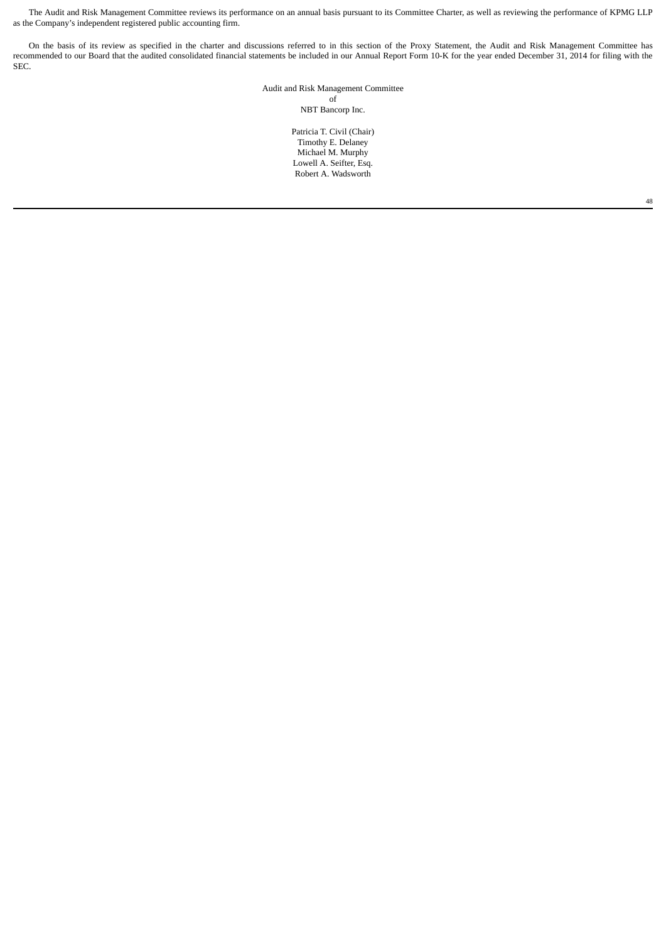The Audit and Risk Management Committee reviews its performance on an annual basis pursuant to its Committee Charter, as well as reviewing the performance of KPMG LLP as the Company's independent registered public accounting firm.

On the basis of its review as specified in the charter and discussions referred to in this section of the Proxy Statement, the Audit and Risk Management Committee has recommended to our Board that the audited consolidated financial statements be included in our Annual Report Form 10-K for the year ended December 31, 2014 for filing with the SEC.

> Audit and Risk Management Committee of NBT Bancorp Inc.

> > Patricia T. Civil (Chair) Timothy E. Delaney Michael M. Murphy Lowell A. Seifter, Esq. Robert A. Wadsworth

> > > 48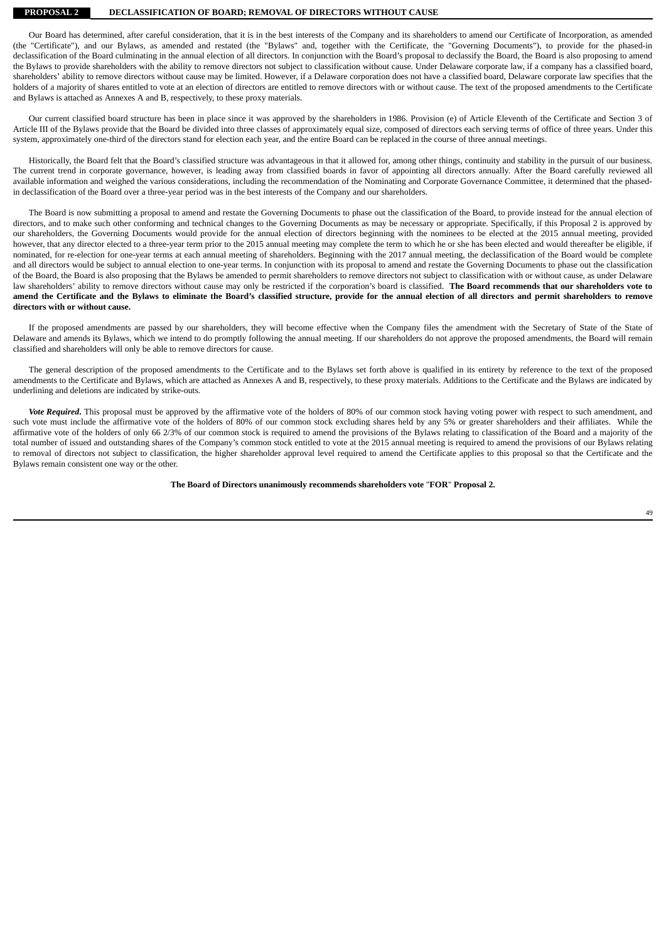**PROPOSAL 2 DECLASSIFICATION OF BOARD; REMOVAL OF DIRECTORS WITHOUT CAUSE**

Our Board has determined, after careful consideration, that it is in the best interests of the Company and its shareholders to amend our Certificate of Incorporation, as amended (the "Certificate"), and our Bylaws, as amended and restated (the "Bylaws" and, together with the Certificate, the "Governing Documents"), to provide for the phased-in declassification of the Board culminating in the annual election of all directors. In conjunction with the Board's proposal to declassify the Board, the Board is also proposing to amend the Bylaws to provide shareholders with the ability to remove directors not subject to classification without cause. Under Delaware corporate law, if a company has a classified board, shareholders' ability to remove directors without cause may be limited. However, if a Delaware corporation does not have a classified board, Delaware corporate law specifies that the holders of a majority of shares entitled to vote at an election of directors are entitled to remove directors with or without cause. The text of the proposed amendments to the Certificate and Bylaws is attached as Annexes A and B, respectively, to these proxy materials.

Our current classified board structure has been in place since it was approved by the shareholders in 1986. Provision (e) of Article Eleventh of the Certificate and Section 3 of Article III of the Bylaws provide that the Board be divided into three classes of approximately equal size, composed of directors each serving terms of office of three years. Under this system, approximately one-third of the directors stand for election each year, and the entire Board can be replaced in the course of three annual meetings.

Historically, the Board felt that the Board's classified structure was advantageous in that it allowed for, among other things, continuity and stability in the pursuit of our business. The current trend in corporate governance, however, is leading away from classified boards in favor of appointing all directors annually. After the Board carefully reviewed all available information and weighed the various considerations, including the recommendation of the Nominating and Corporate Governance Committee, it determined that the phasedin declassification of the Board over a three-year period was in the best interests of the Company and our shareholders.

The Board is now submitting a proposal to amend and restate the Governing Documents to phase out the classification of the Board, to provide instead for the annual election of directors, and to make such other conforming and technical changes to the Governing Documents as may be necessary or appropriate. Specifically, if this Proposal 2 is approved by our shareholders, the Governing Documents would provide for the annual election of directors beginning with the nominees to be elected at the 2015 annual meeting, provided however, that any director elected to a three-year term prior to the 2015 annual meeting may complete the term to which he or she has been elected and would thereafter be eligible, if nominated, for re-election for one-year terms at each annual meeting of shareholders. Beginning with the 2017 annual meeting, the declassification of the Board would be complete and all directors would be subject to annual election to one-year terms. In conjunction with its proposal to amend and restate the Governing Documents to phase out the classification of the Board, the Board is also proposing that the Bylaws be amended to permit shareholders to remove directors not subject to classification with or without cause, as under Delaware law shareholders' ability to remove directors without cause may only be restricted if the corporation's board is classified. The Board recommends that our shareholders vote to amend the Certificate and the Bylaws to eliminate the Board's classified structure, provide for the annual election of all directors and permit shareholders to remove **directors with or without cause.**

If the proposed amendments are passed by our shareholders, they will become effective when the Company files the amendment with the Secretary of State of the State of Delaware and amends its Bylaws, which we intend to do promptly following the annual meeting. If our shareholders do not approve the proposed amendments, the Board will remain classified and shareholders will only be able to remove directors for cause.

The general description of the proposed amendments to the Certificate and to the Bylaws set forth above is qualified in its entirety by reference to the text of the proposed amendments to the Certificate and Bylaws, which are attached as Annexes A and B, respectively, to these proxy materials. Additions to the Certificate and the Bylaws are indicated by underlining and deletions are indicated by strike-outs.

*Vote Required***.** This proposal must be approved by the affirmative vote of the holders of 80% of our common stock having voting power with respect to such amendment, and such vote must include the affirmative vote of the holders of 80% of our common stock excluding shares held by any 5% or greater shareholders and their affiliates. While the affirmative vote of the holders of only 66 2/3% of our common stock is required to amend the provisions of the Bylaws relating to classification of the Board and a majority of the total number of issued and outstanding shares of the Company's common stock entitled to vote at the 2015 annual meeting is required to amend the provisions of our Bylaws relating to removal of directors not subject to classification, the higher shareholder approval level required to amend the Certificate applies to this proposal so that the Certificate and the Bylaws remain consistent one way or the other.

**The Board of Directors unanimously recommends shareholders vote** "**FOR**" **Proposal 2.**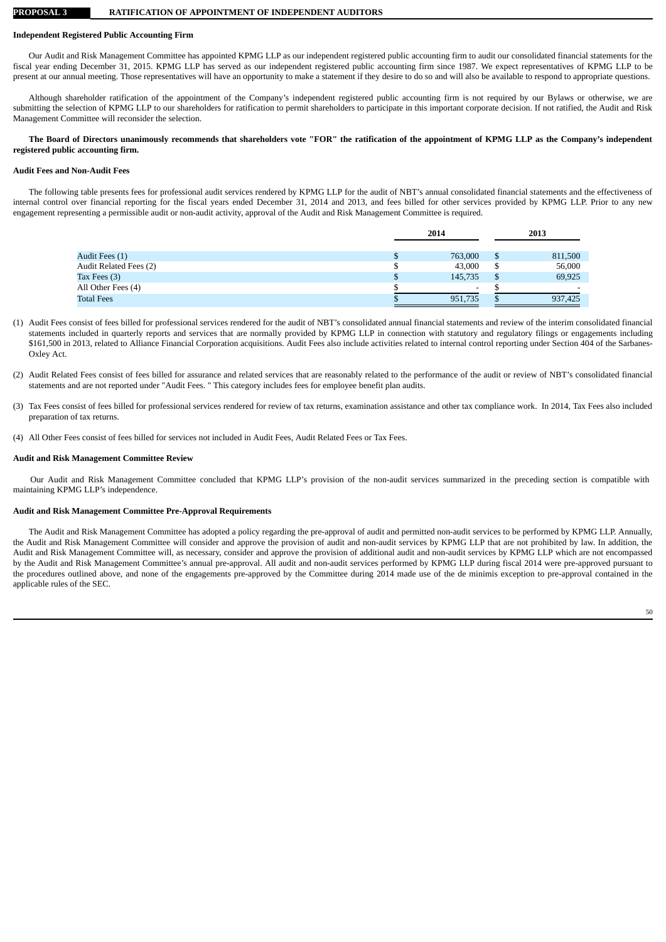#### **PROPOSAL 3 RATIFICATION OF APPOINTMENT OF INDEPENDENT AUDITORS**

# **Independent Registered Public Accounting Firm**

Our Audit and Risk Management Committee has appointed KPMG LLP as our independent registered public accounting firm to audit our consolidated financial statements for the fiscal year ending December 31, 2015. KPMG LLP has served as our independent registered public accounting firm since 1987. We expect representatives of KPMG LLP to be present at our annual meeting. Those representatives will have an opportunity to make a statement if they desire to do so and will also be available to respond to appropriate questions.

Although shareholder ratification of the appointment of the Company's independent registered public accounting firm is not required by our Bylaws or otherwise, we are submitting the selection of KPMG LLP to our shareholders for ratification to permit shareholders to participate in this important corporate decision. If not ratified, the Audit and Risk Management Committee will reconsider the selection.

# The Board of Directors unanimously recommends that shareholders vote "FOR" the ratification of the appointment of KPMG LLP as the Company's independent **registered public accounting firm.**

#### **Audit Fees and Non-Audit Fees**

The following table presents fees for professional audit services rendered by KPMG LLP for the audit of NBT's annual consolidated financial statements and the effectiveness of internal control over financial reporting for the fiscal years ended December 31, 2014 and 2013, and fees billed for other services provided by KPMG LLP. Prior to any new engagement representing a permissible audit or non-audit activity, approval of the Audit and Risk Management Committee is required.

|                        | 2014 |                          | 2013 |                          |
|------------------------|------|--------------------------|------|--------------------------|
|                        |      |                          |      |                          |
| Audit Fees (1)         |      | 763,000                  |      | 811,500                  |
| Audit Related Fees (2) | ╜    | 43,000                   | S    | 56,000                   |
| Tax Fees (3)           | Φ    | 145,735                  |      | 69,925                   |
| All Other Fees (4)     |      | $\overline{\phantom{0}}$ |      | $\overline{\phantom{a}}$ |
| <b>Total Fees</b>      |      | 951,735                  | D    | 937,425                  |

- (1) Audit Fees consist of fees billed for professional services rendered for the audit of NBT's consolidated annual financial statements and review of the interim consolidated financial statements included in quarterly reports and services that are normally provided by KPMG LLP in connection with statutory and regulatory filings or engagements including \$161,500 in 2013, related to Alliance Financial Corporation acquisitions. Audit Fees also include activities related to internal control reporting under Section 404 of the Sarbanes-Oxley Act.
- (2) Audit Related Fees consist of fees billed for assurance and related services that are reasonably related to the performance of the audit or review of NBT's consolidated financial statements and are not reported under "Audit Fees. " This category includes fees for employee benefit plan audits.
- (3) Tax Fees consist of fees billed for professional services rendered for review of tax returns, examination assistance and other tax compliance work. In 2014, Tax Fees also included preparation of tax returns.
- (4) All Other Fees consist of fees billed for services not included in Audit Fees, Audit Related Fees or Tax Fees.

#### **Audit and Risk Management Committee Review**

Our Audit and Risk Management Committee concluded that KPMG LLP's provision of the non-audit services summarized in the preceding section is compatible with maintaining KPMG LLP's independence.

# **Audit and Risk Management Committee Pre-Approval Requirements**

The Audit and Risk Management Committee has adopted a policy regarding the pre-approval of audit and permitted non-audit services to be performed by KPMG LLP. Annually, the Audit and Risk Management Committee will consider and approve the provision of audit and non-audit services by KPMG LLP that are not prohibited by law. In addition, the Audit and Risk Management Committee will, as necessary, consider and approve the provision of additional audit and non-audit services by KPMG LLP which are not encompassed by the Audit and Risk Management Committee's annual pre-approval. All audit and non-audit services performed by KPMG LLP during fiscal 2014 were pre-approved pursuant to the procedures outlined above, and none of the engagements pre-approved by the Committee during 2014 made use of the de minimis exception to pre-approval contained in the applicable rules of the SEC.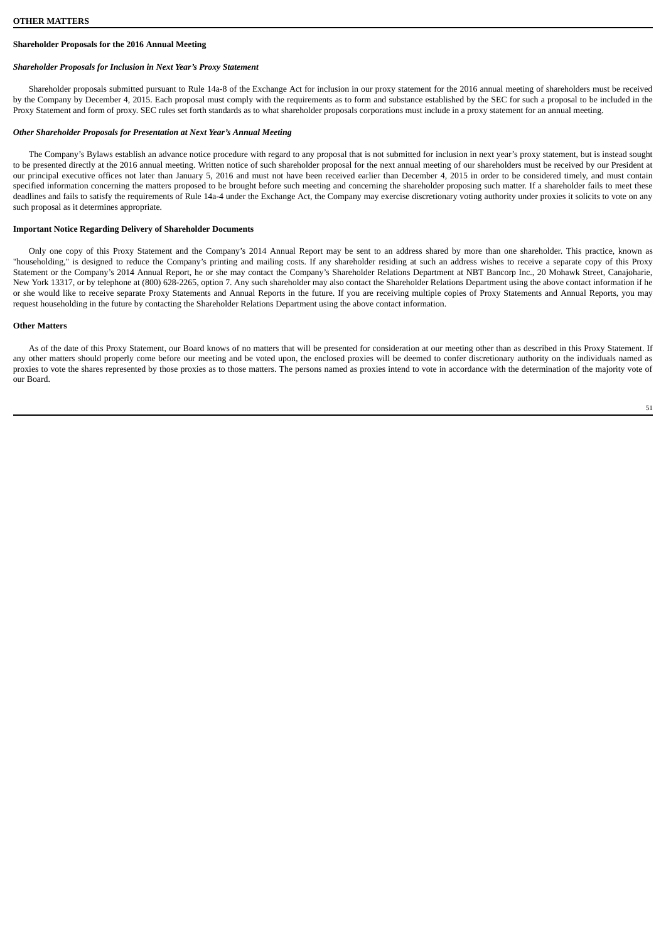# **Shareholder Proposals for the 2016 Annual Meeting**

# *Shareholder Proposals for Inclusion in Next Year's Proxy Statement*

Shareholder proposals submitted pursuant to Rule 14a-8 of the Exchange Act for inclusion in our proxy statement for the 2016 annual meeting of shareholders must be received by the Company by December 4, 2015. Each proposal must comply with the requirements as to form and substance established by the SEC for such a proposal to be included in the Proxy Statement and form of proxy. SEC rules set forth standards as to what shareholder proposals corporations must include in a proxy statement for an annual meeting.

#### *Other Shareholder Proposals for Presentation at Next Year's Annual Meeting*

The Company's Bylaws establish an advance notice procedure with regard to any proposal that is not submitted for inclusion in next year's proxy statement, but is instead sought to be presented directly at the 2016 annual meeting. Written notice of such shareholder proposal for the next annual meeting of our shareholders must be received by our President at our principal executive offices not later than January 5, 2016 and must not have been received earlier than December 4, 2015 in order to be considered timely, and must contain specified information concerning the matters proposed to be brought before such meeting and concerning the shareholder proposing such matter. If a shareholder fails to meet these deadlines and fails to satisfy the requirements of Rule 14a-4 under the Exchange Act, the Company may exercise discretionary voting authority under proxies it solicits to vote on any such proposal as it determines appropriate.

# **Important Notice Regarding Delivery of Shareholder Documents**

Only one copy of this Proxy Statement and the Company's 2014 Annual Report may be sent to an address shared by more than one shareholder. This practice, known as "householding," is designed to reduce the Company's printing and mailing costs. If any shareholder residing at such an address wishes to receive a separate copy of this Proxy Statement or the Company's 2014 Annual Report, he or she may contact the Company's Shareholder Relations Department at NBT Bancorp Inc., 20 Mohawk Street, Canajoharie, New York 13317, or by telephone at (800) 628-2265, option 7. Any such shareholder may also contact the Shareholder Relations Department using the above contact information if he or she would like to receive separate Proxy Statements and Annual Reports in the future. If you are receiving multiple copies of Proxy Statements and Annual Reports, you may request householding in the future by contacting the Shareholder Relations Department using the above contact information.

#### **Other Matters**

As of the date of this Proxy Statement, our Board knows of no matters that will be presented for consideration at our meeting other than as described in this Proxy Statement. If any other matters should properly come before our meeting and be voted upon, the enclosed proxies will be deemed to confer discretionary authority on the individuals named as proxies to vote the shares represented by those proxies as to those matters. The persons named as proxies intend to vote in accordance with the determination of the majority vote of our Board.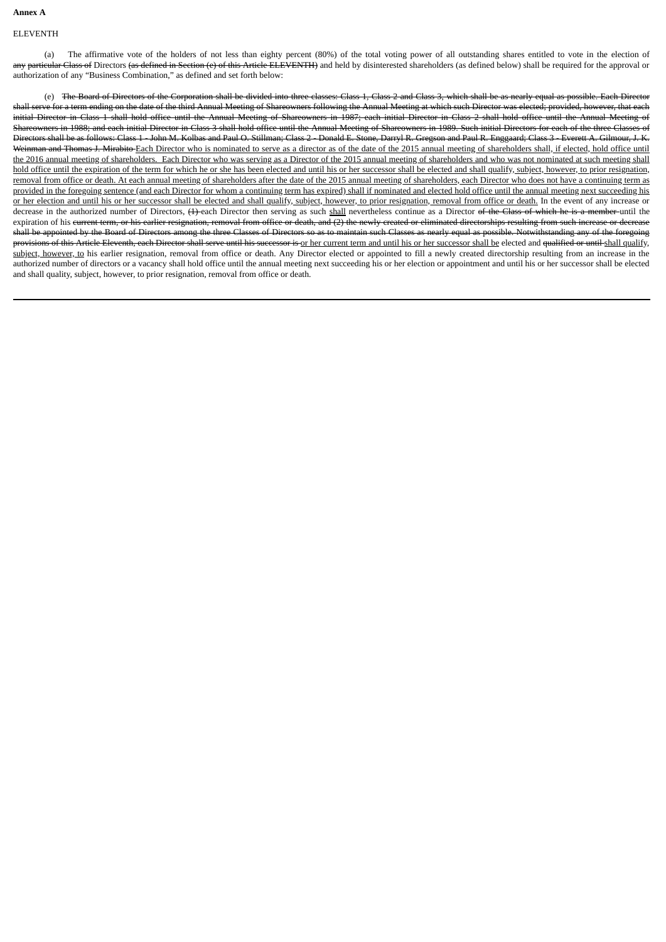# **Annex A**

## ELEVENTH

(a) The affirmative vote of the holders of not less than eighty percent (80%) of the total voting power of all outstanding shares entitled to vote in the election of any particular Class of Directors (as defined in Section (e) of this Article ELEVENTH) and held by disinterested shareholders (as defined below) shall be required for the approval or authorization of any "Business Combination," as defined and set forth below:

(e) The Board of Directors of the Corporation shall be divided into three classes: Class 1, Class 2 and Class 3, which shall be as nearly equal as possible. Each Directors shall serve for a term ending on the date of the third Annual Meeting of Shareowners following the Annual Meeting at which such Director was elected; provided, however, that each initial Director in Class 1 shall hold office until the Annual Meeting of Shareowners in 1987; each initial Director in Class 2 shall hold office until the Annual Meeting of Shareowners in 1988; and each initial Director in Class 3 shall hold office until the Annual Meeting of Shareowners in 1989. Such initial Directors for each of the three Classes of Directors shall be as follows: Class 1 - John M. Kolbas and Paul O. Stillman; Class 2 - Donald E. Stone, Darryl R. Gregson and Paul R. Enggaard; Class 3 - Everett A. Gilmour, J. K. Weinman and Thomas J. Mirabito Each Director who is nominated to serve as a director as of the date of the 2015 annual meeting of shareholders shall, if elected, hold office until the 2016 annual meeting of shareholders. Each Director who was serving as a Director of the 2015 annual meeting of shareholders and who was not nominated at such meeting shall hold office until the expiration of the term for which he or she has been elected and until his or her successor shall be elected and shall qualify, subject, however, to prior resignation, removal from office or death. At each annual meeting of shareholders after the date of the 2015 annual meeting of shareholders, each Director who does not have a continuing term as provided in the foregoing sentence (and each Director for whom a continuing term has expired) shall if nominated and elected hold office until the annual meeting next succeeding his or her election and until his or her successor shall be elected and shall qualify, subject, however, to prior resignation, removal from office or death. In the event of any increase or decrease in the authorized number of Directors, (1) each Director then serving as such shall nevertheless continue as a Director of the Class of which he is a member until the expiration of his current term, or his earlier resignation, removal from office or death, and (2) the newly created or eliminated directorships resulting from such increase or decrease shall be appointed by the Board of Directors among the three Classes of Directors so as to maintain such Classes as nearly equal as possible. Notwithstanding any of the foregoing provisions of this Article Eleventh, each Director shall serve until his successor is or her current term and until his or her successor shall be elected and qualified or until shall qualify, subject, however, to his earlier resignation, removal from office or death. Any Director elected or appointed to fill a newly created directorship resulting from an increase in the authorized number of directors or a vacancy shall hold office until the annual meeting next succeeding his or her election or appointment and until his or her successor shall be elected and shall quality, subject, however, to prior resignation, removal from office or death.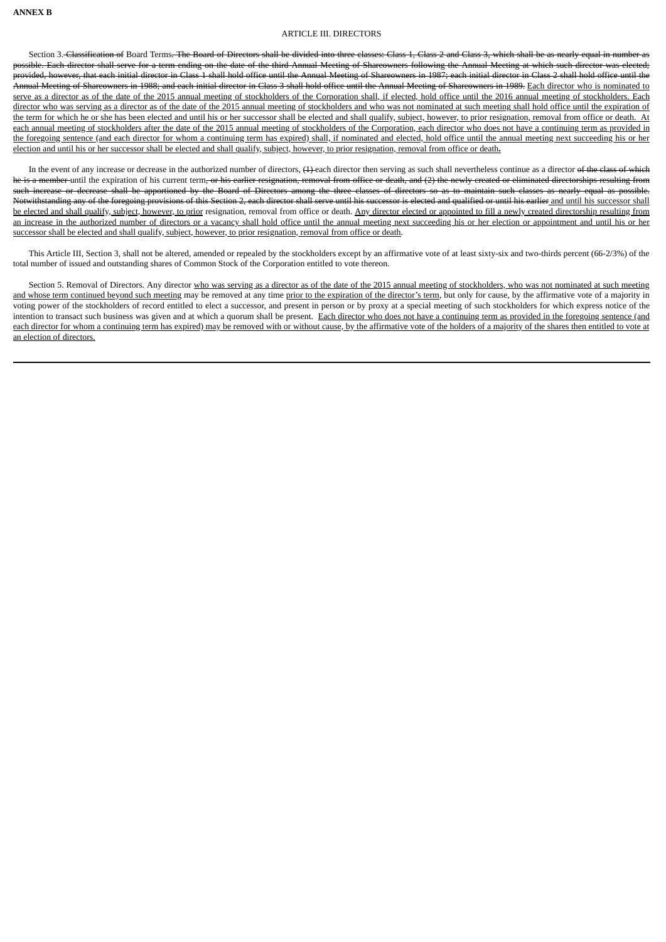# ARTICLE III. DIRECTORS

Section 3. Classification of Board Terms. The Board of Directors shall be divided into three classes: Class 1, Class 2 and Class 3, which shall be as nearly equal in number as possible. Each director shall serve for a term ending on the date of the third Annual Meeting of Shareowners following the Annual Meeting at which such director was elected; provided, however, that each initial director in Class 1 shall hold office until the Annual Meeting of Shareowners in 1987; each initial director in Class 2 shall hold office until the .<br>Annual Meeting of Shareowners in 1988; and each initial director in Class 3 shall hold office until the Annual Meeting of Shareowners in 1989. Each director who is nominated to serve as a director as of the date of the 2015 annual meeting of stockholders of the Corporation shall, if elected, hold office until the 2016 annual meeting of stockholders. Each director who was serving as a director as of the date of the 2015 annual meeting of stockholders and who was not nominated at such meeting shall hold office until the expiration of the term for which he or she has been elected and until his or her successor shall be elected and shall qualify, subject, however, to prior resignation, removal from office or death. At each annual meeting of stockholders after the date of the 2015 annual meeting of stockholders of the Corporation, each director who does not have a continuing term as provided in the foregoing sentence (and each director for whom a continuing term has expired) shall, if nominated and elected, hold office until the annual meeting next succeeding his or her election and until his or her successor shall be elected and shall qualify, subject, however, to prior resignation, removal from office or death**.**

In the event of any increase or decrease in the authorized number of directors,  $(1)$  each director then serving as such shall nevertheless continue as a director of the class of which he is a member until the expiration of his current term, or his earlier resignation, removal from office or death, and (2) the newly created or eliminated directorships resulting from such increase or decrease shall be apportioned by the Board of Directors among the three classes of directors so as to maintain such classes as nearly equal as possible. Notwithstanding any of the foregoing provisions of this Section 2, each director shall serve until his successor is elected and qualified or until his earlier and until his successor shall be elected and shall qualify, subject, however, to prior resignation, removal from office or death. Any director elected or appointed to fill a newly created directorship resulting from an increase in the authorized number of directors or a vacancy shall hold office until the annual meeting next succeeding his or her election or appointment and until his or her successor shall be elected and shall qualify, subject, however, to prior resignation, removal from office or death.

This Article III, Section 3, shall not be altered, amended or repealed by the stockholders except by an affirmative vote of at least sixty-six and two-thirds percent (66-2/3%) of the total number of issued and outstanding shares of Common Stock of the Corporation entitled to vote thereon.

Section 5. Removal of Directors. Any director who was serving as a director as of the date of the 2015 annual meeting of stockholders, who was not nominated at such meeting and whose term continued beyond such meeting may be removed at any time prior to the expiration of the director's term, but only for cause, by the affirmative vote of a majority in voting power of the stockholders of record entitled to elect a successor, and present in person or by proxy at a special meeting of such stockholders for which express notice of the intention to transact such business was given and at which a quorum shall be present. Each director who does not have a continuing term as provided in the foregoing sentence (and each director for whom a continuing term has expired) may be removed with or without cause, by the affirmative vote of the holders of a majority of the shares then entitled to vote at an election of directors.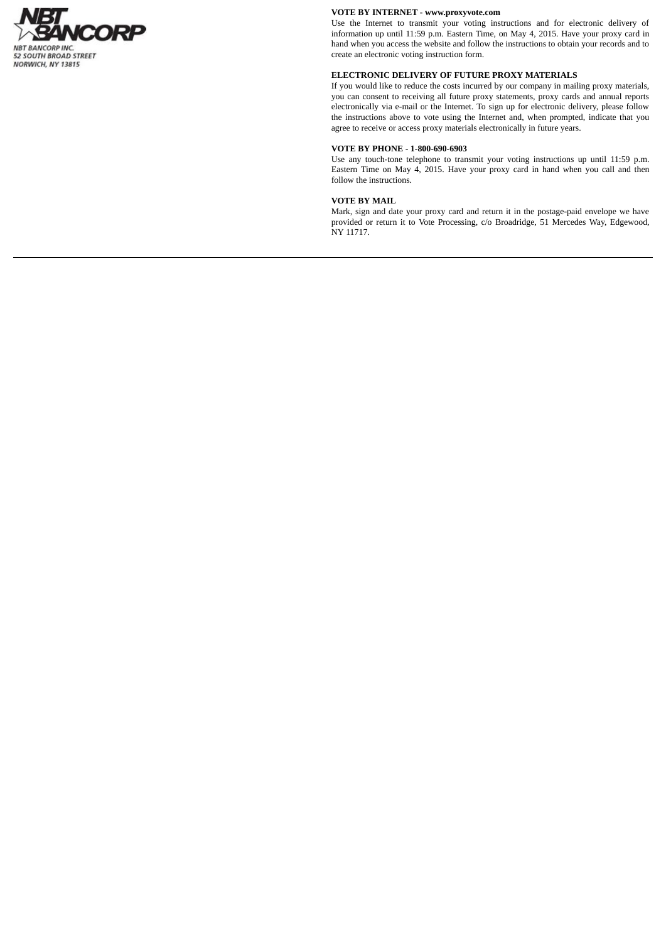

# **VOTE BY INTERNET - www.proxyvote.com**

Use the Internet to transmit your voting instructions and for electronic delivery of information up until 11:59 p.m. Eastern Time, on May 4, 2015. Have your proxy card in hand when you access the website and follow the instructions to obtain your records and to create an electronic voting instruction form.

# **ELECTRONIC DELIVERY OF FUTURE PROXY MATERIALS**

If you would like to reduce the costs incurred by our company in mailing proxy materials, you can consent to receiving all future proxy statements, proxy cards and annual reports electronically via e-mail or the Internet. To sign up for electronic delivery, please follow the instructions above to vote using the Internet and, when prompted, indicate that you agree to receive or access proxy materials electronically in future years.

# **VOTE BY PHONE - 1-800-690-6903**

Use any touch-tone telephone to transmit your voting instructions up until 11:59 p.m. Eastern Time on May 4, 2015. Have your proxy card in hand when you call and then follow the instructions.

# **VOTE BY MAIL**

Mark, sign and date your proxy card and return it in the postage-paid envelope we have provided or return it to Vote Processing, c/o Broadridge, 51 Mercedes Way, Edgewood, NY 11717.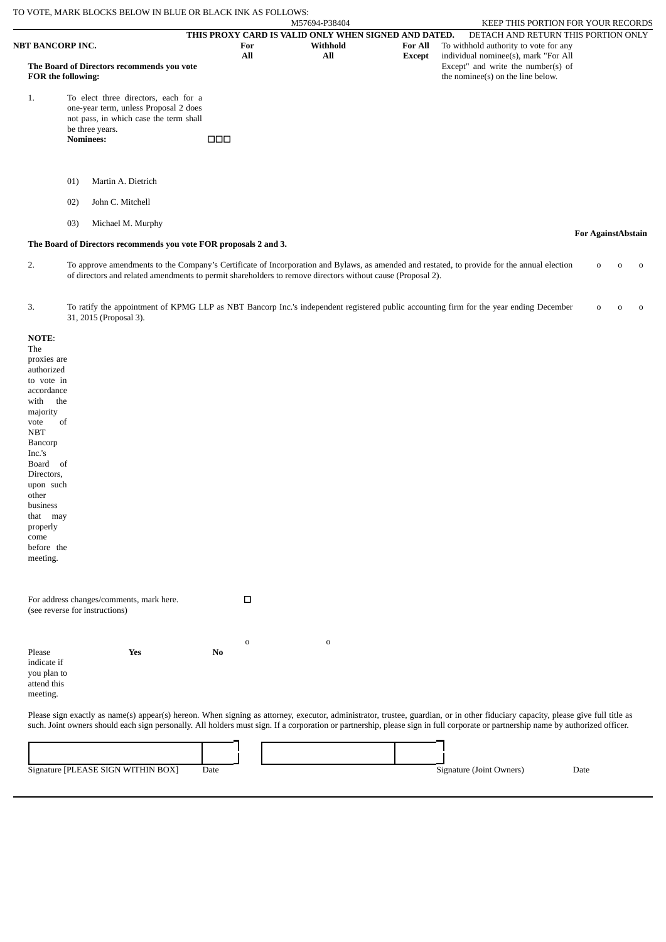|                                                                       | TO VOTE, MARK BLOCKS BELOW IN BLUE OR BLACK INK AS FOLLOWS:                                                                                                    |                                                                    |                 |                                 |                                                                                                                                                            |                                  |
|-----------------------------------------------------------------------|----------------------------------------------------------------------------------------------------------------------------------------------------------------|--------------------------------------------------------------------|-----------------|---------------------------------|------------------------------------------------------------------------------------------------------------------------------------------------------------|----------------------------------|
|                                                                       |                                                                                                                                                                |                                                                    | M57694-P38404   |                                 | <b>KEEP THIS PORTION FOR YOUR RECORDS</b>                                                                                                                  |                                  |
| <b>NBT BANCORP INC.</b><br>The Board of Directors recommends you vote |                                                                                                                                                                | THIS PROXY CARD IS VALID ONLY WHEN SIGNED AND DATED.<br>For<br>All | Withhold<br>All | <b>For All</b><br><b>Except</b> | DETACH AND RETURN THIS PORTION ONLY<br>To withhold authority to vote for any<br>individual nominee(s), mark "For All<br>Except" and write the number(s) of |                                  |
|                                                                       | <b>FOR the following:</b>                                                                                                                                      |                                                                    |                 |                                 | the nominee(s) on the line below.                                                                                                                          |                                  |
| 1.                                                                    | To elect three directors, each for a<br>one-year term, unless Proposal 2 does<br>not pass, in which case the term shall<br>be three years.<br><b>Nominees:</b> | 000                                                                |                 |                                 |                                                                                                                                                            |                                  |
|                                                                       | Martin A. Dietrich<br>01)                                                                                                                                      |                                                                    |                 |                                 |                                                                                                                                                            |                                  |
|                                                                       | John C. Mitchell<br>02)                                                                                                                                        |                                                                    |                 |                                 |                                                                                                                                                            |                                  |
|                                                                       | Michael M. Murphy<br>03)                                                                                                                                       |                                                                    |                 |                                 |                                                                                                                                                            | <b>For AgainstAbstain</b>        |
|                                                                       | The Board of Directors recommends you vote FOR proposals 2 and 3.                                                                                              |                                                                    |                 |                                 |                                                                                                                                                            |                                  |
| 2.                                                                    | of directors and related amendments to permit shareholders to remove directors without cause (Proposal 2).                                                     |                                                                    |                 |                                 | To approve amendments to the Company's Certificate of Incorporation and Bylaws, as amended and restated, to provide for the annual election                | $\Omega$<br>$\Omega$<br>$\Omega$ |

| To ratify the appointment of KPMG LLP as NBT Bancorp Inc.'s independent registered public accounting firm for the year ending December | $\begin{matrix} 0 & 0 & 0 \end{matrix}$ |  |
|----------------------------------------------------------------------------------------------------------------------------------------|-----------------------------------------|--|
| 31, 2015 (Proposal 3).                                                                                                                 |                                         |  |

| NOTE:<br>The                                                                                                                                                                     |    |             |             |  |  |
|----------------------------------------------------------------------------------------------------------------------------------------------------------------------------------|----|-------------|-------------|--|--|
| proxies are                                                                                                                                                                      |    |             |             |  |  |
| authorized                                                                                                                                                                       |    |             |             |  |  |
| to vote in                                                                                                                                                                       |    |             |             |  |  |
| accordance                                                                                                                                                                       |    |             |             |  |  |
| the<br>with                                                                                                                                                                      |    |             |             |  |  |
| majority                                                                                                                                                                         |    |             |             |  |  |
| of<br>vote                                                                                                                                                                       |    |             |             |  |  |
| <b>NBT</b>                                                                                                                                                                       |    |             |             |  |  |
| Bancorp                                                                                                                                                                          |    |             |             |  |  |
| Inc.'s                                                                                                                                                                           |    |             |             |  |  |
| Board of                                                                                                                                                                         |    |             |             |  |  |
| Directors,                                                                                                                                                                       |    |             |             |  |  |
| upon such                                                                                                                                                                        |    |             |             |  |  |
| other                                                                                                                                                                            |    |             |             |  |  |
| business                                                                                                                                                                         |    |             |             |  |  |
| that may                                                                                                                                                                         |    |             |             |  |  |
| properly                                                                                                                                                                         |    |             |             |  |  |
| come                                                                                                                                                                             |    |             |             |  |  |
| before the                                                                                                                                                                       |    |             |             |  |  |
| meeting.                                                                                                                                                                         |    |             |             |  |  |
|                                                                                                                                                                                  |    |             |             |  |  |
|                                                                                                                                                                                  |    |             |             |  |  |
|                                                                                                                                                                                  |    |             |             |  |  |
| For address changes/comments, mark here.                                                                                                                                         |    | $\Box$      |             |  |  |
| (see reverse for instructions)                                                                                                                                                   |    |             |             |  |  |
|                                                                                                                                                                                  |    |             |             |  |  |
|                                                                                                                                                                                  |    |             |             |  |  |
|                                                                                                                                                                                  |    | $\mathbf 0$ | $\mathbf 0$ |  |  |
| Please<br>Yes                                                                                                                                                                    | No |             |             |  |  |
| indicate if                                                                                                                                                                      |    |             |             |  |  |
| you plan to                                                                                                                                                                      |    |             |             |  |  |
| attend this                                                                                                                                                                      |    |             |             |  |  |
| meeting.                                                                                                                                                                         |    |             |             |  |  |
|                                                                                                                                                                                  |    |             |             |  |  |
| Please sign exactly as name(s) appear(s) hereon. When signing as attorney, executor, administrator, trustee, guardian, or in other fiduciary capacity, please give full title as |    |             |             |  |  |
| such. Joint owners should each sign personally. All holders must sign. If a corporation or partnership, please sign in full corporate or partnership name by authorized officer. |    |             |             |  |  |
|                                                                                                                                                                                  |    |             |             |  |  |
|                                                                                                                                                                                  |    |             |             |  |  |

Signature [PLEASE SIGN WITHIN BOX] Date Date Signature (Joint Owners) Date